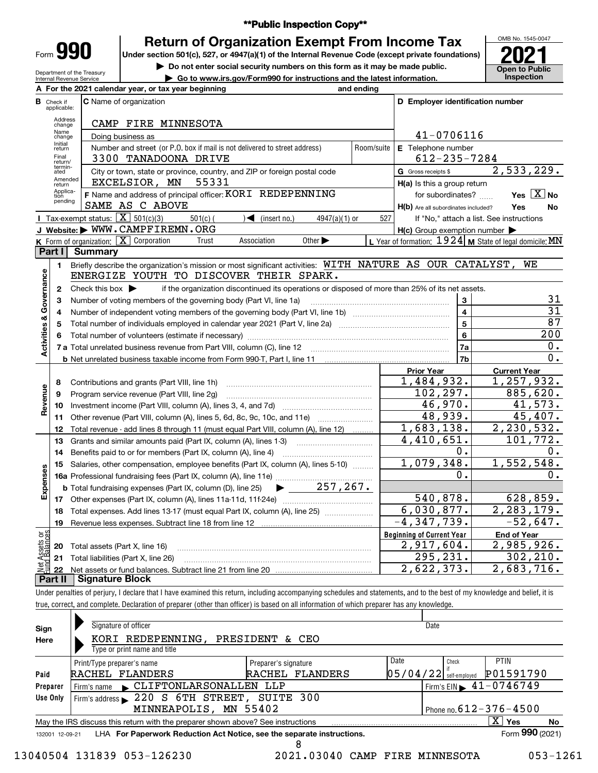| Form |  |  |
|------|--|--|

# **\*\*Public Inspection Copy\*\***

Under section 501(c), 527, or 4947(a)(1) of the Internal Revenue Code (except private foundations) **2021 Return of Organization Exempt From Income Tax**

**| Do not enter social security numbers on this form as it may be made public.**

**| Go to www.irs.gov/Form990 for instructions and the latest information. Inspection**

OMB No. 1545-0047 **Open to Public<br>Inspection** 

| Department of the Treasury |
|----------------------------|
| Internal Revenue Service   |
|                            |

|                           |                                  | A For the 2021 calendar year, or tax year beginning                                                                                                                        | and ending |                                                     |                                                           |
|---------------------------|----------------------------------|----------------------------------------------------------------------------------------------------------------------------------------------------------------------------|------------|-----------------------------------------------------|-----------------------------------------------------------|
|                           | <b>B</b> Check if<br>applicable: | <b>C</b> Name of organization                                                                                                                                              |            | D Employer identification number                    |                                                           |
|                           | Address<br>change                | CAMP FIRE MINNESOTA                                                                                                                                                        |            |                                                     |                                                           |
|                           | Name<br>change                   | Doing business as                                                                                                                                                          |            | 41-0706116                                          |                                                           |
|                           | Initial<br>return                | Number and street (or P.O. box if mail is not delivered to street address)                                                                                                 | Room/suite | E Telephone number                                  |                                                           |
|                           | Final<br>return/                 | 3300 TANADOONA DRIVE                                                                                                                                                       |            | 612-235-7284                                        |                                                           |
|                           | termin-<br>ated                  | City or town, state or province, country, and ZIP or foreign postal code                                                                                                   |            | G Gross receipts \$                                 | 2,533,229.                                                |
|                           | Amended<br>return                | 55331<br>EXCELSIOR, MN                                                                                                                                                     |            | H(a) Is this a group return                         |                                                           |
|                           | Applica-<br>tion<br>pending      | F Name and address of principal officer: KORI REDEPENNING                                                                                                                  |            | for subordinates?                                   | Yes $X$ No                                                |
|                           |                                  | SAME AS C ABOVE                                                                                                                                                            |            | H(b) Are all subordinates included?                 | Yes<br>No                                                 |
|                           |                                  | Tax-exempt status: $\boxed{\mathbf{X}}$ 501(c)(3)<br>$501(c)$ (<br>$\sqrt{\bullet}$ (insert no.)<br>$4947(a)(1)$ or                                                        | 527        |                                                     | If "No," attach a list. See instructions                  |
|                           |                                  | J Website: WWW.CAMPFIREMN.ORG                                                                                                                                              |            | $H(c)$ Group exemption number $\blacktriangleright$ |                                                           |
|                           | Part I                           | <b>K</b> Form of organization: $\boxed{\mathbf{X}}$ Corporation<br>Association<br>Trust<br>Other $\blacktriangleright$<br><b>Summary</b>                                   |            |                                                     | L Year of formation: $1924$ M State of legal domicile: MN |
|                           |                                  | Briefly describe the organization's mission or most significant activities: WITH NATURE AS OUR CATALYST,                                                                   |            |                                                     | WE                                                        |
|                           | 1.                               | ENERGIZE YOUTH TO DISCOVER THEIR SPARK.                                                                                                                                    |            |                                                     |                                                           |
| Governance                | 2                                | Check this box $\blacktriangleright$<br>if the organization discontinued its operations or disposed of more than 25% of its net assets.                                    |            |                                                     |                                                           |
|                           | З                                | Number of voting members of the governing body (Part VI, line 1a)                                                                                                          |            | 3                                                   | 31                                                        |
|                           | 4                                |                                                                                                                                                                            |            | 4                                                   | $\overline{31}$                                           |
|                           | 5                                |                                                                                                                                                                            |            | 5                                                   | 87                                                        |
| <b>Activities &amp;</b>   | 6                                |                                                                                                                                                                            |            | 6                                                   | 200                                                       |
|                           |                                  |                                                                                                                                                                            |            | 7a                                                  | 0.                                                        |
|                           |                                  |                                                                                                                                                                            |            | 7b                                                  | 0.                                                        |
|                           |                                  |                                                                                                                                                                            |            | <b>Prior Year</b>                                   | <b>Current Year</b>                                       |
|                           | 8                                | Contributions and grants (Part VIII, line 1h)                                                                                                                              |            | 1,484,932.                                          | 1,257,932.                                                |
|                           | 9                                | Program service revenue (Part VIII, line 2g)                                                                                                                               |            | 102, 297.                                           | 885,620.                                                  |
| Revenue                   | 10                               |                                                                                                                                                                            |            | 46,970.                                             | 41,573.                                                   |
|                           | 11                               | Other revenue (Part VIII, column (A), lines 5, 6d, 8c, 9c, 10c, and 11e)                                                                                                   |            | 48,939.                                             | 45,407.                                                   |
|                           | 12                               | Total revenue - add lines 8 through 11 (must equal Part VIII, column (A), line 12)                                                                                         |            | 1,683,138.                                          | 2,230,532.                                                |
|                           | 13                               | Grants and similar amounts paid (Part IX, column (A), lines 1-3)                                                                                                           |            | 4,410,651.                                          | 101,772.                                                  |
|                           | 14                               | Benefits paid to or for members (Part IX, column (A), line 4)                                                                                                              |            | 0.                                                  | 0.                                                        |
|                           | 15                               | Salaries, other compensation, employee benefits (Part IX, column (A), lines 5-10)                                                                                          |            | 1,079,348.                                          | 1,552,548.                                                |
| Expenses                  |                                  |                                                                                                                                                                            |            | 0.                                                  | 0.                                                        |
|                           |                                  | $\blacktriangleright$ _____ 257,267.<br><b>b</b> Total fundraising expenses (Part IX, column (D), line 25)                                                                 |            |                                                     |                                                           |
|                           |                                  |                                                                                                                                                                            |            | 540,878.                                            | 628,859.                                                  |
|                           | 18                               | Total expenses. Add lines 13-17 (must equal Part IX, column (A), line 25)                                                                                                  |            | 6,030,877.                                          | 2, 283, 179.                                              |
|                           |                                  | 19 Revenue less expenses. Subtract line 18 from line 12                                                                                                                    |            | $-4, 347, 739.$                                     | $-52,647.$                                                |
| t Assets or<br>d Balances |                                  |                                                                                                                                                                            |            | <b>Beginning of Current Year</b>                    | <b>End of Year</b>                                        |
|                           | 20                               | Total assets (Part X, line 16)                                                                                                                                             |            | $2,917,604$ .                                       | 2,985,926.                                                |
| 휊                         | 21                               | Total liabilities (Part X, line 26)                                                                                                                                        |            | 295,231.<br>2,622,373.                              | 302, 210.<br>2,683,716.                                   |
|                           | 22<br>Part II                    | <b>Signature Block</b>                                                                                                                                                     |            |                                                     |                                                           |
|                           |                                  | Under penalties of perjury, I declare that I have examined this return, including accompanying schedules and statements, and to the best of my knowledge and belief, it is |            |                                                     |                                                           |
|                           |                                  | true, correct, and complete. Declaration of preparer (other than officer) is based on all information of which preparer has any knowledge.                                 |            |                                                     |                                                           |
|                           |                                  |                                                                                                                                                                            |            |                                                     |                                                           |

| Sign<br>Here    | Signature of officer<br>KORI REDEPENNING, PRESIDENT & CEO<br>Type or print name and title |                      | Date                     |       |                                                 |    |
|-----------------|-------------------------------------------------------------------------------------------|----------------------|--------------------------|-------|-------------------------------------------------|----|
|                 | Print/Type preparer's name                                                                | Preparer's signature | Date                     | Check | <b>PTIN</b>                                     |    |
| Paid            | RACHEL FLANDERS                                                                           | RACHEL FLANDERS      | $05/04/22$ self-employed |       | P01591790                                       |    |
| Preparer        | Firm's name CLIFTONLARSONALLEN LLP                                                        |                      |                          |       | $1$ Firm's EIN $\blacktriangleright$ 41-0746749 |    |
| Use Only        | Firm's address 220 S 6TH STREET, SUITE 300                                                |                      |                          |       |                                                 |    |
|                 | MINNEAPOLIS, MN 55402                                                                     |                      |                          |       | Phone no. $612 - 376 - 4500$                    |    |
|                 | May the IRS discuss this return with the preparer shown above? See instructions           |                      |                          |       | х<br>Yes                                        | No |
| 132001 12-09-21 | LHA For Paperwork Reduction Act Notice, see the separate instructions.                    |                      |                          |       | Form 990 (2021)                                 |    |

13040504 131839 053-126230 2021.03040 CAMP FIRE MINNESOTA 053-1261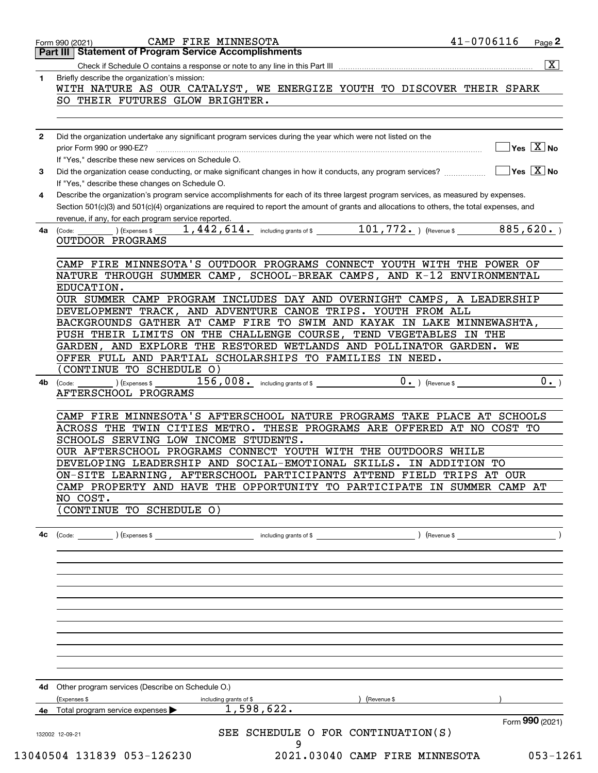|              | <b>Part III   Statement of Program Service Accomplishments</b>                                                                               |
|--------------|----------------------------------------------------------------------------------------------------------------------------------------------|
|              | $\overline{\mathbf{x}}$                                                                                                                      |
| 1.           | Briefly describe the organization's mission:                                                                                                 |
|              | WITH NATURE AS OUR CATALYST, WE ENERGIZE YOUTH TO DISCOVER THEIR SPARK                                                                       |
|              | SO THEIR FUTURES GLOW BRIGHTER.                                                                                                              |
|              |                                                                                                                                              |
|              |                                                                                                                                              |
| $\mathbf{2}$ | Did the organization undertake any significant program services during the year which were not listed on the                                 |
|              | $]$ Yes $[\overline{\mathrm{X}}]$ No                                                                                                         |
|              | If "Yes." describe these new services on Schedule O.                                                                                         |
| 3            |                                                                                                                                              |
|              | If "Yes," describe these changes on Schedule O.                                                                                              |
| 4            | Describe the organization's program service accomplishments for each of its three largest program services, as measured by expenses.         |
|              | Section 501(c)(3) and 501(c)(4) organizations are required to report the amount of grants and allocations to others, the total expenses, and |
|              | revenue, if any, for each program service reported.                                                                                          |
|              |                                                                                                                                              |
| 4a l         | (Code:                                                                                                                                       |
|              | OUTDOOR PROGRAMS                                                                                                                             |
|              |                                                                                                                                              |
|              | CAMP FIRE MINNESOTA'S OUTDOOR PROGRAMS CONNECT YOUTH WITH THE POWER OF                                                                       |
|              | NATURE THROUGH SUMMER CAMP, SCHOOL-BREAK CAMPS, AND K-12 ENVIRONMENTAL                                                                       |
|              | EDUCATION.                                                                                                                                   |
|              | OUR SUMMER CAMP PROGRAM INCLUDES DAY AND OVERNIGHT CAMPS, A LEADERSHIP                                                                       |
|              | DEVELOPMENT TRACK, AND ADVENTURE CANOE TRIPS. YOUTH FROM ALL                                                                                 |
|              | BACKGROUNDS GATHER AT CAMP FIRE TO SWIM AND KAYAK IN LAKE MINNEWASHTA,                                                                       |
|              | PUSH THEIR LIMITS ON THE CHALLENGE COURSE, TEND VEGETABLES IN THE                                                                            |
|              | GARDEN, AND EXPLORE THE RESTORED WETLANDS AND POLLINATOR GARDEN. WE                                                                          |
|              | OFFER FULL AND PARTIAL SCHOLARSHIPS TO FAMILIES IN NEED.                                                                                     |
|              | CONTINUE TO SCHEDULE O)                                                                                                                      |
| 4b           | $\overline{0 \cdot}$ ) (Revenue \$<br>0.<br>$156$ , $008$ o including grants of \$<br>$\left($ Expenses \$ $\right)$<br>(Code:               |
|              | AFTERSCHOOL PROGRAMS                                                                                                                         |
|              |                                                                                                                                              |
|              | CAMP FIRE MINNESOTA'S AFTERSCHOOL NATURE PROGRAMS TAKE PLACE AT SCHOOLS                                                                      |
|              | ACROSS THE TWIN CITIES METRO. THESE PROGRAMS ARE OFFERED AT NO COST TO                                                                       |
|              |                                                                                                                                              |
|              |                                                                                                                                              |
|              | SCHOOLS SERVING LOW INCOME STUDENTS.                                                                                                         |
|              | OUR AFTERSCHOOL PROGRAMS CONNECT YOUTH WITH THE OUTDOORS WHILE                                                                               |
|              | DEVELOPING LEADERSHIP AND SOCIAL-EMOTIONAL SKILLS. IN ADDITION TO                                                                            |
|              | ON-SITE LEARNING, AFTERSCHOOL PARTICIPANTS ATTEND FIELD TRIPS AT OUR                                                                         |
|              | CAMP PROPERTY AND HAVE THE OPPORTUNITY TO PARTICIPATE IN SUMMER CAMP AT                                                                      |
|              | NO COST.                                                                                                                                     |
|              | (CONTINUE TO SCHEDULE O)                                                                                                                     |
|              |                                                                                                                                              |
| 4c           | ) (Revenue \$<br>) (Expenses \$<br>including grants of \$<br>(Code:                                                                          |
|              |                                                                                                                                              |
|              |                                                                                                                                              |
|              |                                                                                                                                              |
|              |                                                                                                                                              |
|              |                                                                                                                                              |
|              |                                                                                                                                              |
|              |                                                                                                                                              |
|              |                                                                                                                                              |
|              |                                                                                                                                              |
|              |                                                                                                                                              |
|              |                                                                                                                                              |
|              |                                                                                                                                              |
|              |                                                                                                                                              |
|              | 4d Other program services (Describe on Schedule O.)                                                                                          |
|              | (Revenue \$<br>(Expenses \$<br>including grants of \$                                                                                        |
|              | 1,598,622.<br>4e Total program service expenses $\blacktriangleright$                                                                        |
|              | Form 990 (2021)<br>SEE SCHEDULE O FOR CONTINUATION(S)<br>132002 12-09-21                                                                     |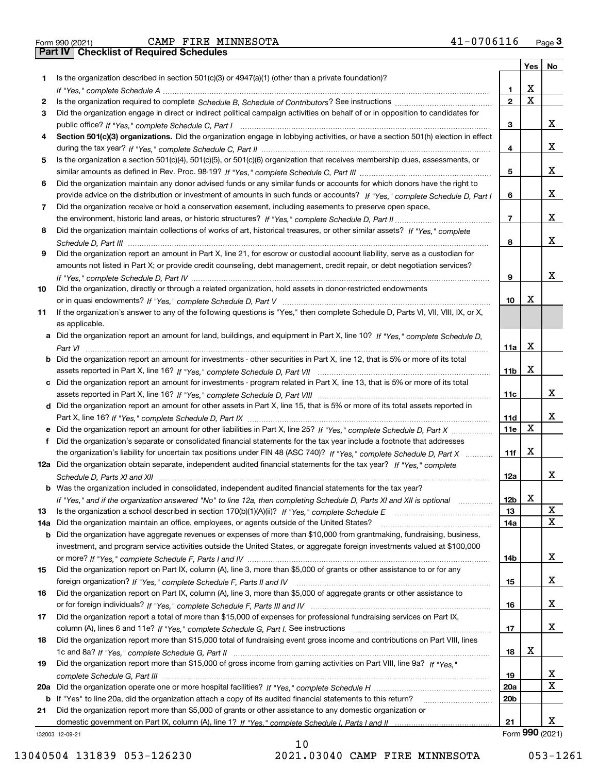|  | Form 990 (2021 |
|--|----------------|

Form 990 (2021) CAMP FIRE MINNESOTA 41-0706116 <sub>Page</sub> 3<br>**Part IV | Checklist of Required Schedules** 

|     |                                                                                                                                       |                 | Yes | No              |
|-----|---------------------------------------------------------------------------------------------------------------------------------------|-----------------|-----|-----------------|
| 1   | Is the organization described in section $501(c)(3)$ or $4947(a)(1)$ (other than a private foundation)?                               |                 |     |                 |
|     |                                                                                                                                       | 1               | x   |                 |
| 2   |                                                                                                                                       | $\overline{2}$  | X   |                 |
| З   | Did the organization engage in direct or indirect political campaign activities on behalf of or in opposition to candidates for       |                 |     |                 |
|     |                                                                                                                                       | 3               |     | x               |
| 4   | Section 501(c)(3) organizations. Did the organization engage in lobbying activities, or have a section 501(h) election in effect      |                 |     |                 |
|     |                                                                                                                                       | 4               |     | x               |
| 5   | Is the organization a section 501(c)(4), 501(c)(5), or 501(c)(6) organization that receives membership dues, assessments, or          |                 |     |                 |
|     |                                                                                                                                       | 5               |     | x               |
| 6   | Did the organization maintain any donor advised funds or any similar funds or accounts for which donors have the right to             |                 |     |                 |
|     | provide advice on the distribution or investment of amounts in such funds or accounts? If "Yes," complete Schedule D, Part I          | 6               |     | x               |
| 7   | Did the organization receive or hold a conservation easement, including easements to preserve open space,                             |                 |     |                 |
|     |                                                                                                                                       | $\overline{7}$  |     | x               |
| 8   | Did the organization maintain collections of works of art, historical treasures, or other similar assets? If "Yes," complete          |                 |     |                 |
|     |                                                                                                                                       | 8               |     | x               |
|     | Did the organization report an amount in Part X, line 21, for escrow or custodial account liability, serve as a custodian for         |                 |     |                 |
| 9   |                                                                                                                                       |                 |     |                 |
|     | amounts not listed in Part X; or provide credit counseling, debt management, credit repair, or debt negotiation services?             |                 |     |                 |
|     |                                                                                                                                       | 9               |     | x               |
| 10  | Did the organization, directly or through a related organization, hold assets in donor-restricted endowments                          |                 |     |                 |
|     |                                                                                                                                       | 10              | х   |                 |
| 11  | If the organization's answer to any of the following questions is "Yes," then complete Schedule D, Parts VI, VII, VIII, IX, or X,     |                 |     |                 |
|     | as applicable.                                                                                                                        |                 |     |                 |
|     | a Did the organization report an amount for land, buildings, and equipment in Part X, line 10? If "Yes," complete Schedule D.         |                 |     |                 |
|     |                                                                                                                                       | 11a             | x   |                 |
|     | <b>b</b> Did the organization report an amount for investments - other securities in Part X, line 12, that is 5% or more of its total |                 |     |                 |
|     |                                                                                                                                       | 11 <sub>b</sub> | X   |                 |
|     | c Did the organization report an amount for investments - program related in Part X, line 13, that is 5% or more of its total         |                 |     |                 |
|     |                                                                                                                                       | 11c             |     | x               |
|     | d Did the organization report an amount for other assets in Part X, line 15, that is 5% or more of its total assets reported in       |                 |     |                 |
|     |                                                                                                                                       | 11d             |     | x               |
|     | e Did the organization report an amount for other liabilities in Part X, line 25? If "Yes," complete Schedule D, Part X               | 11e             | X   |                 |
| f   | Did the organization's separate or consolidated financial statements for the tax year include a footnote that addresses               |                 |     |                 |
|     | the organization's liability for uncertain tax positions under FIN 48 (ASC 740)? If "Yes," complete Schedule D, Part X                | 11f             | x   |                 |
|     | 12a Did the organization obtain separate, independent audited financial statements for the tax year? If "Yes," complete               |                 |     |                 |
|     |                                                                                                                                       | 12a             |     | x               |
|     | <b>b</b> Was the organization included in consolidated, independent audited financial statements for the tax year?                    |                 |     |                 |
|     | If "Yes," and if the organization answered "No" to line 12a, then completing Schedule D, Parts XI and XII is optional                 | 12 <sub>b</sub> | X   |                 |
| 13  | Is the organization a school described in section 170(b)(1)(A)(ii)? If "Yes," complete Schedule E                                     | 13              |     | x               |
| 14a | Did the organization maintain an office, employees, or agents outside of the United States?                                           | 14a             |     | X               |
| b   | Did the organization have aggregate revenues or expenses of more than \$10,000 from grantmaking, fundraising, business,               |                 |     |                 |
|     |                                                                                                                                       |                 |     |                 |
|     | investment, and program service activities outside the United States, or aggregate foreign investments valued at \$100,000            |                 |     | x               |
|     |                                                                                                                                       | 14b             |     |                 |
| 15  | Did the organization report on Part IX, column (A), line 3, more than \$5,000 of grants or other assistance to or for any             |                 |     |                 |
|     |                                                                                                                                       | 15              |     | x               |
| 16  | Did the organization report on Part IX, column (A), line 3, more than \$5,000 of aggregate grants or other assistance to              |                 |     |                 |
|     |                                                                                                                                       | 16              |     | x               |
| 17  | Did the organization report a total of more than \$15,000 of expenses for professional fundraising services on Part IX,               |                 |     |                 |
|     |                                                                                                                                       | 17              |     | x               |
| 18  | Did the organization report more than \$15,000 total of fundraising event gross income and contributions on Part VIII, lines          |                 |     |                 |
|     |                                                                                                                                       | 18              | х   |                 |
| 19  | Did the organization report more than \$15,000 of gross income from gaming activities on Part VIII, line 9a? If "Yes."                |                 |     |                 |
|     |                                                                                                                                       | 19              |     | X               |
| 20a |                                                                                                                                       | 20a             |     | X               |
| b   | If "Yes" to line 20a, did the organization attach a copy of its audited financial statements to this return?                          | 20 <sub>b</sub> |     |                 |
| 21  | Did the organization report more than \$5,000 of grants or other assistance to any domestic organization or                           |                 |     |                 |
|     |                                                                                                                                       | 21              |     | х               |
|     | 132003 12-09-21                                                                                                                       |                 |     | Form 990 (2021) |

10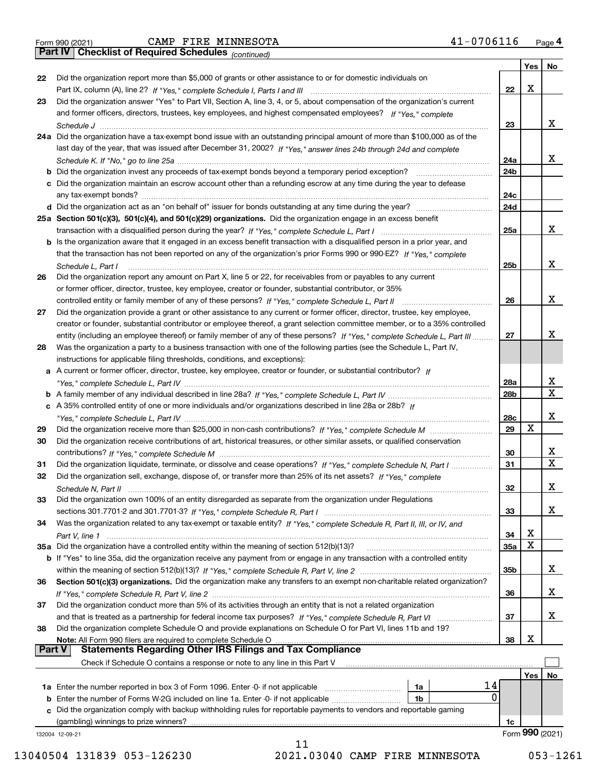|  | Form 990 (2021) |  |
|--|-----------------|--|
|  |                 |  |

Form 990 (2021) CAMP FIRE MINNESOTA 41-0706116 <sub>Page</sub> 4<br>**Part IV | Checklist of Required Schedules** <sub>(continued)</sub>

*(continued)*

|               |                                                                                                                                    |                 | Yes | No              |
|---------------|------------------------------------------------------------------------------------------------------------------------------------|-----------------|-----|-----------------|
| 22            | Did the organization report more than \$5,000 of grants or other assistance to or for domestic individuals on                      |                 |     |                 |
|               |                                                                                                                                    | 22              | X   |                 |
| 23            | Did the organization answer "Yes" to Part VII, Section A, line 3, 4, or 5, about compensation of the organization's current        |                 |     |                 |
|               | and former officers, directors, trustees, key employees, and highest compensated employees? If "Yes," complete                     |                 |     |                 |
|               |                                                                                                                                    | 23              |     | x               |
|               | 24a Did the organization have a tax-exempt bond issue with an outstanding principal amount of more than \$100,000 as of the        |                 |     |                 |
|               | last day of the year, that was issued after December 31, 2002? If "Yes," answer lines 24b through 24d and complete                 |                 |     |                 |
|               |                                                                                                                                    | 24a             |     | х               |
|               | <b>b</b> Did the organization invest any proceeds of tax-exempt bonds beyond a temporary period exception?                         | 24b             |     |                 |
|               | c Did the organization maintain an escrow account other than a refunding escrow at any time during the year to defease             |                 |     |                 |
|               |                                                                                                                                    | 24c             |     |                 |
|               |                                                                                                                                    | 24d             |     |                 |
|               | 25a Section 501(c)(3), 501(c)(4), and 501(c)(29) organizations. Did the organization engage in an excess benefit                   |                 |     |                 |
|               |                                                                                                                                    | 25a             |     | х               |
|               | b Is the organization aware that it engaged in an excess benefit transaction with a disqualified person in a prior year, and       |                 |     |                 |
|               | that the transaction has not been reported on any of the organization's prior Forms 990 or 990-EZ? If "Yes," complete              |                 |     |                 |
|               | Schedule L, Part I                                                                                                                 | 25b             |     | x               |
| 26            | Did the organization report any amount on Part X, line 5 or 22, for receivables from or payables to any current                    |                 |     |                 |
|               | or former officer, director, trustee, key employee, creator or founder, substantial contributor, or 35%                            |                 |     |                 |
|               |                                                                                                                                    | 26              |     | х               |
| 27            | Did the organization provide a grant or other assistance to any current or former officer, director, trustee, key employee,        |                 |     |                 |
|               | creator or founder, substantial contributor or employee thereof, a grant selection committee member, or to a 35% controlled        |                 |     |                 |
|               | entity (including an employee thereof) or family member of any of these persons? If "Yes," complete Schedule L, Part III           | 27              |     | x               |
| 28            | Was the organization a party to a business transaction with one of the following parties (see the Schedule L, Part IV,             |                 |     |                 |
|               | instructions for applicable filing thresholds, conditions, and exceptions):                                                        |                 |     |                 |
|               | a A current or former officer, director, trustee, key employee, creator or founder, or substantial contributor? If                 |                 |     |                 |
|               |                                                                                                                                    | 28a             |     | х               |
|               |                                                                                                                                    | 28 <sub>b</sub> |     | $\mathbf X$     |
|               | c A 35% controlled entity of one or more individuals and/or organizations described in line 28a or 28b? If                         |                 |     |                 |
|               |                                                                                                                                    | 28c             |     | х               |
| 29            |                                                                                                                                    | 29              | x   |                 |
| 30            | Did the organization receive contributions of art, historical treasures, or other similar assets, or qualified conservation        |                 |     |                 |
|               |                                                                                                                                    | 30              |     | x               |
| 31            | Did the organization liquidate, terminate, or dissolve and cease operations? If "Yes," complete Schedule N, Part I                 | 31              |     | $\mathbf X$     |
| 32            | Did the organization sell, exchange, dispose of, or transfer more than 25% of its net assets? If "Yes," complete                   |                 |     |                 |
|               |                                                                                                                                    | 32              |     | x               |
| 33            | Did the organization own 100% of an entity disregarded as separate from the organization under Regulations                         |                 |     |                 |
|               |                                                                                                                                    | 33              |     | х               |
| 34            |                                                                                                                                    |                 |     |                 |
|               | Was the organization related to any tax-exempt or taxable entity? If "Yes," complete Schedule R, Part II, III, or IV, and          | 34              | х   |                 |
|               | 35a Did the organization have a controlled entity within the meaning of section 512(b)(13)?                                        | <b>35a</b>      | х   |                 |
|               | <b>b</b> If "Yes" to line 35a, did the organization receive any payment from or engage in any transaction with a controlled entity |                 |     |                 |
|               |                                                                                                                                    | 35b             |     | X               |
| 36            | Section 501(c)(3) organizations. Did the organization make any transfers to an exempt non-charitable related organization?         |                 |     |                 |
|               |                                                                                                                                    | 36              |     | х               |
| 37            | Did the organization conduct more than 5% of its activities through an entity that is not a related organization                   |                 |     |                 |
|               |                                                                                                                                    | 37              |     | х               |
| 38            | Did the organization complete Schedule O and provide explanations on Schedule O for Part VI, lines 11b and 19?                     |                 |     |                 |
|               | Note: All Form 990 filers are required to complete Schedule O                                                                      | 38              | х   |                 |
| <b>Part V</b> | <b>Statements Regarding Other IRS Filings and Tax Compliance</b>                                                                   |                 |     |                 |
|               | Check if Schedule O contains a response or note to any line in this Part V                                                         |                 |     |                 |
|               |                                                                                                                                    |                 | Yes | No              |
|               | 14<br>1a                                                                                                                           |                 |     |                 |
|               | 0<br>1b                                                                                                                            |                 |     |                 |
|               | c Did the organization comply with backup withholding rules for reportable payments to vendors and reportable gaming               |                 |     |                 |
|               | (gambling) winnings to prize winners?                                                                                              | 1c              |     |                 |
|               | 132004 12-09-21                                                                                                                    |                 |     | Form 990 (2021) |
|               | 11                                                                                                                                 |                 |     |                 |
|               |                                                                                                                                    |                 |     |                 |

 <sup>13040504 131839 053-126230 2021.03040</sup> CAMP FIRE MINNESOTA 053-1261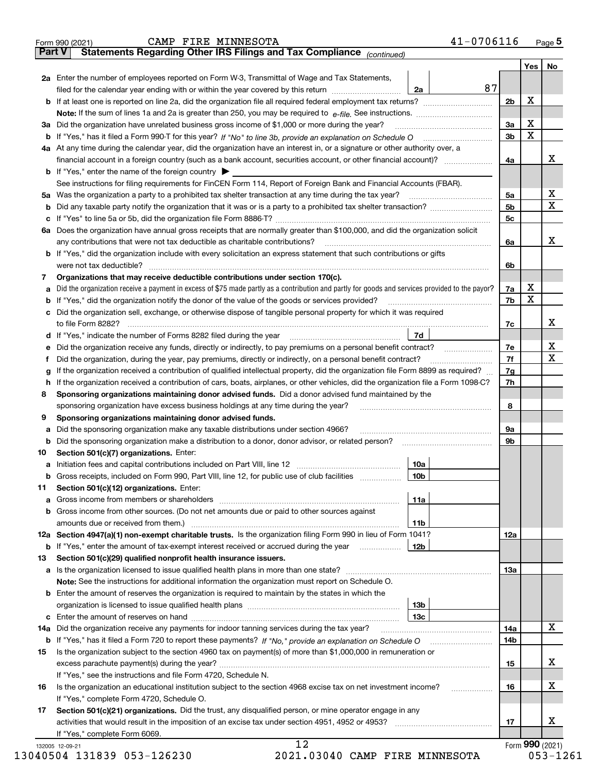|    | <b>Part V</b><br>Statements Regarding Other IRS Filings and Tax Compliance (continued)                                                                                              |     |                |          |                              |
|----|-------------------------------------------------------------------------------------------------------------------------------------------------------------------------------------|-----|----------------|----------|------------------------------|
|    |                                                                                                                                                                                     |     |                | Yes   No |                              |
|    | 2a Enter the number of employees reported on Form W-3, Transmittal of Wage and Tax Statements,<br>filed for the calendar year ending with or within the year covered by this return |     | 87             |          |                              |
|    |                                                                                                                                                                                     | 2a  | 2b             | х        |                              |
|    |                                                                                                                                                                                     |     |                |          |                              |
|    |                                                                                                                                                                                     |     |                | x        |                              |
|    | 3a Did the organization have unrelated business gross income of \$1,000 or more during the year?                                                                                    |     | 3a             | X        |                              |
|    |                                                                                                                                                                                     |     | 3 <sub>b</sub> |          |                              |
|    | 4a At any time during the calendar year, did the organization have an interest in, or a signature or other authority over, a                                                        |     |                |          |                              |
|    | financial account in a foreign country (such as a bank account, securities account, or other financial account)?                                                                    |     | 4a             |          | х                            |
|    | <b>b</b> If "Yes," enter the name of the foreign country $\blacktriangleright$                                                                                                      |     |                |          |                              |
|    | See instructions for filing requirements for FinCEN Form 114, Report of Foreign Bank and Financial Accounts (FBAR).                                                                 |     |                |          |                              |
|    |                                                                                                                                                                                     |     | 5a             |          | х<br>$\overline{\mathbf{X}}$ |
| b  |                                                                                                                                                                                     |     | 5b             |          |                              |
| c  |                                                                                                                                                                                     |     | 5c             |          |                              |
|    | 6a Does the organization have annual gross receipts that are normally greater than \$100,000, and did the organization solicit                                                      |     |                |          |                              |
|    | any contributions that were not tax deductible as charitable contributions?                                                                                                         |     | 6a             |          | x                            |
|    | <b>b</b> If "Yes," did the organization include with every solicitation an express statement that such contributions or gifts                                                       |     |                |          |                              |
|    |                                                                                                                                                                                     |     | 6b             |          |                              |
| 7  | Organizations that may receive deductible contributions under section 170(c).                                                                                                       |     |                |          |                              |
| а  | Did the organization receive a payment in excess of \$75 made partly as a contribution and partly for goods and services provided to the payor?                                     |     | 7a             | х        |                              |
| b  | If "Yes," did the organization notify the donor of the value of the goods or services provided?                                                                                     |     | 7b             | X        |                              |
|    | c Did the organization sell, exchange, or otherwise dispose of tangible personal property for which it was required                                                                 |     |                |          |                              |
|    |                                                                                                                                                                                     |     | 7c             |          | х                            |
|    | d If "Yes," indicate the number of Forms 8282 filed during the year [11] [11] No. 2010 [12] Henry Manuscover, 1                                                                     | 7d  |                |          |                              |
| е  | Did the organization receive any funds, directly or indirectly, to pay premiums on a personal benefit contract?                                                                     |     | 7e             |          | х                            |
| f  | Did the organization, during the year, pay premiums, directly or indirectly, on a personal benefit contract?                                                                        |     | 7f             |          | $\mathbf X$                  |
| g  | If the organization received a contribution of qualified intellectual property, did the organization file Form 8899 as required?                                                    |     | 7g             |          |                              |
| h  | If the organization received a contribution of cars, boats, airplanes, or other vehicles, did the organization file a Form 1098-C?                                                  |     | 7h             |          |                              |
| 8  | Sponsoring organizations maintaining donor advised funds. Did a donor advised fund maintained by the                                                                                |     |                |          |                              |
|    | sponsoring organization have excess business holdings at any time during the year?                                                                                                  |     | 8              |          |                              |
| 9  | Sponsoring organizations maintaining donor advised funds.                                                                                                                           |     |                |          |                              |
| а  | Did the sponsoring organization make any taxable distributions under section 4966?                                                                                                  |     | 9а             |          |                              |
| b  |                                                                                                                                                                                     |     | 9b             |          |                              |
| 10 | Section 501(c)(7) organizations. Enter:                                                                                                                                             |     |                |          |                              |
|    |                                                                                                                                                                                     | 10a |                |          |                              |
|    | Gross receipts, included on Form 990, Part VIII, line 12, for public use of club facilities                                                                                         | 10b |                |          |                              |
| 11 | Section 501(c)(12) organizations. Enter:                                                                                                                                            |     |                |          |                              |
|    |                                                                                                                                                                                     | 11a |                |          |                              |
|    | b Gross income from other sources. (Do not net amounts due or paid to other sources against                                                                                         |     |                |          |                              |
|    |                                                                                                                                                                                     | 11b |                |          |                              |
|    | 12a Section 4947(a)(1) non-exempt charitable trusts. Is the organization filing Form 990 in lieu of Form 1041?                                                                      |     | 12a            |          |                              |
|    | <b>b</b> If "Yes," enter the amount of tax-exempt interest received or accrued during the year                                                                                      | 12b |                |          |                              |
| 13 | Section 501(c)(29) qualified nonprofit health insurance issuers.                                                                                                                    |     |                |          |                              |
|    | a Is the organization licensed to issue qualified health plans in more than one state?                                                                                              |     | 13а            |          |                              |
|    | Note: See the instructions for additional information the organization must report on Schedule O.                                                                                   |     |                |          |                              |
|    | <b>b</b> Enter the amount of reserves the organization is required to maintain by the states in which the                                                                           |     |                |          |                              |
|    |                                                                                                                                                                                     | 13b |                |          |                              |
|    |                                                                                                                                                                                     | 13с |                |          |                              |
|    | 14a Did the organization receive any payments for indoor tanning services during the tax year?                                                                                      |     | 14a            |          | X                            |
|    |                                                                                                                                                                                     |     | 14b            |          |                              |
| 15 | Is the organization subject to the section 4960 tax on payment(s) of more than \$1,000,000 in remuneration or                                                                       |     |                |          |                              |
|    |                                                                                                                                                                                     |     | 15             |          | x                            |
|    | If "Yes," see the instructions and file Form 4720, Schedule N.                                                                                                                      |     |                |          |                              |
| 16 | Is the organization an educational institution subject to the section 4968 excise tax on net investment income?                                                                     |     | 16             |          | х                            |
|    | If "Yes," complete Form 4720, Schedule O.                                                                                                                                           |     |                |          |                              |
| 17 | Section 501(c)(21) organizations. Did the trust, any disqualified person, or mine operator engage in any                                                                            |     |                |          |                              |
|    |                                                                                                                                                                                     |     | 17             |          | х                            |
|    | If "Yes," complete Form 6069.                                                                                                                                                       |     |                |          |                              |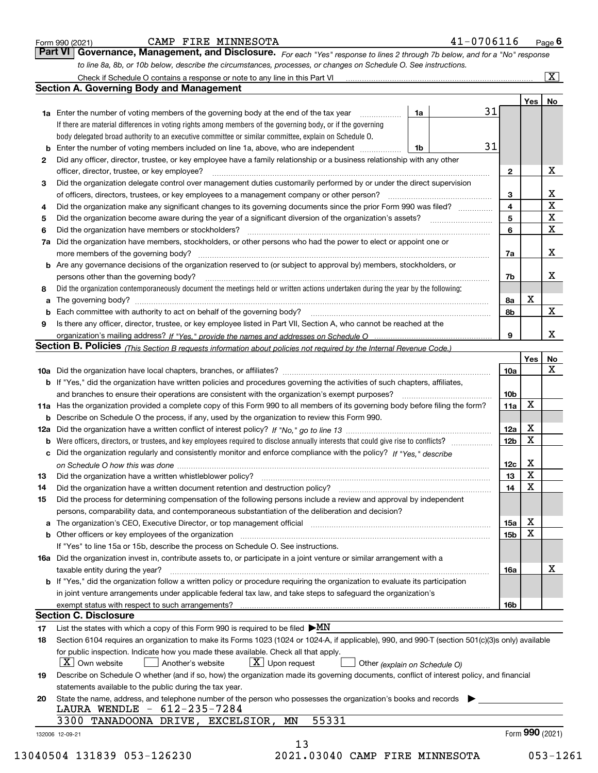*For each "Yes" response to lines 2 through 7b below, and for a "No" response to line 8a, 8b, or 10b below, describe the circumstances, processes, or changes on Schedule O. See instructions.* Form 990 (2021) **CAMP FIRE MINNESOTA** 41-0706116 Page 6<br>**Part VI Governance, Management, and Disclosure.** For each "Yes" response to lines 2 through 7b below, and for a "No" response

|    |                                                                                                                                                                                                                                |    |  |    |                 | Yes   No |                         |  |
|----|--------------------------------------------------------------------------------------------------------------------------------------------------------------------------------------------------------------------------------|----|--|----|-----------------|----------|-------------------------|--|
|    | <b>1a</b> Enter the number of voting members of the governing body at the end of the tax year <i>manumum</i>                                                                                                                   | 1a |  | 31 |                 |          |                         |  |
|    | If there are material differences in voting rights among members of the governing body, or if the governing                                                                                                                    |    |  |    |                 |          |                         |  |
|    | body delegated broad authority to an executive committee or similar committee, explain on Schedule O.                                                                                                                          |    |  |    |                 |          |                         |  |
| b  | Enter the number of voting members included on line 1a, above, who are independent                                                                                                                                             | 1b |  | 31 |                 |          |                         |  |
| 2  | Did any officer, director, trustee, or key employee have a family relationship or a business relationship with any other                                                                                                       |    |  |    |                 |          |                         |  |
|    | officer, director, trustee, or key employee?                                                                                                                                                                                   |    |  |    | $\mathbf{2}$    |          | Х                       |  |
| 3  | Did the organization delegate control over management duties customarily performed by or under the direct supervision                                                                                                          |    |  |    |                 |          |                         |  |
|    | of officers, directors, trustees, or key employees to a management company or other person?                                                                                                                                    |    |  |    | 3               |          | $\underline{x}$         |  |
| 4  | Did the organization make any significant changes to its governing documents since the prior Form 990 was filed?                                                                                                               |    |  |    | 4               |          | $\overline{\mathbf{x}}$ |  |
| 5  |                                                                                                                                                                                                                                |    |  |    | 5               |          | $\overline{\textbf{X}}$ |  |
| 6  | Did the organization have members or stockholders?                                                                                                                                                                             |    |  |    | 6               |          | $\overline{\mathbf{x}}$ |  |
| 7a | Did the organization have members, stockholders, or other persons who had the power to elect or appoint one or                                                                                                                 |    |  |    |                 |          |                         |  |
|    |                                                                                                                                                                                                                                |    |  |    | 7a              |          | X                       |  |
|    | <b>b</b> Are any governance decisions of the organization reserved to (or subject to approval by) members, stockholders, or                                                                                                    |    |  |    |                 |          |                         |  |
|    | persons other than the governing body?                                                                                                                                                                                         |    |  |    | 7b              |          | X                       |  |
| 8  | Did the organization contemporaneously document the meetings held or written actions undertaken during the year by the following:                                                                                              |    |  |    |                 |          |                         |  |
| а  |                                                                                                                                                                                                                                |    |  |    | 8a              | х        |                         |  |
|    | Each committee with authority to act on behalf of the governing body? [11] manufactures manufactures with authority to act on behalf of the governing body? [11] manufactures with authority of the state with an intervals wi |    |  |    | 8b              |          | X                       |  |
| 9  | Is there any officer, director, trustee, or key employee listed in Part VII, Section A, who cannot be reached at the                                                                                                           |    |  |    |                 |          |                         |  |
|    |                                                                                                                                                                                                                                |    |  |    | 9               |          | X                       |  |
|    | Section B. Policies <i>(This Section B requests information about policies not required by the Internal Revenue Code.)</i>                                                                                                     |    |  |    |                 |          |                         |  |
|    |                                                                                                                                                                                                                                |    |  |    |                 | Yes      | <b>No</b>               |  |
|    |                                                                                                                                                                                                                                |    |  |    | 10a             |          | X                       |  |
|    | <b>b</b> If "Yes," did the organization have written policies and procedures governing the activities of such chapters, affiliates,                                                                                            |    |  |    |                 |          |                         |  |
|    |                                                                                                                                                                                                                                |    |  |    | 10 <sub>b</sub> |          |                         |  |
|    | 11a Has the organization provided a complete copy of this Form 990 to all members of its governing body before filing the form?                                                                                                |    |  |    | 11a             | X        |                         |  |
|    | <b>b</b> Describe on Schedule O the process, if any, used by the organization to review this Form 990.                                                                                                                         |    |  |    |                 |          |                         |  |
|    |                                                                                                                                                                                                                                |    |  |    | 12a             | X        |                         |  |
| b  | Were officers, directors, or trustees, and key employees required to disclose annually interests that could give rise to conflicts?                                                                                            |    |  |    | 12 <sub>b</sub> | X        |                         |  |
| c  | Did the organization regularly and consistently monitor and enforce compliance with the policy? If "Yes," describe                                                                                                             |    |  |    |                 |          |                         |  |
|    |                                                                                                                                                                                                                                |    |  |    | 12c             | X        |                         |  |
| 13 | Did the organization have a written whistleblower policy?<br>manufaction contains and contained a manufacture contained a manufacture and the original contains a manufact                                                     |    |  |    | 13              | X        |                         |  |
| 14 |                                                                                                                                                                                                                                |    |  |    | 14              | X        |                         |  |
| 15 | Did the process for determining compensation of the following persons include a review and approval by independent                                                                                                             |    |  |    |                 |          |                         |  |
|    | persons, comparability data, and contemporaneous substantiation of the deliberation and decision?                                                                                                                              |    |  |    |                 |          |                         |  |
|    | a The organization's CEO, Executive Director, or top management official manufactured content of the organization's CEO, Executive Director, or top management official                                                        |    |  |    | 15a             | х        |                         |  |
|    | <b>b</b> Other officers or key employees of the organization with the content of the organization of the organization                                                                                                          |    |  |    | 15 <sub>b</sub> | X        |                         |  |
|    | If "Yes" to line 15a or 15b, describe the process on Schedule O. See instructions.                                                                                                                                             |    |  |    |                 |          |                         |  |
|    | 16a Did the organization invest in, contribute assets to, or participate in a joint venture or similar arrangement with a                                                                                                      |    |  |    |                 |          |                         |  |
|    | taxable entity during the year?                                                                                                                                                                                                |    |  |    | 16a             |          | х                       |  |
|    | <b>b</b> If "Yes," did the organization follow a written policy or procedure requiring the organization to evaluate its participation                                                                                          |    |  |    |                 |          |                         |  |
|    | in joint venture arrangements under applicable federal tax law, and take steps to safeguard the organization's                                                                                                                 |    |  |    |                 |          |                         |  |
|    |                                                                                                                                                                                                                                |    |  |    | 16b             |          |                         |  |
|    | <b>Section C. Disclosure</b>                                                                                                                                                                                                   |    |  |    |                 |          |                         |  |
| 17 | List the states with which a copy of this Form 990 is required to be filed $\blacktriangleright MN$                                                                                                                            |    |  |    |                 |          |                         |  |
| 18 | Section 6104 requires an organization to make its Forms 1023 (1024 or 1024-A, if applicable), 990, and 990-T (section 501(c)(3)s only) available                                                                               |    |  |    |                 |          |                         |  |
|    | for public inspection. Indicate how you made these available. Check all that apply.                                                                                                                                            |    |  |    |                 |          |                         |  |
|    | $X$ Upon request<br>$\mid$ $\rm X \mid$ Own website<br>Another's website<br>Other (explain on Schedule O)                                                                                                                      |    |  |    |                 |          |                         |  |
| 19 | Describe on Schedule O whether (and if so, how) the organization made its governing documents, conflict of interest policy, and financial                                                                                      |    |  |    |                 |          |                         |  |
|    | statements available to the public during the tax year.                                                                                                                                                                        |    |  |    |                 |          |                         |  |
| 20 | State the name, address, and telephone number of the person who possesses the organization's books and records                                                                                                                 |    |  |    |                 |          |                         |  |
|    | LAURA WENDLE - 612-235-7284                                                                                                                                                                                                    |    |  |    |                 |          |                         |  |
|    | 55331<br>3300 TANADOONA DRIVE, EXCELSIOR,<br>ΜN                                                                                                                                                                                |    |  |    |                 |          |                         |  |
|    |                                                                                                                                                                                                                                |    |  |    |                 |          | Form $990$ (2021)       |  |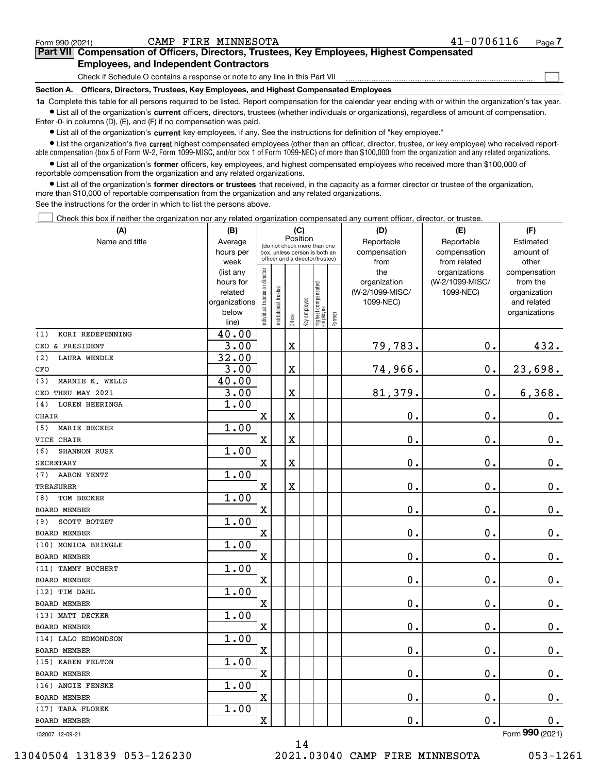|  | Form 990 (2021) |
|--|-----------------|
|  |                 |

 $\mathcal{L}^{\text{max}}$ 

# **7Part VII Compensation of Officers, Directors, Trustees, Key Employees, Highest Compensated Employees, and Independent Contractors**

Check if Schedule O contains a response or note to any line in this Part VII

**Section A. Officers, Directors, Trustees, Key Employees, and Highest Compensated Employees**

**1a**  Complete this table for all persons required to be listed. Report compensation for the calendar year ending with or within the organization's tax year. **•** List all of the organization's current officers, directors, trustees (whether individuals or organizations), regardless of amount of compensation.

Enter -0- in columns (D), (E), and (F) if no compensation was paid.

 $\bullet$  List all of the organization's  $\sf current$  key employees, if any. See the instructions for definition of "key employee."

**•** List the organization's five current highest compensated employees (other than an officer, director, trustee, or key employee) who received reportable compensation (box 5 of Form W-2, Form 1099-MISC, and/or box 1 of Form 1099-NEC) of more than \$100,000 from the organization and any related organizations.

**•** List all of the organization's former officers, key employees, and highest compensated employees who received more than \$100,000 of reportable compensation from the organization and any related organizations.

**former directors or trustees**  ¥ List all of the organization's that received, in the capacity as a former director or trustee of the organization, more than \$10,000 of reportable compensation from the organization and any related organizations.

See the instructions for the order in which to list the persons above.

Check this box if neither the organization nor any related organization compensated any current officer, director, or trustee.  $\mathcal{L}^{\text{max}}$ 

| (A)                          | (B)                                                                  | (C)                            |                                                                                                             | (D)     | (E)                                | (F)                                        |                                 |                                                     |                                               |                                                                          |
|------------------------------|----------------------------------------------------------------------|--------------------------------|-------------------------------------------------------------------------------------------------------------|---------|------------------------------------|--------------------------------------------|---------------------------------|-----------------------------------------------------|-----------------------------------------------|--------------------------------------------------------------------------|
| Name and title               | Average<br>hours per<br>week                                         |                                | Position<br>(do not check more than one<br>box, unless person is both an<br>officer and a director/trustee) |         | Reportable<br>compensation<br>from | Reportable<br>compensation<br>from related | Estimated<br>amount of<br>other |                                                     |                                               |                                                                          |
|                              | (list any<br>hours for<br>related<br>organizations<br>below<br>line) | Individual trustee or director | Institutional trustee                                                                                       | Officer | Key employee                       | Highest compensated<br>employee            | Former                          | the<br>organization<br>(W-2/1099-MISC/<br>1099-NEC) | organizations<br>(W-2/1099-MISC/<br>1099-NEC) | compensation<br>from the<br>organization<br>and related<br>organizations |
| KORI REDEPENNING<br>(1)      | 40.00                                                                |                                |                                                                                                             |         |                                    |                                            |                                 |                                                     |                                               |                                                                          |
| CEO & PRESIDENT              | 3.00                                                                 |                                |                                                                                                             | X       |                                    |                                            |                                 | 79,783.                                             | 0.                                            | 432.                                                                     |
| (2)<br>LAURA WENDLE          | 32.00                                                                |                                |                                                                                                             |         |                                    |                                            |                                 |                                                     |                                               |                                                                          |
| CFO                          | 3.00                                                                 |                                |                                                                                                             | X       |                                    |                                            |                                 | 74,966.                                             | $\mathbf 0$ .                                 | 23,698.                                                                  |
| MARNIE K. WELLS<br>(3)       | 40.00                                                                |                                |                                                                                                             |         |                                    |                                            |                                 |                                                     |                                               |                                                                          |
| CEO THRU MAY 2021            | 3.00                                                                 |                                |                                                                                                             | X       |                                    |                                            |                                 | 81,379.                                             | 0.                                            | 6,368.                                                                   |
| <b>LOREN HEERINGA</b><br>(4) | 1.00                                                                 |                                |                                                                                                             |         |                                    |                                            |                                 |                                                     |                                               |                                                                          |
| CHAIR                        |                                                                      | X                              |                                                                                                             | X       |                                    |                                            |                                 | 0.                                                  | 0.                                            | $0_{\cdot}$                                                              |
| (5)<br>MARIE BECKER          | 1.00                                                                 |                                |                                                                                                             |         |                                    |                                            |                                 |                                                     |                                               |                                                                          |
| VICE CHAIR                   |                                                                      | X                              |                                                                                                             | X       |                                    |                                            |                                 | $\mathbf 0$ .                                       | $0$ .                                         | $0_{.}$                                                                  |
| <b>SHANNON RUSK</b><br>(6)   | 1.00                                                                 |                                |                                                                                                             |         |                                    |                                            |                                 |                                                     |                                               |                                                                          |
| <b>SECRETARY</b>             |                                                                      | X                              |                                                                                                             | X       |                                    |                                            |                                 | 0.                                                  | Ο.                                            | $0_{.}$                                                                  |
| AARON YENTZ<br>(7)           | 1.00                                                                 |                                |                                                                                                             |         |                                    |                                            |                                 |                                                     |                                               |                                                                          |
| TREASURER                    |                                                                      | X                              |                                                                                                             | X       |                                    |                                            |                                 | $\mathbf 0$ .                                       | 0.                                            | $0_{.}$                                                                  |
| TOM BECKER<br>(8)            | 1.00                                                                 |                                |                                                                                                             |         |                                    |                                            |                                 |                                                     |                                               |                                                                          |
| BOARD MEMBER                 |                                                                      | X                              |                                                                                                             |         |                                    |                                            |                                 | $\mathbf 0$ .                                       | 0.                                            | $\mathbf 0$ .                                                            |
| SCOTT BOTZET<br>(9)          | 1.00                                                                 |                                |                                                                                                             |         |                                    |                                            |                                 |                                                     |                                               |                                                                          |
| BOARD MEMBER                 |                                                                      | X                              |                                                                                                             |         |                                    |                                            |                                 | 0.                                                  | 0.                                            | $\mathbf 0$ .                                                            |
| (10) MONICA BRINGLE          | 1.00                                                                 |                                |                                                                                                             |         |                                    |                                            |                                 |                                                     |                                               |                                                                          |
| BOARD MEMBER                 |                                                                      | X                              |                                                                                                             |         |                                    |                                            |                                 | $\mathbf 0$ .                                       | 0.                                            | $\mathbf 0$ .                                                            |
| (11) TAMMY BUCHERT           | 1.00                                                                 |                                |                                                                                                             |         |                                    |                                            |                                 |                                                     |                                               |                                                                          |
| BOARD MEMBER                 |                                                                      | X                              |                                                                                                             |         |                                    |                                            |                                 | 0.                                                  | 0.                                            | 0.                                                                       |
| (12) TIM DAHL                | 1.00                                                                 |                                |                                                                                                             |         |                                    |                                            |                                 |                                                     |                                               |                                                                          |
| BOARD MEMBER                 |                                                                      | X                              |                                                                                                             |         |                                    |                                            |                                 | $\mathbf 0$ .                                       | 0.                                            | $\mathbf 0$ .                                                            |
| (13) MATT DECKER             | 1.00                                                                 |                                |                                                                                                             |         |                                    |                                            |                                 |                                                     |                                               |                                                                          |
| <b>BOARD MEMBER</b>          |                                                                      | X                              |                                                                                                             |         |                                    |                                            |                                 | 0.                                                  | 0.                                            | $0_{.}$                                                                  |
| (14) LALO EDMONDSON          | 1.00                                                                 |                                |                                                                                                             |         |                                    |                                            |                                 |                                                     |                                               |                                                                          |
| BOARD MEMBER                 |                                                                      | X                              |                                                                                                             |         |                                    |                                            |                                 | $\mathbf 0$ .                                       | 0.                                            | $0_{.}$                                                                  |
| (15) KAREN FELTON            | 1.00                                                                 |                                |                                                                                                             |         |                                    |                                            |                                 |                                                     |                                               |                                                                          |
| <b>BOARD MEMBER</b>          |                                                                      | X                              |                                                                                                             |         |                                    |                                            |                                 | $\mathbf 0$ .                                       | 0.                                            | $\mathbf 0$ .                                                            |
| (16) ANGIE FENSKE            | 1.00                                                                 |                                |                                                                                                             |         |                                    |                                            |                                 |                                                     |                                               |                                                                          |
| <b>BOARD MEMBER</b>          |                                                                      | X                              |                                                                                                             |         |                                    |                                            |                                 | $\mathbf 0$ .                                       | 0.                                            | $\mathbf 0$ .                                                            |
| (17) TARA FLOREK             | 1.00                                                                 |                                |                                                                                                             |         |                                    |                                            |                                 |                                                     |                                               |                                                                          |
| BOARD MEMBER                 |                                                                      | X                              |                                                                                                             |         |                                    |                                            |                                 | $\mathbf 0$ .                                       | 0.                                            | 0.                                                                       |
| 132007 12-09-21              |                                                                      |                                |                                                                                                             |         |                                    |                                            |                                 |                                                     |                                               | Form 990 (2021)                                                          |

14

13040504 131839 053-126230 2021.03040 CAMP FIRE MINNESOTA 053-1261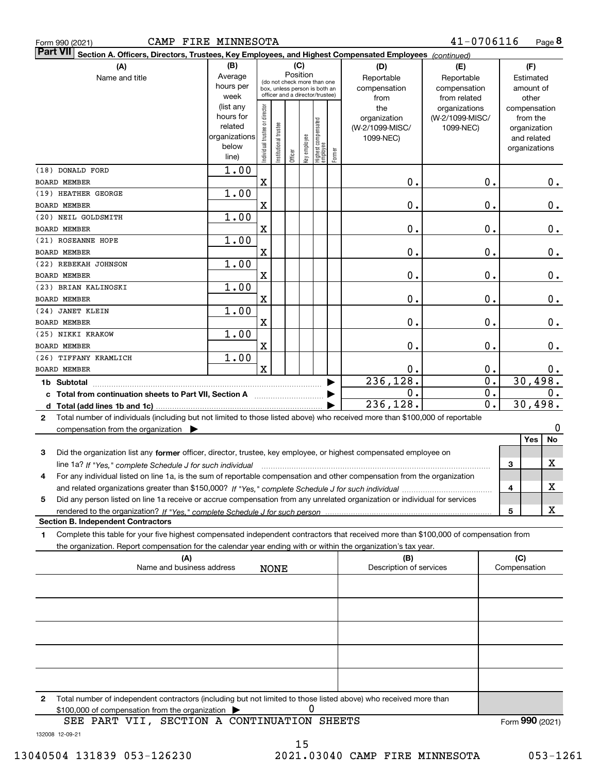|  | Form 990 (2021) |
|--|-----------------|
|  |                 |

Form 990 (2021) CAMP FIRE MINNESOTA 41-0706116 Page

**8** 41-0706116

| ∣Part VII ∣<br>Section A. Officers, Directors, Trustees, Key Employees, and Highest Compensated Employees (continued)                        |                           |                                |                      |          |              |                                                              |        |                              |                        |           |                              |    |
|----------------------------------------------------------------------------------------------------------------------------------------------|---------------------------|--------------------------------|----------------------|----------|--------------|--------------------------------------------------------------|--------|------------------------------|------------------------|-----------|------------------------------|----|
| (A)                                                                                                                                          | (B)                       | (C)<br>(D)                     |                      |          |              |                                                              |        |                              | (E)                    | (F)       |                              |    |
| Name and title                                                                                                                               | Average                   |                                |                      | Position |              |                                                              |        | Reportable                   | Reportable             | Estimated |                              |    |
|                                                                                                                                              | hours per                 |                                |                      |          |              | (do not check more than one<br>box, unless person is both an |        | compensation                 | compensation           |           | amount of                    |    |
|                                                                                                                                              | week                      |                                |                      |          |              | officer and a director/trustee)                              |        | from                         | from related           |           | other                        |    |
|                                                                                                                                              | (list any                 |                                |                      |          |              |                                                              |        | the                          | organizations          |           | compensation                 |    |
|                                                                                                                                              | hours for<br>related      |                                |                      |          |              |                                                              |        | organization                 | (W-2/1099-MISC/        |           | from the                     |    |
|                                                                                                                                              | organizations             |                                |                      |          |              |                                                              |        | (W-2/1099-MISC/<br>1099-NEC) | 1099-NEC)              |           | organization                 |    |
|                                                                                                                                              | below                     |                                |                      |          |              |                                                              |        |                              |                        |           | and related<br>organizations |    |
|                                                                                                                                              | line)                     | Individual trustee or director | nstitutional trustee | Officer  | key employee | Highest compensated<br>employee                              | Former |                              |                        |           |                              |    |
| (18) DONALD FORD                                                                                                                             | $\overline{1}$ .00        |                                |                      |          |              |                                                              |        |                              |                        |           |                              |    |
| <b>BOARD MEMBER</b>                                                                                                                          |                           | $\mathbf X$                    |                      |          |              |                                                              |        | 0.                           | $\mathbf 0$ .          |           |                              | 0. |
| (19) HEATHER GEORGE                                                                                                                          | 1.00                      |                                |                      |          |              |                                                              |        |                              |                        |           |                              |    |
| BOARD MEMBER                                                                                                                                 |                           | X                              |                      |          |              |                                                              |        | 0.                           | 0.                     |           |                              | 0. |
| (20) NEIL GOLDSMITH                                                                                                                          | 1.00                      |                                |                      |          |              |                                                              |        |                              |                        |           |                              |    |
| <b>BOARD MEMBER</b>                                                                                                                          |                           | X                              |                      |          |              |                                                              |        | 0.                           | 0.                     |           |                              | 0. |
| (21) ROSEANNE HOPE                                                                                                                           | 1.00                      |                                |                      |          |              |                                                              |        |                              |                        |           |                              |    |
| <b>BOARD MEMBER</b>                                                                                                                          |                           | X                              |                      |          |              |                                                              |        | 0.                           | 0.                     |           |                              | 0. |
| (22) REBEKAH JOHNSON                                                                                                                         | 1.00                      |                                |                      |          |              |                                                              |        |                              |                        |           |                              |    |
| BOARD MEMBER<br>(23) BRIAN KALINOSKI                                                                                                         | 1.00                      | X                              |                      |          |              |                                                              |        | 0.                           | 0.                     |           |                              | 0. |
| BOARD MEMBER                                                                                                                                 |                           | X                              |                      |          |              |                                                              |        | 0.                           | 0.                     |           |                              | 0. |
| (24) JANET KLEIN                                                                                                                             | 1.00                      |                                |                      |          |              |                                                              |        |                              |                        |           |                              |    |
| BOARD MEMBER                                                                                                                                 |                           | X                              |                      |          |              |                                                              |        | 0.                           | 0.                     |           |                              | 0. |
| (25) NIKKI KRAKOW                                                                                                                            | 1.00                      |                                |                      |          |              |                                                              |        |                              |                        |           |                              |    |
| BOARD MEMBER                                                                                                                                 |                           | X                              |                      |          |              |                                                              |        | 0.                           | 0.                     |           |                              | 0. |
| (26) TIFFANY KRAMLICH                                                                                                                        | 1.00                      |                                |                      |          |              |                                                              |        |                              |                        |           |                              |    |
| <b>BOARD MEMBER</b>                                                                                                                          |                           | $\mathbf x$                    |                      |          |              |                                                              |        | 0.<br>236, 128.              | 0.<br>$\overline{0}$ . |           | 30,498.                      | 0. |
| 1b Subtotal                                                                                                                                  |                           |                                |                      |          |              |                                                              |        | $\mathbf 0$ .                | 0.                     |           |                              | 0. |
| c Total from continuation sheets to Part VII, Section A manuscreen continuum                                                                 |                           |                                |                      |          |              |                                                              |        | 236, 128.                    | 0.                     |           | 30,498.                      |    |
|                                                                                                                                              |                           |                                |                      |          |              |                                                              |        |                              |                        |           |                              |    |
| Total number of individuals (including but not limited to those listed above) who received more than \$100,000 of reportable<br>$\mathbf{2}$ |                           |                                |                      |          |              |                                                              |        |                              |                        |           |                              | 0  |
| compensation from the organization $\blacktriangleright$                                                                                     |                           |                                |                      |          |              |                                                              |        |                              |                        |           | Yes                          | No |
| Did the organization list any former officer, director, trustee, key employee, or highest compensated employee on<br>3                       |                           |                                |                      |          |              |                                                              |        |                              |                        |           |                              |    |
| line 1a? If "Yes," complete Schedule J for such individual manument contained and the "Yes," complete Schedule                               |                           |                                |                      |          |              |                                                              |        |                              |                        | 3         |                              | х  |
| For any individual listed on line 1a, is the sum of reportable compensation and other compensation from the organization<br>4                |                           |                                |                      |          |              |                                                              |        |                              |                        |           |                              |    |
|                                                                                                                                              |                           |                                |                      |          |              |                                                              |        |                              |                        | 4         |                              | X  |
| Did any person listed on line 1a receive or accrue compensation from any unrelated organization or individual for services<br>5              |                           |                                |                      |          |              |                                                              |        |                              |                        |           |                              |    |
|                                                                                                                                              |                           |                                |                      |          |              |                                                              |        |                              |                        | 5         |                              | х  |
| <b>Section B. Independent Contractors</b>                                                                                                    |                           |                                |                      |          |              |                                                              |        |                              |                        |           |                              |    |
| Complete this table for your five highest compensated independent contractors that received more than \$100,000 of compensation from<br>1.   |                           |                                |                      |          |              |                                                              |        |                              |                        |           |                              |    |
| the organization. Report compensation for the calendar year ending with or within the organization's tax year.                               |                           |                                |                      |          |              |                                                              |        |                              |                        |           |                              |    |
|                                                                                                                                              | (A)                       |                                |                      |          |              |                                                              |        | (B)                          |                        |           | (C)                          |    |
|                                                                                                                                              | Name and business address |                                | <b>NONE</b>          |          |              |                                                              |        | Description of services      |                        |           | Compensation                 |    |
|                                                                                                                                              |                           |                                |                      |          |              |                                                              |        |                              |                        |           |                              |    |
|                                                                                                                                              |                           |                                |                      |          |              |                                                              |        |                              |                        |           |                              |    |
|                                                                                                                                              |                           |                                |                      |          |              |                                                              |        |                              |                        |           |                              |    |
|                                                                                                                                              |                           |                                |                      |          |              |                                                              |        |                              |                        |           |                              |    |
|                                                                                                                                              |                           |                                |                      |          |              |                                                              |        |                              |                        |           |                              |    |
|                                                                                                                                              |                           |                                |                      |          |              |                                                              |        |                              |                        |           |                              |    |
|                                                                                                                                              |                           |                                |                      |          |              |                                                              |        |                              |                        |           |                              |    |
| Total number of independent contractors (including but not limited to those listed above) who received more than<br>2                        |                           |                                |                      |          |              |                                                              |        |                              |                        |           |                              |    |
| \$100,000 of compensation from the organization                                                                                              |                           |                                |                      |          | 0            |                                                              |        |                              |                        |           |                              |    |
| SEE PART VII, SECTION A CONTINUATION SHEETS                                                                                                  |                           |                                |                      |          |              |                                                              |        |                              |                        |           | Form 990 (2021)              |    |

132008 12-09-21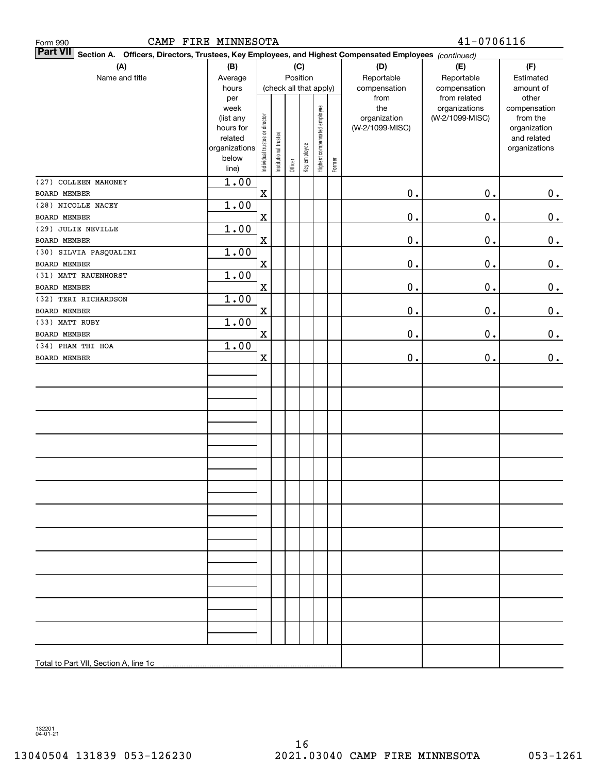| CAMP FIRE MINNESOTA<br>Form 990                                                                                           | $41 - 0706116$         |                                |                        |         |              |                              |                    |                 |                               |               |  |  |
|---------------------------------------------------------------------------------------------------------------------------|------------------------|--------------------------------|------------------------|---------|--------------|------------------------------|--------------------|-----------------|-------------------------------|---------------|--|--|
| <b>Part VII</b><br>Section A. Officers, Directors, Trustees, Key Employees, and Highest Compensated Employees (continued) |                        |                                |                        |         |              |                              |                    |                 |                               |               |  |  |
| (A)                                                                                                                       | (B)                    |                                |                        |         | (C)          |                              |                    | (D)             | (E)                           | (F)           |  |  |
| Name and title                                                                                                            | Average                |                                | Position               |         | Reportable   | Reportable                   | Estimated          |                 |                               |               |  |  |
|                                                                                                                           | hours                  |                                | (check all that apply) |         | compensation | compensation                 | amount of<br>other |                 |                               |               |  |  |
|                                                                                                                           | per<br>week            |                                |                        |         |              |                              |                    | from<br>the     | from related<br>organizations | compensation  |  |  |
|                                                                                                                           | (list any              |                                |                        |         |              |                              |                    | organization    | (W-2/1099-MISC)               | from the      |  |  |
|                                                                                                                           | hours for              |                                |                        |         |              |                              |                    | (W-2/1099-MISC) |                               | organization  |  |  |
|                                                                                                                           | related                |                                |                        |         |              |                              |                    |                 |                               | and related   |  |  |
|                                                                                                                           | organizations<br>below |                                |                        |         |              |                              |                    |                 |                               | organizations |  |  |
|                                                                                                                           | line)                  | Individual trustee or director | Institutional trustee  | Officer | Key employee | Highest compensated employee | Former             |                 |                               |               |  |  |
| (27) COLLEEN MAHONEY                                                                                                      | 1.00                   |                                |                        |         |              |                              |                    |                 |                               |               |  |  |
| BOARD MEMBER                                                                                                              |                        | $\mathbf X$                    |                        |         |              |                              |                    | $\mathbf 0$ .   | 0.                            | $\mathbf 0$ . |  |  |
| (28) NICOLLE NACEY                                                                                                        | 1.00                   |                                |                        |         |              |                              |                    |                 |                               |               |  |  |
| BOARD MEMBER                                                                                                              |                        | $\mathbf X$                    |                        |         |              |                              |                    | $\mathbf 0$ .   | 0.                            | $0_{.}$       |  |  |
| (29) JULIE NEVILLE                                                                                                        | 1.00                   |                                |                        |         |              |                              |                    |                 |                               |               |  |  |
| BOARD MEMBER                                                                                                              |                        | $\mathbf X$                    |                        |         |              |                              |                    | $\mathfrak o$ . | 0.                            | $\mathbf 0$ . |  |  |
| (30) SILVIA PASQUALINI                                                                                                    | 1.00                   |                                |                        |         |              |                              |                    |                 |                               |               |  |  |
| <b>BOARD MEMBER</b>                                                                                                       |                        | $\mathbf X$                    |                        |         |              |                              |                    | $\mathfrak o$ . | 0.                            | $\mathbf 0$ . |  |  |
| (31) MATT RAUENHORST                                                                                                      | 1.00                   |                                |                        |         |              |                              |                    |                 |                               |               |  |  |
| BOARD MEMBER                                                                                                              |                        | $\mathbf X$                    |                        |         |              |                              |                    | $\mathbf 0$ .   | 0.                            | $\mathbf 0$ . |  |  |
| (32) TERI RICHARDSON                                                                                                      | 1.00                   |                                |                        |         |              |                              |                    |                 |                               |               |  |  |
| BOARD MEMBER                                                                                                              |                        | $\mathbf X$                    |                        |         |              |                              |                    | $\mathfrak o$ . | 0.                            | 0.            |  |  |
| (33) MATT RUBY                                                                                                            | 1.00                   |                                |                        |         |              |                              |                    |                 |                               |               |  |  |
| BOARD MEMBER                                                                                                              |                        | $\mathbf X$                    |                        |         |              |                              |                    | $\mathfrak o$ . | 0.                            | 0.            |  |  |
| (34) PHAM THI HOA                                                                                                         | 1.00                   |                                |                        |         |              |                              |                    |                 |                               |               |  |  |
| BOARD MEMBER                                                                                                              |                        | X                              |                        |         |              |                              |                    | 0.              | 0.                            | 0.            |  |  |
|                                                                                                                           |                        |                                |                        |         |              |                              |                    |                 |                               |               |  |  |
|                                                                                                                           |                        |                                |                        |         |              |                              |                    |                 |                               |               |  |  |
|                                                                                                                           |                        |                                |                        |         |              |                              |                    |                 |                               |               |  |  |
|                                                                                                                           |                        |                                |                        |         |              |                              |                    |                 |                               |               |  |  |
|                                                                                                                           |                        |                                |                        |         |              |                              |                    |                 |                               |               |  |  |
|                                                                                                                           |                        |                                |                        |         |              |                              |                    |                 |                               |               |  |  |
|                                                                                                                           |                        |                                |                        |         |              |                              |                    |                 |                               |               |  |  |
|                                                                                                                           |                        |                                |                        |         |              |                              |                    |                 |                               |               |  |  |
|                                                                                                                           |                        |                                |                        |         |              |                              |                    |                 |                               |               |  |  |
|                                                                                                                           |                        |                                |                        |         |              |                              |                    |                 |                               |               |  |  |
|                                                                                                                           |                        |                                |                        |         |              |                              |                    |                 |                               |               |  |  |
|                                                                                                                           |                        |                                |                        |         |              |                              |                    |                 |                               |               |  |  |
|                                                                                                                           |                        |                                |                        |         |              |                              |                    |                 |                               |               |  |  |
|                                                                                                                           |                        |                                |                        |         |              |                              |                    |                 |                               |               |  |  |
|                                                                                                                           |                        |                                |                        |         |              |                              |                    |                 |                               |               |  |  |
|                                                                                                                           |                        |                                |                        |         |              |                              |                    |                 |                               |               |  |  |
|                                                                                                                           |                        |                                |                        |         |              |                              |                    |                 |                               |               |  |  |
|                                                                                                                           |                        |                                |                        |         |              |                              |                    |                 |                               |               |  |  |
|                                                                                                                           |                        |                                |                        |         |              |                              |                    |                 |                               |               |  |  |
|                                                                                                                           |                        |                                |                        |         |              |                              |                    |                 |                               |               |  |  |
|                                                                                                                           |                        |                                |                        |         |              |                              |                    |                 |                               |               |  |  |
|                                                                                                                           |                        |                                |                        |         |              |                              |                    |                 |                               |               |  |  |
|                                                                                                                           |                        |                                |                        |         |              |                              |                    |                 |                               |               |  |  |
|                                                                                                                           |                        |                                |                        |         |              |                              |                    |                 |                               |               |  |  |
|                                                                                                                           |                        |                                |                        |         |              |                              |                    |                 |                               |               |  |  |

132201 04-01-21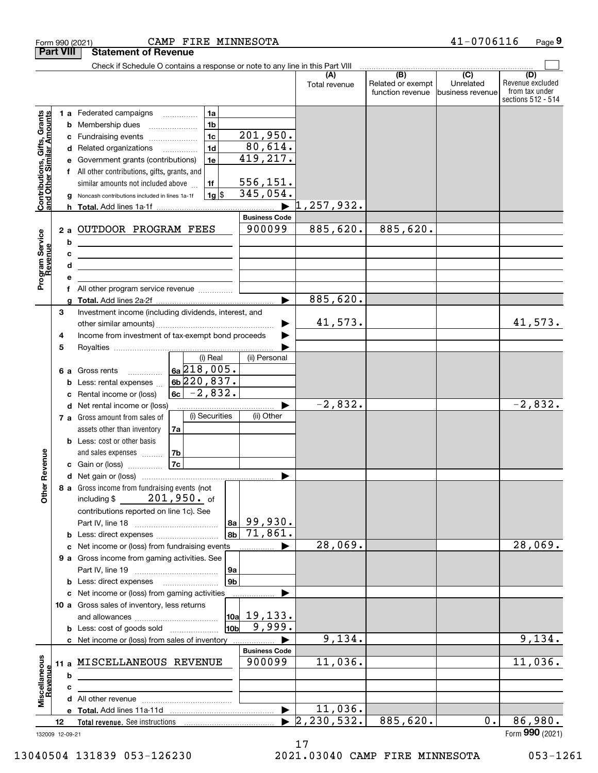|                                                           | <b>Part VIII</b>            | <b>Statement of Revenue</b>                                                                                                                                                                                                                                                                                                                                                              |                                                                                 |                                                                                  |                      |                                                           |                                                   |                                                                 |
|-----------------------------------------------------------|-----------------------------|------------------------------------------------------------------------------------------------------------------------------------------------------------------------------------------------------------------------------------------------------------------------------------------------------------------------------------------------------------------------------------------|---------------------------------------------------------------------------------|----------------------------------------------------------------------------------|----------------------|-----------------------------------------------------------|---------------------------------------------------|-----------------------------------------------------------------|
|                                                           |                             | Check if Schedule O contains a response or note to any line in this Part VIII                                                                                                                                                                                                                                                                                                            |                                                                                 |                                                                                  |                      |                                                           |                                                   |                                                                 |
|                                                           |                             |                                                                                                                                                                                                                                                                                                                                                                                          |                                                                                 |                                                                                  | (A)<br>Total revenue | $\overline{(B)}$<br>Related or exempt<br>function revenue | $\overline{(C)}$<br>Unrelated<br>business revenue | (D)<br>Revenue excluded<br>from tax under<br>sections 512 - 514 |
| Contributions, Gifts, Grants<br>and Other Similar Amounts | b<br>c<br>d<br>е<br>f<br>h. | <b>1 a</b> Federated campaigns<br>$\overline{\phantom{a}}$<br>Membership dues<br>Fundraising events<br>Related organizations<br>Government grants (contributions)<br>All other contributions, gifts, grants, and<br>similar amounts not included above<br>Noncash contributions included in lines 1a-1f                                                                                  | 1a<br>1 <sub>b</sub><br>1 <sub>c</sub><br>1 <sub>d</sub><br>1e<br>1f<br>$1g$ \$ | 201,950.<br>80,614.<br>419,217.<br>556,151.<br>345,054.<br>$\blacktriangleright$ | 1, 257, 932.         |                                                           |                                                   |                                                                 |
| Program Service<br>Revenue                                | 2a<br>b<br>с<br>d<br>e<br>f | OUTDOOR PROGRAM FEES<br><u> 1980 - Johann Barn, mars ann an t-Amhain an t-Amhain an t-Amhain an t-Amhain an t-Amhain an t-Amhain an t-Amh</u><br><u> 1989 - Johann Stein, marwolaethau a bhann an t-Amhair an t-Amhair an t-Amhair an t-Amhair an t-Amhair an t-A</u><br>the control of the control of the control of the control of the control of<br>All other program service revenue |                                                                                 | <b>Business Code</b><br>900099                                                   | 885,620.             | 885,620.                                                  |                                                   |                                                                 |
|                                                           |                             |                                                                                                                                                                                                                                                                                                                                                                                          |                                                                                 | ▶                                                                                | 885,620.             |                                                           |                                                   |                                                                 |
|                                                           | 3<br>4<br>5                 | Investment income (including dividends, interest, and<br>Income from investment of tax-exempt bond proceeds                                                                                                                                                                                                                                                                              |                                                                                 |                                                                                  | 41,573.              |                                                           |                                                   | 41,573.                                                         |
|                                                           | 6а<br>b<br>c                | Gross rents<br>Less: rental expenses<br>Rental income or (loss)                                                                                                                                                                                                                                                                                                                          | (i) Real<br>$6a\overline{218}$ , 005.<br>$6b$ 220,837.<br>$6c - 2,832.$         | (ii) Personal                                                                    |                      |                                                           |                                                   |                                                                 |
|                                                           |                             | d Net rental income or (loss)<br>7 a Gross amount from sales of<br>assets other than inventory<br>7a                                                                                                                                                                                                                                                                                     | (i) Securities                                                                  | (ii) Other                                                                       | $-2,832.$            |                                                           |                                                   | $\overline{-2,832}$ .                                           |
| Revenue                                                   |                             | <b>b</b> Less: cost or other basis<br>7b<br>and sales expenses<br><b>7c</b><br>c Gain or (loss)                                                                                                                                                                                                                                                                                          |                                                                                 |                                                                                  |                      |                                                           |                                                   |                                                                 |
| <b>Other</b>                                              |                             | 8 a Gross income from fundraising events (not<br>including \$201,950. of<br>contributions reported on line 1c). See<br><b>b</b> Less: direct expenses                                                                                                                                                                                                                                    | 8a <br>8b                                                                       | 99,930.<br>$\overline{71,861}$ .                                                 |                      |                                                           |                                                   |                                                                 |
|                                                           |                             | c Net income or (loss) from fundraising events                                                                                                                                                                                                                                                                                                                                           |                                                                                 |                                                                                  | 28,069.              |                                                           |                                                   | 28,069.                                                         |
|                                                           |                             | 9 a Gross income from gaming activities. See                                                                                                                                                                                                                                                                                                                                             | 9а<br>9 <sub>b</sub>                                                            |                                                                                  |                      |                                                           |                                                   |                                                                 |
|                                                           |                             | <b>b</b> Less: direct expenses <b>manually</b><br>c Net income or (loss) from gaming activities                                                                                                                                                                                                                                                                                          |                                                                                 |                                                                                  |                      |                                                           |                                                   |                                                                 |
|                                                           |                             | 10 a Gross sales of inventory, less returns                                                                                                                                                                                                                                                                                                                                              |                                                                                 |                                                                                  |                      |                                                           |                                                   |                                                                 |
|                                                           |                             | <b>b</b> Less: cost of goods sold                                                                                                                                                                                                                                                                                                                                                        | 10bl                                                                            | $\vert$ 10a 19,133.<br>9,999.                                                    |                      |                                                           |                                                   |                                                                 |
|                                                           |                             | c Net income or (loss) from sales of inventory                                                                                                                                                                                                                                                                                                                                           |                                                                                 |                                                                                  | 9,134.               |                                                           |                                                   | 9,134.                                                          |
| Miscellaneous<br>Revenue                                  | b                           | 11 a MISCELLANEOUS REVENUE                                                                                                                                                                                                                                                                                                                                                               |                                                                                 | <b>Business Code</b><br>900099                                                   | 11,036.              |                                                           |                                                   | 11,036.                                                         |
|                                                           | c                           |                                                                                                                                                                                                                                                                                                                                                                                          |                                                                                 |                                                                                  |                      |                                                           |                                                   |                                                                 |
|                                                           |                             |                                                                                                                                                                                                                                                                                                                                                                                          |                                                                                 |                                                                                  |                      |                                                           |                                                   |                                                                 |
|                                                           |                             |                                                                                                                                                                                                                                                                                                                                                                                          |                                                                                 | $\blacktriangleright$                                                            | 11,036.              |                                                           |                                                   |                                                                 |
|                                                           | 12                          |                                                                                                                                                                                                                                                                                                                                                                                          |                                                                                 |                                                                                  | 2, 230, 532.         | 885,620.                                                  | 0.                                                | 86,980.                                                         |
|                                                           | 132009 12-09-21             |                                                                                                                                                                                                                                                                                                                                                                                          |                                                                                 |                                                                                  |                      |                                                           |                                                   | Form 990 (2021)                                                 |

Form 990 (2021) CAMP FIRE MINNESOTA 4 $1$ -0 $70$ 6 $11$ 6 Page

13040504 131839 053-126230 2021.03040 CAMP FIRE MINNESOTA 053-1261

**9**

<sup>17</sup>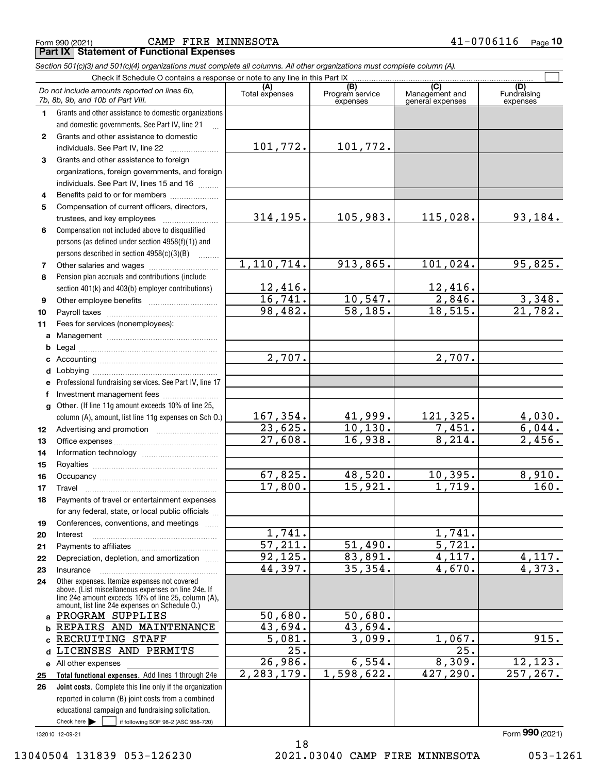Form 990 (2021) CAMP FIRE MINNESOTA 4 $1$ −0706 $11$ 6 <sub>Page</sub> **Part IX Statement of Functional Expenses**

|                                                                             | Section 501(c)(3) and 501(c)(4) organizations must complete all columns. All other organizations must complete column (A).                                                                                                                                          |                         |                                    |                                           |                                |  |  |  |  |  |
|-----------------------------------------------------------------------------|---------------------------------------------------------------------------------------------------------------------------------------------------------------------------------------------------------------------------------------------------------------------|-------------------------|------------------------------------|-------------------------------------------|--------------------------------|--|--|--|--|--|
| Check if Schedule O contains a response or note to any line in this Part IX |                                                                                                                                                                                                                                                                     |                         |                                    |                                           |                                |  |  |  |  |  |
|                                                                             | Do not include amounts reported on lines 6b,<br>7b, 8b, 9b, and 10b of Part VIII.                                                                                                                                                                                   | (A)<br>Total expenses   | (B)<br>Program service<br>expenses | (C)<br>Management and<br>general expenses | (D)<br>Fundraising<br>expenses |  |  |  |  |  |
| 1.                                                                          | Grants and other assistance to domestic organizations                                                                                                                                                                                                               |                         |                                    |                                           |                                |  |  |  |  |  |
|                                                                             | and domestic governments. See Part IV, line 21                                                                                                                                                                                                                      |                         |                                    |                                           |                                |  |  |  |  |  |
| $\mathbf{2}$                                                                | Grants and other assistance to domestic                                                                                                                                                                                                                             |                         |                                    |                                           |                                |  |  |  |  |  |
|                                                                             | individuals. See Part IV, line 22<br>and a complete the complete state of the state of the state of the state of the state of the state of the state of the state of the state of the state of the state of the state of the state of the state of the state of the | 101,772.                | 101,772.                           |                                           |                                |  |  |  |  |  |
| 3                                                                           | Grants and other assistance to foreign                                                                                                                                                                                                                              |                         |                                    |                                           |                                |  |  |  |  |  |
|                                                                             | organizations, foreign governments, and foreign                                                                                                                                                                                                                     |                         |                                    |                                           |                                |  |  |  |  |  |
|                                                                             | individuals. See Part IV, lines 15 and 16                                                                                                                                                                                                                           |                         |                                    |                                           |                                |  |  |  |  |  |
| 4                                                                           | Benefits paid to or for members                                                                                                                                                                                                                                     |                         |                                    |                                           |                                |  |  |  |  |  |
| 5                                                                           | Compensation of current officers, directors,                                                                                                                                                                                                                        |                         |                                    |                                           |                                |  |  |  |  |  |
|                                                                             |                                                                                                                                                                                                                                                                     | 314,195.                | 105,983.                           | 115,028.                                  | 93,184.                        |  |  |  |  |  |
| 6                                                                           | Compensation not included above to disqualified                                                                                                                                                                                                                     |                         |                                    |                                           |                                |  |  |  |  |  |
|                                                                             | persons (as defined under section 4958(f)(1)) and                                                                                                                                                                                                                   |                         |                                    |                                           |                                |  |  |  |  |  |
|                                                                             | persons described in section 4958(c)(3)(B)                                                                                                                                                                                                                          |                         |                                    |                                           |                                |  |  |  |  |  |
| 7                                                                           |                                                                                                                                                                                                                                                                     | 1, 110, 714.            | 913,865.                           | 101,024.                                  | 95,825.                        |  |  |  |  |  |
| 8                                                                           | Pension plan accruals and contributions (include                                                                                                                                                                                                                    |                         |                                    |                                           |                                |  |  |  |  |  |
|                                                                             | section 401(k) and 403(b) employer contributions)                                                                                                                                                                                                                   | $\frac{12,416}{16,741}$ |                                    | <u>12,416.</u>                            |                                |  |  |  |  |  |
| 9                                                                           |                                                                                                                                                                                                                                                                     |                         | 10, 547.                           | $\frac{1}{2,846}$ .                       | 3,348.                         |  |  |  |  |  |
| 10                                                                          |                                                                                                                                                                                                                                                                     | 98,482.                 | 58, 185.                           | 18,515.                                   | 21,782.                        |  |  |  |  |  |
| 11                                                                          | Fees for services (nonemployees):                                                                                                                                                                                                                                   |                         |                                    |                                           |                                |  |  |  |  |  |
| а                                                                           |                                                                                                                                                                                                                                                                     |                         |                                    |                                           |                                |  |  |  |  |  |
| b                                                                           |                                                                                                                                                                                                                                                                     |                         |                                    |                                           |                                |  |  |  |  |  |
| с                                                                           |                                                                                                                                                                                                                                                                     | 2,707.                  |                                    | 2,707.                                    |                                |  |  |  |  |  |
| d                                                                           |                                                                                                                                                                                                                                                                     |                         |                                    |                                           |                                |  |  |  |  |  |
|                                                                             | Professional fundraising services. See Part IV, line 17                                                                                                                                                                                                             |                         |                                    |                                           |                                |  |  |  |  |  |
|                                                                             | Investment management fees                                                                                                                                                                                                                                          |                         |                                    |                                           |                                |  |  |  |  |  |
| g                                                                           | Other. (If line 11g amount exceeds 10% of line 25,                                                                                                                                                                                                                  |                         |                                    |                                           |                                |  |  |  |  |  |
|                                                                             | column (A), amount, list line 11g expenses on Sch O.)                                                                                                                                                                                                               | 167,354.                | 41,999.                            | 121,325.                                  | $\frac{4,030.6}{6,044.}$       |  |  |  |  |  |
| 12                                                                          |                                                                                                                                                                                                                                                                     | 23,625.                 | 10, 130.                           | 7,451.                                    |                                |  |  |  |  |  |
| 13                                                                          |                                                                                                                                                                                                                                                                     | 27,608.                 | 16,938.                            | 8,214.                                    | 2,456.                         |  |  |  |  |  |
| 14                                                                          |                                                                                                                                                                                                                                                                     |                         |                                    |                                           |                                |  |  |  |  |  |
| 15                                                                          |                                                                                                                                                                                                                                                                     |                         |                                    |                                           |                                |  |  |  |  |  |
| 16                                                                          |                                                                                                                                                                                                                                                                     | 67,825.                 | 48,520.                            | 10,395.                                   | 8,910.                         |  |  |  |  |  |
| 17                                                                          |                                                                                                                                                                                                                                                                     | 17,800.                 | 15,921.                            | 1,719.                                    | 160.                           |  |  |  |  |  |
| 18                                                                          | Payments of travel or entertainment expenses                                                                                                                                                                                                                        |                         |                                    |                                           |                                |  |  |  |  |  |
|                                                                             | for any federal, state, or local public officials                                                                                                                                                                                                                   |                         |                                    |                                           |                                |  |  |  |  |  |
| 19                                                                          | Conferences, conventions, and meetings                                                                                                                                                                                                                              |                         |                                    |                                           |                                |  |  |  |  |  |
| 20                                                                          | Interest                                                                                                                                                                                                                                                            | 1,741.                  |                                    | 1,741.                                    |                                |  |  |  |  |  |
| 21                                                                          |                                                                                                                                                                                                                                                                     | $\overline{57,211}$ .   | 51,490.                            | 5,721.                                    |                                |  |  |  |  |  |
| 22                                                                          | Depreciation, depletion, and amortization                                                                                                                                                                                                                           | 92, 125.                | 83,891.                            | 4,117.                                    | 4,117.                         |  |  |  |  |  |
| 23                                                                          | Insurance                                                                                                                                                                                                                                                           | 44,397.                 | 35,354.                            | 4,670.                                    | 4,373.                         |  |  |  |  |  |
| 24                                                                          | Other expenses. Itemize expenses not covered<br>above. (List miscellaneous expenses on line 24e. If<br>line 24e amount exceeds 10% of line 25, column (A),<br>amount, list line 24e expenses on Schedule O.)                                                        |                         |                                    |                                           |                                |  |  |  |  |  |
| a                                                                           | PROGRAM SUPPLIES                                                                                                                                                                                                                                                    | 50,680.                 | 50,680.                            |                                           |                                |  |  |  |  |  |
| b                                                                           | REPAIRS AND MAINTENANCE                                                                                                                                                                                                                                             | 43,694.                 | 43,694.                            |                                           |                                |  |  |  |  |  |
|                                                                             | RECRUITING STAFF                                                                                                                                                                                                                                                    | 5,081.                  | 3,099.                             | 1,067.                                    | 915.                           |  |  |  |  |  |
| d                                                                           | LICENSES AND PERMITS                                                                                                                                                                                                                                                | 25.                     |                                    | $\overline{25}$ .                         |                                |  |  |  |  |  |
|                                                                             | e All other expenses                                                                                                                                                                                                                                                | 26,986.                 | 6,554.                             | 8,309.                                    | 12, 123.                       |  |  |  |  |  |
| 25                                                                          | Total functional expenses. Add lines 1 through 24e                                                                                                                                                                                                                  | 2,283,179.              | 1,598,622.                         | 427,290.                                  | 257, 267.                      |  |  |  |  |  |
| 26                                                                          | Joint costs. Complete this line only if the organization                                                                                                                                                                                                            |                         |                                    |                                           |                                |  |  |  |  |  |
|                                                                             | reported in column (B) joint costs from a combined                                                                                                                                                                                                                  |                         |                                    |                                           |                                |  |  |  |  |  |
|                                                                             | educational campaign and fundraising solicitation.                                                                                                                                                                                                                  |                         |                                    |                                           |                                |  |  |  |  |  |
|                                                                             | Check here $\blacktriangleright$<br>if following SOP 98-2 (ASC 958-720)                                                                                                                                                                                             |                         |                                    |                                           |                                |  |  |  |  |  |

132010 12-09-21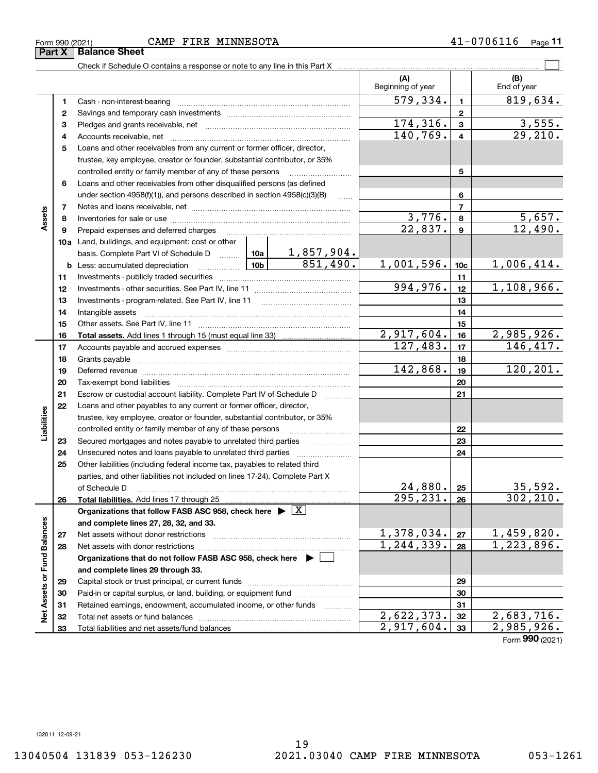Form 990 (2021) CAMP FIRE MINNESOTA 4 $1$ −0706 $11$ 6 <sub>Page</sub>

Check if Schedule O contains a response or note to any line in this Part X

**(A) (B)** Beginning of year | | End of year  $579,334.$  | 819,634. **11**Cash - non-interest-bearing ~~~~~~~~~~~~~~~~~~~~~~~~~ **22**Savings and temporary cash investments ~~~~~~~~~~~~~~~~~~ $174,316.$  3,555. **33** Pledges and grants receivable, net  $\ldots$  **multimes contained and grants receivable**, net **multimes contained and grants receivable**, net **multimes contained and grants receivable**  $140,769. | 4 | 29,210.$ Accounts receivable, net ~~~~~~~~~~~~~~~~~~~~~~~~~~ **445**Loans and other receivables from any current or former officer, director, trustee, key employee, creator or founder, substantial contributor, or 35% controlled entity or family member of any of these persons ............................ **5**Loans and other receivables from other disqualified persons (as defined **6**under section  $4958(f)(1)$ , and persons described in section  $4958(c)(3)(B)$ **677**Notes and loans receivable, net ~~~~~~~~~~~~~~~~~~~~~~~**Assets**  $3,776.$  8  $5,657.$ **88**Inventories for sale or use ~~~~~~~~~~~~~~~~~~~~~~~~~~  $22,837.$  9  $12,490.$ **99**Prepaid expenses and deferred charges ~~~~~~~~~~~~~~~~~~ **10a**Land, buildings, and equipment: cost or other 1,857,904. basis. Complete Part VI of Schedule D will aller 851,490. 1,001,596. 1<sub>0c</sub> 1,006,414. **10cb** Less: accumulated depreciation  $\ldots$  **10b 1111**Investments - publicly traded securities ~~~~~~~~~~~~~~~~~~~  $994,976.$  12 1,108,966. **1212**Investments - other securities. See Part IV, line 11 ~~~~~~~~~~~~~~ **1313**Investments - program-related. See Part IV, line 11 [2010] [2010] [2010] [2010] [2010] [2010] [2010] [2010] [2 **1414**Intangible assets ~~~~~~~~~~~~~~~~~~~~~~~~~~~~~~ Other assets. See Part IV, line 11 ~~~~~~~~~~~~~~~~~~~~~~ **1515** $2,917,604.$   $16$   $2,985,926.$ **1616Total assets.**  Add lines 1 through 15 (must equal line 33)  $127,483.$   $17$  146,417. **1717**Accounts payable and accrued expenses ~~~~~~~~~~~~~~~~~~ **1818**Grants payable ~~~~~~~~~~~~~~~~~~~~~~~~~~~~~~~  $142,868.$  19 120,201. **1919**Deferred revenue ~~~~~~~~~~~~~~~~~~~~~~~~~~~~~~ **2020**Tax-exempt bond liabilities …………………………………………………………… Escrow or custodial account liability. Complete Part IV of Schedule D **212122**Loans and other payables to any current or former officer, director, iabilities **Liabilities** trustee, key employee, creator or founder, substantial contributor, or 35% controlled entity or family member of any of these persons ~~~~~~~~~**2223**Secured mortgages and notes payable to unrelated third parties **23**Unsecured notes and loans payable to unrelated third parties **242425**Other liabilities (including federal income tax, payables to related third parties, and other liabilities not included on lines 17-24). Complete Part X  $24,880.$   $25$  35,592. **25**of Schedule D ~~~~~~~~~~~~~~~~~~~~~~~~~~~~~~~  $295,231. |26| 302,210.$ **2626Total liabilities.**  Add lines 17 through 25 **Organizations that follow FASB ASC 958, check here** | X Assets or Fund Balances **Net Assets or Fund Balances and complete lines 27, 28, 32, and 33.**  $1,378,034.$  |  $27$  | 1,459,820. **2727**Net assets without donor restrictions <sub>…………………………………………………</sub>……  $1,244,339$ . | 28 | 1,223,896. **2828**Net assets with donor restrictions ~~~~~~~~~~~~~~~~~~~~~~**Organizations that do not follow FASB ASC 958, check here** | **and complete lines 29 through 33. 2929**Capital stock or trust principal, or current funds ~~~~~~~~~~~~~~~ **3030**Paid-in or capital surplus, or land, building, or equipment fund www.commun.com **31**Retained earnings, endowment, accumulated income, or other funds **31**ğ Total net assets or fund balances ~~~~~~~~~~~~~~~~~~~~~~  $2,622,373.$   $32 \mid 2,683,716.$ **3232** $2,917,604.$   $33$  2,985,926. Total liabilities and net assets/fund balances **3333**

Form (2021) **990**

 $\mathcal{L}^{\text{max}}$ 

**Part X** Balance Sheet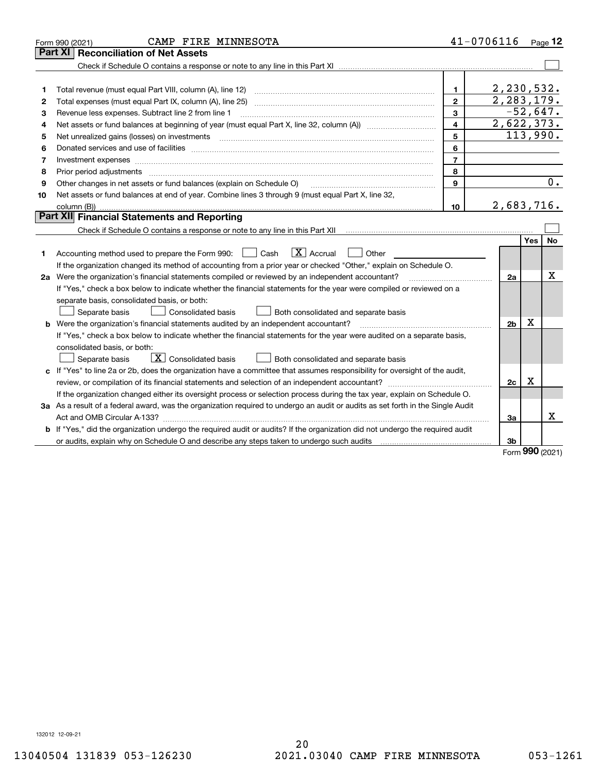|    | CAMP FIRE MINNESOTA<br>Form 990 (2021)                                                                                                                                                                                        |                | $41 - 0706116$ Page 12  |            |    |
|----|-------------------------------------------------------------------------------------------------------------------------------------------------------------------------------------------------------------------------------|----------------|-------------------------|------------|----|
|    | <b>Part XI   Reconciliation of Net Assets</b>                                                                                                                                                                                 |                |                         |            |    |
|    |                                                                                                                                                                                                                               |                |                         |            |    |
|    |                                                                                                                                                                                                                               |                |                         |            |    |
| 1  | Total revenue (must equal Part VIII, column (A), line 12)                                                                                                                                                                     | 1.             | 2, 230, 532.            |            |    |
| 2  |                                                                                                                                                                                                                               | $\mathbf{2}$   | 2, 283, 179.            |            |    |
| з  | Revenue less expenses. Subtract line 2 from line 1                                                                                                                                                                            | 3              | $-52,647.$              |            |    |
| 4  |                                                                                                                                                                                                                               | 4              | 2,622,373.              |            |    |
| 5  | Net unrealized gains (losses) on investments                                                                                                                                                                                  | 5              | $\overline{113}$ , 990. |            |    |
| 6  |                                                                                                                                                                                                                               | 6              |                         |            |    |
| 7  | Investment expenses www.communication.communication.com/www.communication.com/www.communication.com                                                                                                                           | $\overline{7}$ |                         |            |    |
| 8  | Prior period adjustments www.communication.communication.com/news/communication.com/news/communication.com/new                                                                                                                | 8              |                         |            |    |
| 9  | Other changes in net assets or fund balances (explain on Schedule O)                                                                                                                                                          | $\mathbf{Q}$   |                         |            | 0. |
| 10 | Net assets or fund balances at end of year. Combine lines 3 through 9 (must equal Part X, line 32,                                                                                                                            |                |                         |            |    |
|    |                                                                                                                                                                                                                               | 10             | 2,683,716.              |            |    |
|    | Part XII Financial Statements and Reporting                                                                                                                                                                                   |                |                         |            |    |
|    |                                                                                                                                                                                                                               |                |                         |            |    |
|    |                                                                                                                                                                                                                               |                |                         | Yes        | No |
| 1  | $\boxed{\mathbf{X}}$ Accrual<br>Accounting method used to prepare the Form 990: <u>I</u> Cash<br>Other                                                                                                                        |                |                         |            |    |
|    | If the organization changed its method of accounting from a prior year or checked "Other," explain on Schedule O.                                                                                                             |                |                         |            |    |
|    | 2a Were the organization's financial statements compiled or reviewed by an independent accountant?                                                                                                                            |                | 2a                      |            | x  |
|    | If "Yes," check a box below to indicate whether the financial statements for the year were compiled or reviewed on a                                                                                                          |                |                         |            |    |
|    | separate basis, consolidated basis, or both:                                                                                                                                                                                  |                |                         |            |    |
|    | Separate basis<br><b>Consolidated basis</b><br>Both consolidated and separate basis                                                                                                                                           |                |                         |            |    |
|    | <b>b</b> Were the organization's financial statements audited by an independent accountant?                                                                                                                                   |                | 2 <sub>b</sub>          | х          |    |
|    | If "Yes," check a box below to indicate whether the financial statements for the year were audited on a separate basis,                                                                                                       |                |                         |            |    |
|    | consolidated basis, or both:                                                                                                                                                                                                  |                |                         |            |    |
|    | $\boxed{\textbf{X}}$ Consolidated basis<br>Both consolidated and separate basis<br>Separate basis                                                                                                                             |                |                         |            |    |
|    | c If "Yes" to line 2a or 2b, does the organization have a committee that assumes responsibility for oversight of the audit,                                                                                                   |                |                         |            |    |
|    |                                                                                                                                                                                                                               |                | 2c                      | x          |    |
|    | If the organization changed either its oversight process or selection process during the tax year, explain on Schedule O.                                                                                                     |                |                         |            |    |
|    | 3a As a result of a federal award, was the organization required to undergo an audit or audits as set forth in the Single Audit                                                                                               |                |                         |            |    |
|    |                                                                                                                                                                                                                               |                | 3a                      |            | x  |
|    | b If "Yes," did the organization undergo the required audit or audits? If the organization did not undergo the required audit                                                                                                 |                |                         |            |    |
|    | or audits, explain why on Schedule O and describe any steps taken to undergo such audits [11] contains the school of audits [11] or audits [11] or audits [11] or audits [11] or audits [11] or audits [11] or audits [11] or |                | 3b                      | <u>nnn</u> |    |

Form (2021) **990**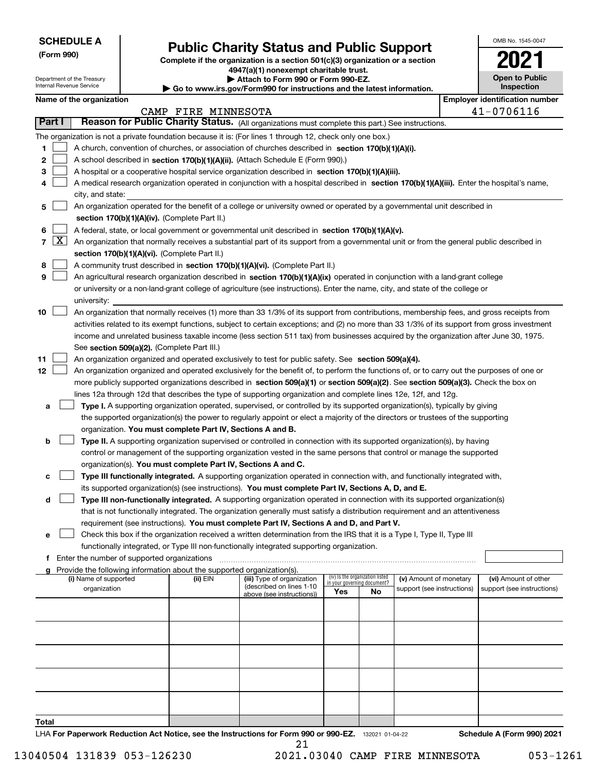Department of the Treasury Internal Revenue Service

**(Form 990)**

# **Public Charity Status and Public Support**

**Complete if the organization is a section 501(c)(3) organization or a section 4947(a)(1) nonexempt charitable trust.**

**| Attach to Form 990 or Form 990-EZ.** 

**| Go to www.irs.gov/Form990 for instructions and the latest information.**

| OMB No. 1545-0047                   |
|-------------------------------------|
| 202                                 |
| <b>Open to Public</b><br>Inspection |

|       | Name of the organization<br><b>Employer identification number</b> |                                                                                                                                                                                                                                                    |                     |                                                        |                             |                                 |                                                      |  |                                                    |  |  |  |
|-------|-------------------------------------------------------------------|----------------------------------------------------------------------------------------------------------------------------------------------------------------------------------------------------------------------------------------------------|---------------------|--------------------------------------------------------|-----------------------------|---------------------------------|------------------------------------------------------|--|----------------------------------------------------|--|--|--|
|       |                                                                   |                                                                                                                                                                                                                                                    | CAMP FIRE MINNESOTA |                                                        |                             |                                 |                                                      |  | 41-0706116                                         |  |  |  |
|       | Part I                                                            | Reason for Public Charity Status. (All organizations must complete this part.) See instructions.                                                                                                                                                   |                     |                                                        |                             |                                 |                                                      |  |                                                    |  |  |  |
|       |                                                                   | The organization is not a private foundation because it is: (For lines 1 through 12, check only one box.)                                                                                                                                          |                     |                                                        |                             |                                 |                                                      |  |                                                    |  |  |  |
| 1     |                                                                   | A church, convention of churches, or association of churches described in section 170(b)(1)(A)(i).                                                                                                                                                 |                     |                                                        |                             |                                 |                                                      |  |                                                    |  |  |  |
| 2     |                                                                   | A school described in section 170(b)(1)(A)(ii). (Attach Schedule E (Form 990).)                                                                                                                                                                    |                     |                                                        |                             |                                 |                                                      |  |                                                    |  |  |  |
| з     |                                                                   | A hospital or a cooperative hospital service organization described in section 170(b)(1)(A)(iii).                                                                                                                                                  |                     |                                                        |                             |                                 |                                                      |  |                                                    |  |  |  |
| 4     |                                                                   | A medical research organization operated in conjunction with a hospital described in section 170(b)(1)(A)(iii). Enter the hospital's name,                                                                                                         |                     |                                                        |                             |                                 |                                                      |  |                                                    |  |  |  |
|       |                                                                   | city, and state:                                                                                                                                                                                                                                   |                     |                                                        |                             |                                 |                                                      |  |                                                    |  |  |  |
| 5     |                                                                   | An organization operated for the benefit of a college or university owned or operated by a governmental unit described in                                                                                                                          |                     |                                                        |                             |                                 |                                                      |  |                                                    |  |  |  |
|       |                                                                   | section 170(b)(1)(A)(iv). (Complete Part II.)                                                                                                                                                                                                      |                     |                                                        |                             |                                 |                                                      |  |                                                    |  |  |  |
| 6     |                                                                   | A federal, state, or local government or governmental unit described in section 170(b)(1)(A)(v).                                                                                                                                                   |                     |                                                        |                             |                                 |                                                      |  |                                                    |  |  |  |
|       | $7 \times$                                                        | An organization that normally receives a substantial part of its support from a governmental unit or from the general public described in                                                                                                          |                     |                                                        |                             |                                 |                                                      |  |                                                    |  |  |  |
|       |                                                                   | section 170(b)(1)(A)(vi). (Complete Part II.)                                                                                                                                                                                                      |                     |                                                        |                             |                                 |                                                      |  |                                                    |  |  |  |
| 8     |                                                                   | A community trust described in section 170(b)(1)(A)(vi). (Complete Part II.)                                                                                                                                                                       |                     |                                                        |                             |                                 |                                                      |  |                                                    |  |  |  |
| 9     |                                                                   | An agricultural research organization described in section 170(b)(1)(A)(ix) operated in conjunction with a land-grant college                                                                                                                      |                     |                                                        |                             |                                 |                                                      |  |                                                    |  |  |  |
|       |                                                                   | or university or a non-land-grant college of agriculture (see instructions). Enter the name, city, and state of the college or                                                                                                                     |                     |                                                        |                             |                                 |                                                      |  |                                                    |  |  |  |
|       |                                                                   | university:                                                                                                                                                                                                                                        |                     |                                                        |                             |                                 |                                                      |  |                                                    |  |  |  |
| 10    |                                                                   | An organization that normally receives (1) more than 33 1/3% of its support from contributions, membership fees, and gross receipts from                                                                                                           |                     |                                                        |                             |                                 |                                                      |  |                                                    |  |  |  |
|       |                                                                   | activities related to its exempt functions, subject to certain exceptions; and (2) no more than 33 1/3% of its support from gross investment                                                                                                       |                     |                                                        |                             |                                 |                                                      |  |                                                    |  |  |  |
|       |                                                                   | income and unrelated business taxable income (less section 511 tax) from businesses acquired by the organization after June 30, 1975.                                                                                                              |                     |                                                        |                             |                                 |                                                      |  |                                                    |  |  |  |
| 11    |                                                                   | See section 509(a)(2). (Complete Part III.)                                                                                                                                                                                                        |                     |                                                        |                             |                                 |                                                      |  |                                                    |  |  |  |
| 12    |                                                                   | An organization organized and operated exclusively to test for public safety. See section 509(a)(4).<br>An organization organized and operated exclusively for the benefit of, to perform the functions of, or to carry out the purposes of one or |                     |                                                        |                             |                                 |                                                      |  |                                                    |  |  |  |
|       |                                                                   | more publicly supported organizations described in section 509(a)(1) or section 509(a)(2). See section 509(a)(3). Check the box on                                                                                                                 |                     |                                                        |                             |                                 |                                                      |  |                                                    |  |  |  |
|       |                                                                   | lines 12a through 12d that describes the type of supporting organization and complete lines 12e, 12f, and 12g.                                                                                                                                     |                     |                                                        |                             |                                 |                                                      |  |                                                    |  |  |  |
| a     |                                                                   | Type I. A supporting organization operated, supervised, or controlled by its supported organization(s), typically by giving                                                                                                                        |                     |                                                        |                             |                                 |                                                      |  |                                                    |  |  |  |
|       |                                                                   | the supported organization(s) the power to regularly appoint or elect a majority of the directors or trustees of the supporting                                                                                                                    |                     |                                                        |                             |                                 |                                                      |  |                                                    |  |  |  |
|       |                                                                   | organization. You must complete Part IV, Sections A and B.                                                                                                                                                                                         |                     |                                                        |                             |                                 |                                                      |  |                                                    |  |  |  |
| b     |                                                                   | Type II. A supporting organization supervised or controlled in connection with its supported organization(s), by having                                                                                                                            |                     |                                                        |                             |                                 |                                                      |  |                                                    |  |  |  |
|       |                                                                   | control or management of the supporting organization vested in the same persons that control or manage the supported                                                                                                                               |                     |                                                        |                             |                                 |                                                      |  |                                                    |  |  |  |
|       |                                                                   | organization(s). You must complete Part IV, Sections A and C.                                                                                                                                                                                      |                     |                                                        |                             |                                 |                                                      |  |                                                    |  |  |  |
| с     |                                                                   | Type III functionally integrated. A supporting organization operated in connection with, and functionally integrated with,                                                                                                                         |                     |                                                        |                             |                                 |                                                      |  |                                                    |  |  |  |
|       |                                                                   | its supported organization(s) (see instructions). You must complete Part IV, Sections A, D, and E.                                                                                                                                                 |                     |                                                        |                             |                                 |                                                      |  |                                                    |  |  |  |
| d     |                                                                   | Type III non-functionally integrated. A supporting organization operated in connection with its supported organization(s)                                                                                                                          |                     |                                                        |                             |                                 |                                                      |  |                                                    |  |  |  |
|       |                                                                   | that is not functionally integrated. The organization generally must satisfy a distribution requirement and an attentiveness                                                                                                                       |                     |                                                        |                             |                                 |                                                      |  |                                                    |  |  |  |
|       |                                                                   | requirement (see instructions). You must complete Part IV, Sections A and D, and Part V.                                                                                                                                                           |                     |                                                        |                             |                                 |                                                      |  |                                                    |  |  |  |
| е     |                                                                   | Check this box if the organization received a written determination from the IRS that it is a Type I, Type II, Type III                                                                                                                            |                     |                                                        |                             |                                 |                                                      |  |                                                    |  |  |  |
|       |                                                                   | functionally integrated, or Type III non-functionally integrated supporting organization.                                                                                                                                                          |                     |                                                        |                             |                                 |                                                      |  |                                                    |  |  |  |
| f     |                                                                   | Enter the number of supported organizations                                                                                                                                                                                                        |                     |                                                        |                             |                                 |                                                      |  |                                                    |  |  |  |
|       |                                                                   | g Provide the following information about the supported organization(s).                                                                                                                                                                           |                     |                                                        |                             | (iv) Is the organization listed |                                                      |  |                                                    |  |  |  |
|       |                                                                   | (i) Name of supported<br>organization                                                                                                                                                                                                              | (ii) EIN            | (iii) Type of organization<br>(described on lines 1-10 | in your governing document? |                                 | (v) Amount of monetary<br>support (see instructions) |  | (vi) Amount of other<br>support (see instructions) |  |  |  |
|       |                                                                   |                                                                                                                                                                                                                                                    |                     | above (see instructions))                              | Yes                         | No.                             |                                                      |  |                                                    |  |  |  |
|       |                                                                   |                                                                                                                                                                                                                                                    |                     |                                                        |                             |                                 |                                                      |  |                                                    |  |  |  |
|       |                                                                   |                                                                                                                                                                                                                                                    |                     |                                                        |                             |                                 |                                                      |  |                                                    |  |  |  |
|       |                                                                   |                                                                                                                                                                                                                                                    |                     |                                                        |                             |                                 |                                                      |  |                                                    |  |  |  |
|       |                                                                   |                                                                                                                                                                                                                                                    |                     |                                                        |                             |                                 |                                                      |  |                                                    |  |  |  |
|       |                                                                   |                                                                                                                                                                                                                                                    |                     |                                                        |                             |                                 |                                                      |  |                                                    |  |  |  |
|       |                                                                   |                                                                                                                                                                                                                                                    |                     |                                                        |                             |                                 |                                                      |  |                                                    |  |  |  |
|       |                                                                   |                                                                                                                                                                                                                                                    |                     |                                                        |                             |                                 |                                                      |  |                                                    |  |  |  |
|       |                                                                   |                                                                                                                                                                                                                                                    |                     |                                                        |                             |                                 |                                                      |  |                                                    |  |  |  |
|       |                                                                   |                                                                                                                                                                                                                                                    |                     |                                                        |                             |                                 |                                                      |  |                                                    |  |  |  |
| Total |                                                                   |                                                                                                                                                                                                                                                    |                     |                                                        |                             |                                 |                                                      |  |                                                    |  |  |  |
|       |                                                                   |                                                                                                                                                                                                                                                    |                     |                                                        |                             |                                 |                                                      |  |                                                    |  |  |  |

LHA For Paperwork Reduction Act Notice, see the Instructions for Form 990 or 990-EZ. <sub>132021</sub> o1-04-22 Schedule A (Form 990) 2021 21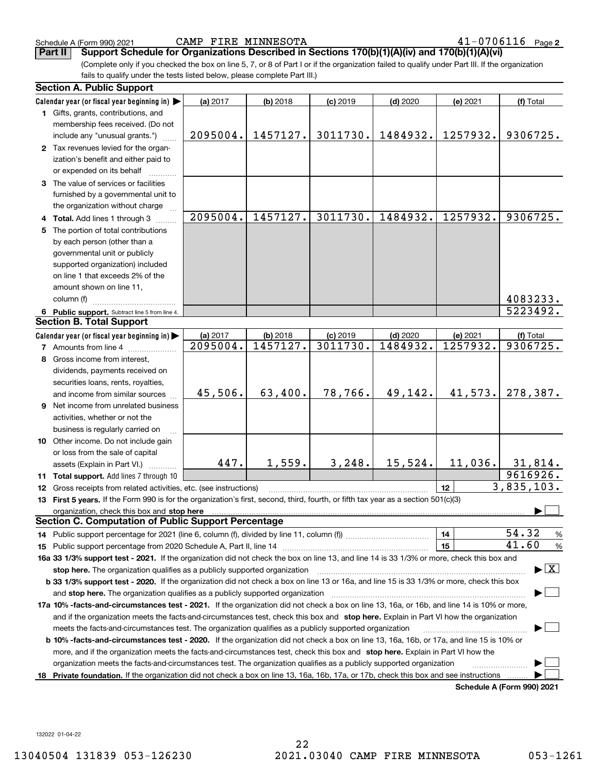Schedule A (Form 990) 2021 CAMP FIRE MINNESOTA 4 $1\text{--}$  0  $7\,0\,6\,11\,6$  Page

**Part II Support Schedule for Organizations Described in Sections 170(b)(1)(A)(iv) and 170(b)(1)(A)(vi)**

(Complete only if you checked the box on line 5, 7, or 8 of Part I or if the organization failed to qualify under Part III. If the organization fails to qualify under the tests listed below, please complete Part III.)

|    | <b>Section A. Public Support</b>                                                                                                                                                                                               |          |            |            |            |          |                                          |
|----|--------------------------------------------------------------------------------------------------------------------------------------------------------------------------------------------------------------------------------|----------|------------|------------|------------|----------|------------------------------------------|
|    | Calendar year (or fiscal year beginning in)                                                                                                                                                                                    | (a) 2017 | (b) 2018   | $(c)$ 2019 | $(d)$ 2020 | (e) 2021 | (f) Total                                |
|    | 1 Gifts, grants, contributions, and                                                                                                                                                                                            |          |            |            |            |          |                                          |
|    | membership fees received. (Do not                                                                                                                                                                                              |          |            |            |            |          |                                          |
|    | include any "unusual grants.")                                                                                                                                                                                                 | 2095004. | 1457127.   | 3011730.   | 1484932.   | 1257932. | 9306725.                                 |
|    | 2 Tax revenues levied for the organ-                                                                                                                                                                                           |          |            |            |            |          |                                          |
|    | ization's benefit and either paid to                                                                                                                                                                                           |          |            |            |            |          |                                          |
|    | or expended on its behalf                                                                                                                                                                                                      |          |            |            |            |          |                                          |
|    | 3 The value of services or facilities                                                                                                                                                                                          |          |            |            |            |          |                                          |
|    | furnished by a governmental unit to                                                                                                                                                                                            |          |            |            |            |          |                                          |
|    | the organization without charge                                                                                                                                                                                                |          |            |            |            |          |                                          |
|    | 4 Total. Add lines 1 through 3                                                                                                                                                                                                 | 2095004. | 1457127.   | 3011730.   | 1484932.   | 1257932. | 9306725.                                 |
| 5. | The portion of total contributions                                                                                                                                                                                             |          |            |            |            |          |                                          |
|    | by each person (other than a                                                                                                                                                                                                   |          |            |            |            |          |                                          |
|    | governmental unit or publicly                                                                                                                                                                                                  |          |            |            |            |          |                                          |
|    | supported organization) included                                                                                                                                                                                               |          |            |            |            |          |                                          |
|    | on line 1 that exceeds 2% of the                                                                                                                                                                                               |          |            |            |            |          |                                          |
|    | amount shown on line 11,                                                                                                                                                                                                       |          |            |            |            |          |                                          |
|    | column (f)                                                                                                                                                                                                                     |          |            |            |            |          | 4083233.                                 |
|    | 6 Public support. Subtract line 5 from line 4.                                                                                                                                                                                 |          |            |            |            |          | 5223492.                                 |
|    | <b>Section B. Total Support</b>                                                                                                                                                                                                |          |            |            |            |          |                                          |
|    | Calendar year (or fiscal year beginning in)                                                                                                                                                                                    | (a) 2017 | $(b)$ 2018 | $(c)$ 2019 | $(d)$ 2020 | (e) 2021 | (f) Total                                |
|    | <b>7</b> Amounts from line 4                                                                                                                                                                                                   | 2095004. | 1457127.   | 3011730.   | 1484932.   | 1257932. | 9306725.                                 |
| 8  | Gross income from interest,                                                                                                                                                                                                    |          |            |            |            |          |                                          |
|    | dividends, payments received on                                                                                                                                                                                                |          |            |            |            |          |                                          |
|    | securities loans, rents, royalties,                                                                                                                                                                                            |          |            |            |            |          |                                          |
|    | and income from similar sources                                                                                                                                                                                                | 45,506.  | 63,400.    | 78,766.    | 49,142.    | 41,573.  | 278,387.                                 |
| 9  | Net income from unrelated business                                                                                                                                                                                             |          |            |            |            |          |                                          |
|    | activities, whether or not the                                                                                                                                                                                                 |          |            |            |            |          |                                          |
|    | business is regularly carried on                                                                                                                                                                                               |          |            |            |            |          |                                          |
|    | 10 Other income. Do not include gain                                                                                                                                                                                           |          |            |            |            |          |                                          |
|    | or loss from the sale of capital                                                                                                                                                                                               |          |            |            |            |          |                                          |
|    | assets (Explain in Part VI.)                                                                                                                                                                                                   | 447.     | 1,559.     | 3, 248.    | 15,524.    | 11,036.  | 31,814.                                  |
|    | 11 Total support. Add lines 7 through 10                                                                                                                                                                                       |          |            |            |            |          | 9616926.                                 |
|    | 12 Gross receipts from related activities, etc. (see instructions)                                                                                                                                                             |          |            |            |            | 12       | 3,835,103.                               |
|    | 13 First 5 years. If the Form 990 is for the organization's first, second, third, fourth, or fifth tax year as a section 501(c)(3)                                                                                             |          |            |            |            |          |                                          |
|    | organization, check this box and stop here manufactured and according to the state of the state of the state of the state of the state of the state of the state of the state of the state of the state of the state of the st |          |            |            |            |          |                                          |
|    | <b>Section C. Computation of Public Support Percentage</b>                                                                                                                                                                     |          |            |            |            |          |                                          |
|    |                                                                                                                                                                                                                                |          |            |            |            | 14       | 54.32<br>$\frac{9}{6}$                   |
|    | 15 Public support percentage from 2020 Schedule A, Part II, line 14                                                                                                                                                            |          |            |            |            | 15       | 41.60<br>$\%$                            |
|    | 16a 33 1/3% support test - 2021. If the organization did not check the box on line 13, and line 14 is 33 1/3% or more, check this box and                                                                                      |          |            |            |            |          |                                          |
|    | stop here. The organization qualifies as a publicly supported organization                                                                                                                                                     |          |            |            |            |          | $\blacktriangleright$ $\boxed{\text{X}}$ |
|    | b 33 1/3% support test - 2020. If the organization did not check a box on line 13 or 16a, and line 15 is 33 1/3% or more, check this box                                                                                       |          |            |            |            |          |                                          |
|    | and stop here. The organization qualifies as a publicly supported organization                                                                                                                                                 |          |            |            |            |          |                                          |
|    | 17a 10% -facts-and-circumstances test - 2021. If the organization did not check a box on line 13, 16a, or 16b, and line 14 is 10% or more,                                                                                     |          |            |            |            |          |                                          |
|    | and if the organization meets the facts-and-circumstances test, check this box and stop here. Explain in Part VI how the organization                                                                                          |          |            |            |            |          |                                          |
|    | meets the facts-and-circumstances test. The organization qualifies as a publicly supported organization                                                                                                                        |          |            |            |            |          |                                          |
|    | <b>b 10% -facts-and-circumstances test - 2020.</b> If the organization did not check a box on line 13, 16a, 16b, or 17a, and line 15 is 10% or                                                                                 |          |            |            |            |          |                                          |
|    | more, and if the organization meets the facts-and-circumstances test, check this box and stop here. Explain in Part VI how the                                                                                                 |          |            |            |            |          |                                          |
|    | organization meets the facts-and-circumstances test. The organization qualifies as a publicly supported organization                                                                                                           |          |            |            |            |          |                                          |
| 18 | Private foundation. If the organization did not check a box on line 13, 16a, 16b, 17a, or 17b, check this box and see instructions                                                                                             |          |            |            |            |          |                                          |
|    |                                                                                                                                                                                                                                |          |            |            |            |          | Schedule A (Form 990) 2021               |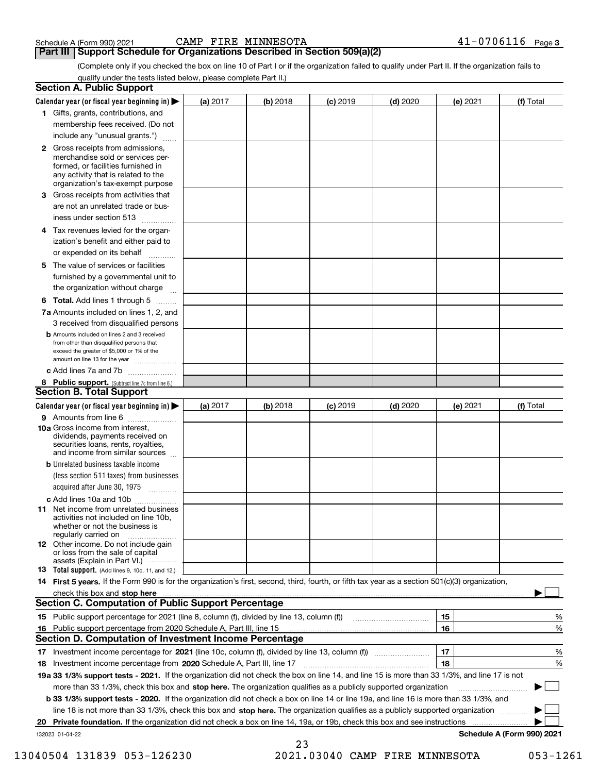Schedule A (Form 990) 2021 CAMP FIRE MINNESOTA 4 $1\text{--}$  0  $7\,0\,6\,11\,6$  Page

**Part III | Support Schedule for Organizations Described in Section 509(a)(2)** 

(Complete only if you checked the box on line 10 of Part I or if the organization failed to qualify under Part II. If the organization fails to qualify under the tests listed below, please complete Part II.)

|    | <b>Section A. Public Support</b>                                                                                                                                                                |          |          |            |            |          |                            |
|----|-------------------------------------------------------------------------------------------------------------------------------------------------------------------------------------------------|----------|----------|------------|------------|----------|----------------------------|
|    | Calendar year (or fiscal year beginning in) $\blacktriangleright$                                                                                                                               | (a) 2017 | (b) 2018 | $(c)$ 2019 | $(d)$ 2020 | (e) 2021 | (f) Total                  |
|    | 1 Gifts, grants, contributions, and                                                                                                                                                             |          |          |            |            |          |                            |
|    | membership fees received. (Do not                                                                                                                                                               |          |          |            |            |          |                            |
|    | include any "unusual grants.")                                                                                                                                                                  |          |          |            |            |          |                            |
|    | <b>2</b> Gross receipts from admissions,<br>merchandise sold or services per-<br>formed, or facilities furnished in<br>any activity that is related to the<br>organization's tax-exempt purpose |          |          |            |            |          |                            |
|    | 3 Gross receipts from activities that                                                                                                                                                           |          |          |            |            |          |                            |
|    | are not an unrelated trade or bus-                                                                                                                                                              |          |          |            |            |          |                            |
|    | iness under section 513                                                                                                                                                                         |          |          |            |            |          |                            |
|    | 4 Tax revenues levied for the organ-                                                                                                                                                            |          |          |            |            |          |                            |
|    | ization's benefit and either paid to                                                                                                                                                            |          |          |            |            |          |                            |
|    | or expended on its behalf<br>.                                                                                                                                                                  |          |          |            |            |          |                            |
|    | 5 The value of services or facilities<br>furnished by a governmental unit to                                                                                                                    |          |          |            |            |          |                            |
|    | the organization without charge                                                                                                                                                                 |          |          |            |            |          |                            |
|    | <b>6 Total.</b> Add lines 1 through 5                                                                                                                                                           |          |          |            |            |          |                            |
|    | 7a Amounts included on lines 1, 2, and<br>3 received from disqualified persons                                                                                                                  |          |          |            |            |          |                            |
|    | <b>b</b> Amounts included on lines 2 and 3 received<br>from other than disqualified persons that<br>exceed the greater of \$5,000 or 1% of the<br>amount on line 13 for the year                |          |          |            |            |          |                            |
|    | c Add lines 7a and 7b                                                                                                                                                                           |          |          |            |            |          |                            |
|    | 8 Public support. (Subtract line 7c from line 6.)<br>Section B. Total Support                                                                                                                   |          |          |            |            |          |                            |
|    | Calendar year (or fiscal year beginning in)                                                                                                                                                     | (a) 2017 | (b) 2018 | $(c)$ 2019 | $(d)$ 2020 | (e) 2021 | (f) Total                  |
|    | 9 Amounts from line 6                                                                                                                                                                           |          |          |            |            |          |                            |
|    | <b>10a</b> Gross income from interest,<br>dividends, payments received on<br>securities loans, rents, royalties,<br>and income from similar sources                                             |          |          |            |            |          |                            |
|    | <b>b</b> Unrelated business taxable income                                                                                                                                                      |          |          |            |            |          |                            |
|    | (less section 511 taxes) from businesses                                                                                                                                                        |          |          |            |            |          |                            |
|    | acquired after June 30, 1975                                                                                                                                                                    |          |          |            |            |          |                            |
|    | c Add lines 10a and 10b                                                                                                                                                                         |          |          |            |            |          |                            |
|    | <b>11</b> Net income from unrelated business<br>activities not included on line 10b,<br>whether or not the business is<br>regularly carried on                                                  |          |          |            |            |          |                            |
|    | <b>12</b> Other income. Do not include gain<br>or loss from the sale of capital<br>assets (Explain in Part VI.)                                                                                 |          |          |            |            |          |                            |
|    | <b>13</b> Total support. (Add lines 9, 10c, 11, and 12.)                                                                                                                                        |          |          |            |            |          |                            |
|    | 14 First 5 years. If the Form 990 is for the organization's first, second, third, fourth, or fifth tax year as a section 501(c)(3) organization,                                                |          |          |            |            |          |                            |
|    | check this box and stop here <b>construction and intervention and stop here</b> check this box and stop here <b>construction</b>                                                                |          |          |            |            |          |                            |
|    | <b>Section C. Computation of Public Support Percentage</b>                                                                                                                                      |          |          |            |            |          |                            |
|    | 15 Public support percentage for 2021 (line 8, column (f), divided by line 13, column (f))                                                                                                      |          |          |            |            | 15       | %                          |
|    | 16 Public support percentage from 2020 Schedule A, Part III, line 15                                                                                                                            |          |          |            |            | 16       | %                          |
|    | <b>Section D. Computation of Investment Income Percentage</b>                                                                                                                                   |          |          |            |            |          |                            |
|    | 17 Investment income percentage for 2021 (line 10c, column (f), divided by line 13, column (f))                                                                                                 |          |          |            |            | 17       | %                          |
|    | 18 Investment income percentage from 2020 Schedule A, Part III, line 17                                                                                                                         |          |          |            |            | 18       | %                          |
|    | 19a 33 1/3% support tests - 2021. If the organization did not check the box on line 14, and line 15 is more than 33 1/3%, and line 17 is not                                                    |          |          |            |            |          |                            |
|    | more than 33 1/3%, check this box and stop here. The organization qualifies as a publicly supported organization                                                                                |          |          |            |            |          |                            |
|    | b 33 1/3% support tests - 2020. If the organization did not check a box on line 14 or line 19a, and line 16 is more than 33 1/3%, and                                                           |          |          |            |            |          |                            |
|    | line 18 is not more than 33 1/3%, check this box and stop here. The organization qualifies as a publicly supported organization                                                                 |          |          |            |            |          |                            |
| 20 | Private foundation. If the organization did not check a box on line 14, 19a, or 19b, check this box and see instructions                                                                        |          |          |            |            |          |                            |
|    | 132023 01-04-22                                                                                                                                                                                 |          |          |            |            |          | Schedule A (Form 990) 2021 |
|    |                                                                                                                                                                                                 |          | 23       |            |            |          |                            |

 <sup>13040504 131839 053-126230 2021.03040</sup> CAMP FIRE MINNESOTA 053-1261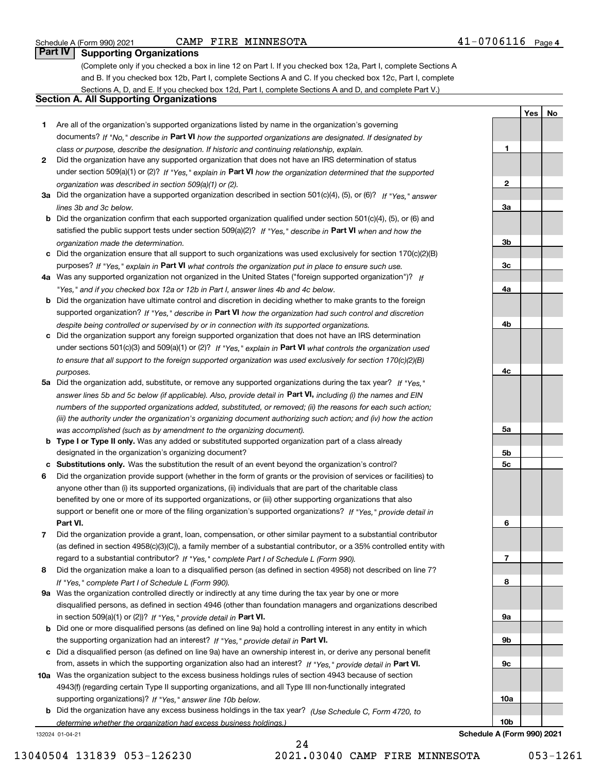# Schedule A (Form 990) 2021 CAMP FIRE MINNESOTA 4 $1\text{--}$  0  $7\,0\,6\,11\,6$  Page

**1**

**2**

**3a**

**YesNo**

# **Part IV Supporting Organizations**

(Complete only if you checked a box in line 12 on Part I. If you checked box 12a, Part I, complete Sections A and B. If you checked box 12b, Part I, complete Sections A and C. If you checked box 12c, Part I, complete Sections A, D, and E. If you checked box 12d, Part I, complete Sections A and D, and complete Part V.)

## **Section A. All Supporting Organizations**

- **1** Are all of the organization's supported organizations listed by name in the organization's governing documents? If "No," describe in **Part VI** how the supported organizations are designated. If designated by *class or purpose, describe the designation. If historic and continuing relationship, explain.*
- **2** Did the organization have any supported organization that does not have an IRS determination of status under section 509(a)(1) or (2)? If "Yes," explain in Part VI how the organization determined that the supported *organization was described in section 509(a)(1) or (2).*
- **3a** Did the organization have a supported organization described in section 501(c)(4), (5), or (6)? If "Yes," answer *lines 3b and 3c below.*
- **b** Did the organization confirm that each supported organization qualified under section 501(c)(4), (5), or (6) and satisfied the public support tests under section 509(a)(2)? If "Yes," describe in **Part VI** when and how the *organization made the determination.*
- **c**Did the organization ensure that all support to such organizations was used exclusively for section 170(c)(2)(B) purposes? If "Yes," explain in **Part VI** what controls the organization put in place to ensure such use.
- **4a***If* Was any supported organization not organized in the United States ("foreign supported organization")? *"Yes," and if you checked box 12a or 12b in Part I, answer lines 4b and 4c below.*
- **b** Did the organization have ultimate control and discretion in deciding whether to make grants to the foreign supported organization? If "Yes," describe in **Part VI** how the organization had such control and discretion *despite being controlled or supervised by or in connection with its supported organizations.*
- **c** Did the organization support any foreign supported organization that does not have an IRS determination under sections 501(c)(3) and 509(a)(1) or (2)? If "Yes," explain in **Part VI** what controls the organization used *to ensure that all support to the foreign supported organization was used exclusively for section 170(c)(2)(B) purposes.*
- **5a** Did the organization add, substitute, or remove any supported organizations during the tax year? If "Yes," answer lines 5b and 5c below (if applicable). Also, provide detail in **Part VI,** including (i) the names and EIN *numbers of the supported organizations added, substituted, or removed; (ii) the reasons for each such action; (iii) the authority under the organization's organizing document authorizing such action; and (iv) how the action was accomplished (such as by amendment to the organizing document).*
- **b** Type I or Type II only. Was any added or substituted supported organization part of a class already designated in the organization's organizing document?
- **cSubstitutions only.**  Was the substitution the result of an event beyond the organization's control?
- **6** Did the organization provide support (whether in the form of grants or the provision of services or facilities) to **Part VI.** *If "Yes," provide detail in* support or benefit one or more of the filing organization's supported organizations? anyone other than (i) its supported organizations, (ii) individuals that are part of the charitable class benefited by one or more of its supported organizations, or (iii) other supporting organizations that also
- **7**Did the organization provide a grant, loan, compensation, or other similar payment to a substantial contributor *If "Yes," complete Part I of Schedule L (Form 990).* regard to a substantial contributor? (as defined in section 4958(c)(3)(C)), a family member of a substantial contributor, or a 35% controlled entity with
- **8** Did the organization make a loan to a disqualified person (as defined in section 4958) not described on line 7? *If "Yes," complete Part I of Schedule L (Form 990).*
- **9a** Was the organization controlled directly or indirectly at any time during the tax year by one or more in section 509(a)(1) or (2))? If "Yes," *provide detail in* <code>Part VI.</code> disqualified persons, as defined in section 4946 (other than foundation managers and organizations described
- **b** Did one or more disqualified persons (as defined on line 9a) hold a controlling interest in any entity in which the supporting organization had an interest? If "Yes," provide detail in P**art VI**.
- **c**Did a disqualified person (as defined on line 9a) have an ownership interest in, or derive any personal benefit from, assets in which the supporting organization also had an interest? If "Yes," provide detail in P**art VI.**
- **10a** Was the organization subject to the excess business holdings rules of section 4943 because of section supporting organizations)? If "Yes," answer line 10b below. 4943(f) (regarding certain Type II supporting organizations, and all Type III non-functionally integrated
- **b** Did the organization have any excess business holdings in the tax year? (Use Schedule C, Form 4720, to *determine whether the organization had excess business holdings.)*

132024 01-04-21

**3b3c4a4b4c5a 5b5c6789a 9b9c10a10b**

**Schedule A (Form 990) 2021**

24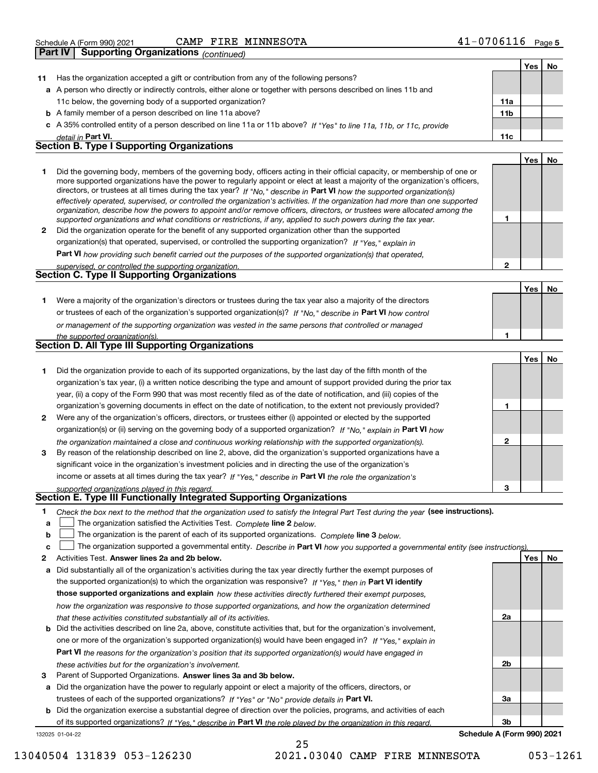| -0706116<br>FIRE MINNESOTA<br>CAMP<br>Schedule A (Form 990) 2021 | Page 5 |
|------------------------------------------------------------------|--------|
|------------------------------------------------------------------|--------|

|              | Supporting Organizations (continued)<br>Part IV                                                                                                                                                                                                                                                                                                                                                                                                                                                                                                                                                                                                      |                 |            |    |
|--------------|------------------------------------------------------------------------------------------------------------------------------------------------------------------------------------------------------------------------------------------------------------------------------------------------------------------------------------------------------------------------------------------------------------------------------------------------------------------------------------------------------------------------------------------------------------------------------------------------------------------------------------------------------|-----------------|------------|----|
|              |                                                                                                                                                                                                                                                                                                                                                                                                                                                                                                                                                                                                                                                      |                 | Yes        | No |
| 11           | Has the organization accepted a gift or contribution from any of the following persons?                                                                                                                                                                                                                                                                                                                                                                                                                                                                                                                                                              |                 |            |    |
|              | a A person who directly or indirectly controls, either alone or together with persons described on lines 11b and                                                                                                                                                                                                                                                                                                                                                                                                                                                                                                                                     |                 |            |    |
|              | 11c below, the governing body of a supported organization?                                                                                                                                                                                                                                                                                                                                                                                                                                                                                                                                                                                           | 11a             |            |    |
|              | <b>b</b> A family member of a person described on line 11a above?                                                                                                                                                                                                                                                                                                                                                                                                                                                                                                                                                                                    | 11 <sub>b</sub> |            |    |
|              | c A 35% controlled entity of a person described on line 11a or 11b above? If "Yes" to line 11a, 11b, or 11c, provide                                                                                                                                                                                                                                                                                                                                                                                                                                                                                                                                 |                 |            |    |
|              | detail in Part VI.                                                                                                                                                                                                                                                                                                                                                                                                                                                                                                                                                                                                                                   | 11c             |            |    |
|              | <b>Section B. Type I Supporting Organizations</b>                                                                                                                                                                                                                                                                                                                                                                                                                                                                                                                                                                                                    |                 |            |    |
|              |                                                                                                                                                                                                                                                                                                                                                                                                                                                                                                                                                                                                                                                      |                 | <b>Yes</b> | No |
| 1            | Did the governing body, members of the governing body, officers acting in their official capacity, or membership of one or<br>more supported organizations have the power to regularly appoint or elect at least a majority of the organization's officers,<br>directors, or trustees at all times during the tax year? If "No," describe in Part VI how the supported organization(s)<br>effectively operated, supervised, or controlled the organization's activities. If the organization had more than one supported<br>organization, describe how the powers to appoint and/or remove officers, directors, or trustees were allocated among the |                 |            |    |
|              | supported organizations and what conditions or restrictions, if any, applied to such powers during the tax year.                                                                                                                                                                                                                                                                                                                                                                                                                                                                                                                                     | 1               |            |    |
| $\mathbf{2}$ | Did the organization operate for the benefit of any supported organization other than the supported                                                                                                                                                                                                                                                                                                                                                                                                                                                                                                                                                  |                 |            |    |
|              | organization(s) that operated, supervised, or controlled the supporting organization? If "Yes," explain in                                                                                                                                                                                                                                                                                                                                                                                                                                                                                                                                           |                 |            |    |
|              | <b>Part VI</b> how providing such benefit carried out the purposes of the supported organization(s) that operated,                                                                                                                                                                                                                                                                                                                                                                                                                                                                                                                                   |                 |            |    |
|              | supervised, or controlled the supporting organization.                                                                                                                                                                                                                                                                                                                                                                                                                                                                                                                                                                                               | $\mathbf{2}$    |            |    |
|              | Section C. Type II Supporting Organizations                                                                                                                                                                                                                                                                                                                                                                                                                                                                                                                                                                                                          |                 |            |    |
|              |                                                                                                                                                                                                                                                                                                                                                                                                                                                                                                                                                                                                                                                      |                 | Yes        | No |
| 1            | Were a majority of the organization's directors or trustees during the tax year also a majority of the directors                                                                                                                                                                                                                                                                                                                                                                                                                                                                                                                                     |                 |            |    |
|              | or trustees of each of the organization's supported organization(s)? If "No," describe in Part VI how control                                                                                                                                                                                                                                                                                                                                                                                                                                                                                                                                        |                 |            |    |
|              | or management of the supporting organization was vested in the same persons that controlled or managed                                                                                                                                                                                                                                                                                                                                                                                                                                                                                                                                               |                 |            |    |
|              | the supported organization(s).                                                                                                                                                                                                                                                                                                                                                                                                                                                                                                                                                                                                                       | 1               |            |    |
|              | <b>Section D. All Type III Supporting Organizations</b>                                                                                                                                                                                                                                                                                                                                                                                                                                                                                                                                                                                              |                 |            |    |
|              |                                                                                                                                                                                                                                                                                                                                                                                                                                                                                                                                                                                                                                                      |                 | Yes        | No |
| 1            | Did the organization provide to each of its supported organizations, by the last day of the fifth month of the                                                                                                                                                                                                                                                                                                                                                                                                                                                                                                                                       |                 |            |    |
|              | organization's tax year, (i) a written notice describing the type and amount of support provided during the prior tax                                                                                                                                                                                                                                                                                                                                                                                                                                                                                                                                |                 |            |    |
|              | year, (ii) a copy of the Form 990 that was most recently filed as of the date of notification, and (iii) copies of the                                                                                                                                                                                                                                                                                                                                                                                                                                                                                                                               |                 |            |    |
|              | organization's governing documents in effect on the date of notification, to the extent not previously provided?                                                                                                                                                                                                                                                                                                                                                                                                                                                                                                                                     | 1               |            |    |
| 2            | Were any of the organization's officers, directors, or trustees either (i) appointed or elected by the supported                                                                                                                                                                                                                                                                                                                                                                                                                                                                                                                                     |                 |            |    |
|              | organization(s) or (ii) serving on the governing body of a supported organization? If "No," explain in Part VI how                                                                                                                                                                                                                                                                                                                                                                                                                                                                                                                                   |                 |            |    |
|              | the organization maintained a close and continuous working relationship with the supported organization(s).                                                                                                                                                                                                                                                                                                                                                                                                                                                                                                                                          | 2               |            |    |
|              | By reason of the relationship described on line 2, above, did the organization's supported organizations have a                                                                                                                                                                                                                                                                                                                                                                                                                                                                                                                                      |                 |            |    |

| 3 By reason of the relationship described on line 2, above, did the organization's supported organizations have a |
|-------------------------------------------------------------------------------------------------------------------|
| significant voice in the organization's investment policies and in directing the use of the organization's        |
| income or assets at all times during the tax year? If "Yes," describe in Part VI the role the organization's      |

### *supported organizations played in this regard.* **Section E. Type III Functionally Integrated Supporting Organizations**

| 1 Check the box next to the method that the organization used to satisfy the Integral Part Test during the year (see instru |  |
|-----------------------------------------------------------------------------------------------------------------------------|--|

| 1 Check the box next to the method that the organization used to satisfy the Integral Part Test during the year (see instructions). |
|-------------------------------------------------------------------------------------------------------------------------------------|
| $\mathsf{a}$ $\Box$ The organization satisfied the Activities Test. Complete line 2 below.                                          |

**a**The organization satisfied the Activities Test. *Complete* line 2 below.

|  |  | <b>b</b> $\Box$ The organization is the parent of each of its supported organizations. Complete line 3 below. |  |
|--|--|---------------------------------------------------------------------------------------------------------------|--|
|--|--|---------------------------------------------------------------------------------------------------------------|--|

|  |  | The organization supported a governmental entity. Describe in Part VI how you supported a governmental entity (see instructions). |  |
|--|--|-----------------------------------------------------------------------------------------------------------------------------------|--|
|--|--|-----------------------------------------------------------------------------------------------------------------------------------|--|

25

- **2Answer lines 2a and 2b below. Yes No** Activities Test.
- **a** Did substantially all of the organization's activities during the tax year directly further the exempt purposes of the supported organization(s) to which the organization was responsive? If "Yes," then in **Part VI identify those supported organizations and explain**  *how these activities directly furthered their exempt purposes, how the organization was responsive to those supported organizations, and how the organization determined that these activities constituted substantially all of its activities.*
- **b** Did the activities described on line 2a, above, constitute activities that, but for the organization's involvement, **Part VI**  *the reasons for the organization's position that its supported organization(s) would have engaged in* one or more of the organization's supported organization(s) would have been engaged in? If "Yes," e*xplain in these activities but for the organization's involvement.*
- **3**Parent of Supported Organizations. Answer lines 3a and 3b below.

**a** Did the organization have the power to regularly appoint or elect a majority of the officers, directors, or trustees of each of the supported organizations? If "Yes" or "No" provide details in **Part VI.** 

132025 01-04-22 **b** Did the organization exercise a substantial degree of direction over the policies, programs, and activities of each of its supported organizations? If "Yes," describe in Part VI the role played by the organization in this regard.

**3bSchedule A (Form 990) 2021**

**3**

**2a**

**2b**

**3a**

13040504 131839 053-126230 2021.03040 CAMP FIRE MINNESOTA 053-1261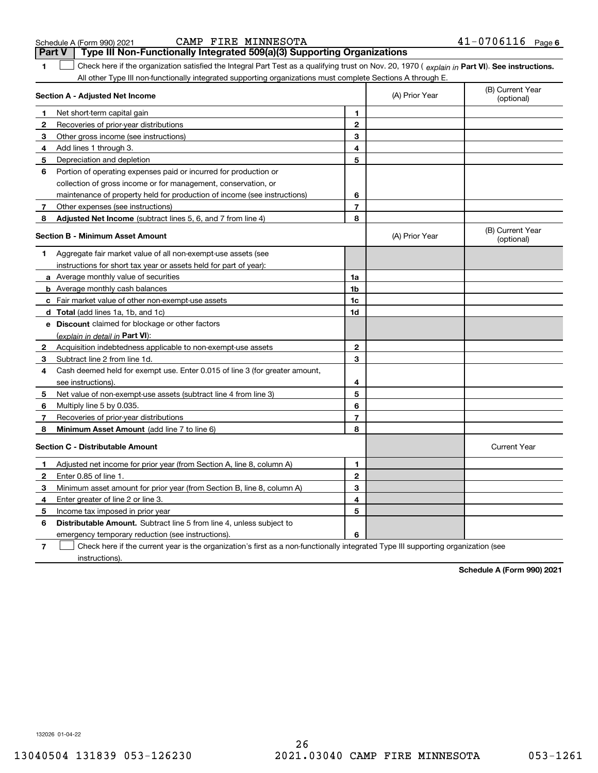| 1            | Check here if the organization satisfied the Integral Part Test as a qualifying trust on Nov. 20, 1970 (explain in Part VI). See instructions.<br>All other Type III non-functionally integrated supporting organizations must complete Sections A through E. |                         |                |                                |
|--------------|---------------------------------------------------------------------------------------------------------------------------------------------------------------------------------------------------------------------------------------------------------------|-------------------------|----------------|--------------------------------|
|              | Section A - Adjusted Net Income                                                                                                                                                                                                                               |                         | (A) Prior Year | (B) Current Year<br>(optional) |
| 1            | Net short-term capital gain                                                                                                                                                                                                                                   | 1                       |                |                                |
| 2            | Recoveries of prior-year distributions                                                                                                                                                                                                                        | $\mathbf{2}$            |                |                                |
| 3            | Other gross income (see instructions)                                                                                                                                                                                                                         | 3                       |                |                                |
| 4            | Add lines 1 through 3.                                                                                                                                                                                                                                        | 4                       |                |                                |
| 5            | Depreciation and depletion                                                                                                                                                                                                                                    | 5                       |                |                                |
| 6            | Portion of operating expenses paid or incurred for production or                                                                                                                                                                                              |                         |                |                                |
|              | collection of gross income or for management, conservation, or                                                                                                                                                                                                |                         |                |                                |
|              | maintenance of property held for production of income (see instructions)                                                                                                                                                                                      | 6                       |                |                                |
| 7            | Other expenses (see instructions)                                                                                                                                                                                                                             | $\overline{\mathbf{r}}$ |                |                                |
| 8            | Adjusted Net Income (subtract lines 5, 6, and 7 from line 4)                                                                                                                                                                                                  | 8                       |                |                                |
|              | <b>Section B - Minimum Asset Amount</b>                                                                                                                                                                                                                       |                         | (A) Prior Year | (B) Current Year<br>(optional) |
| 1            | Aggregate fair market value of all non-exempt-use assets (see                                                                                                                                                                                                 |                         |                |                                |
|              | instructions for short tax year or assets held for part of year):                                                                                                                                                                                             |                         |                |                                |
|              | <b>a</b> Average monthly value of securities                                                                                                                                                                                                                  | 1a                      |                |                                |
|              | <b>b</b> Average monthly cash balances                                                                                                                                                                                                                        | 1b                      |                |                                |
|              | c Fair market value of other non-exempt-use assets                                                                                                                                                                                                            | 1c                      |                |                                |
|              | d Total (add lines 1a, 1b, and 1c)                                                                                                                                                                                                                            | 1d                      |                |                                |
|              | <b>e</b> Discount claimed for blockage or other factors                                                                                                                                                                                                       |                         |                |                                |
|              | (explain in detail in Part VI):                                                                                                                                                                                                                               |                         |                |                                |
| $\mathbf{2}$ | Acquisition indebtedness applicable to non-exempt-use assets                                                                                                                                                                                                  | $\mathbf{2}$            |                |                                |
| 3            | Subtract line 2 from line 1d.                                                                                                                                                                                                                                 | 3                       |                |                                |
| 4            | Cash deemed held for exempt use. Enter 0.015 of line 3 (for greater amount,                                                                                                                                                                                   |                         |                |                                |
|              | see instructions)                                                                                                                                                                                                                                             | 4                       |                |                                |
| 5            | Net value of non-exempt-use assets (subtract line 4 from line 3)                                                                                                                                                                                              | 5                       |                |                                |
| 6            | Multiply line 5 by 0.035.                                                                                                                                                                                                                                     | 6                       |                |                                |
| 7            | Recoveries of prior-year distributions                                                                                                                                                                                                                        | 7                       |                |                                |
| 8            | <b>Minimum Asset Amount</b> (add line 7 to line 6)                                                                                                                                                                                                            | 8                       |                |                                |
|              | <b>Section C - Distributable Amount</b>                                                                                                                                                                                                                       |                         |                | <b>Current Year</b>            |
| 1.           | Adjusted net income for prior year (from Section A, line 8, column A)                                                                                                                                                                                         | 1                       |                |                                |
| 2            | Enter 0.85 of line 1.                                                                                                                                                                                                                                         | $\mathbf{2}$            |                |                                |
| 3            | Minimum asset amount for prior year (from Section B, line 8, column A)                                                                                                                                                                                        | 3                       |                |                                |
| 4            | Enter greater of line 2 or line 3.                                                                                                                                                                                                                            | 4                       |                |                                |
| 5            | Income tax imposed in prior year                                                                                                                                                                                                                              | 5                       |                |                                |
|              |                                                                                                                                                                                                                                                               |                         |                |                                |

**6Distributable Amount.** Subtract line 5 from line 4, unless subject to

emergency temporary reduction (see instructions).

**7**Check here if the current year is the organization's first as a non-functionally integrated Type III supporting organization (see instructions).

**Schedule A (Form 990) 2021**

Schedule A (Form 990) 2021 CAMP FIRE MINNESOTA 4 $1\text{--}$  0  $7\,0\,6\,11\,6$  Page **Part V Type III Non-Functionally Integrated 509(a)(3) Supporting Organizations** 

**6**

132026 01-04-22

**6**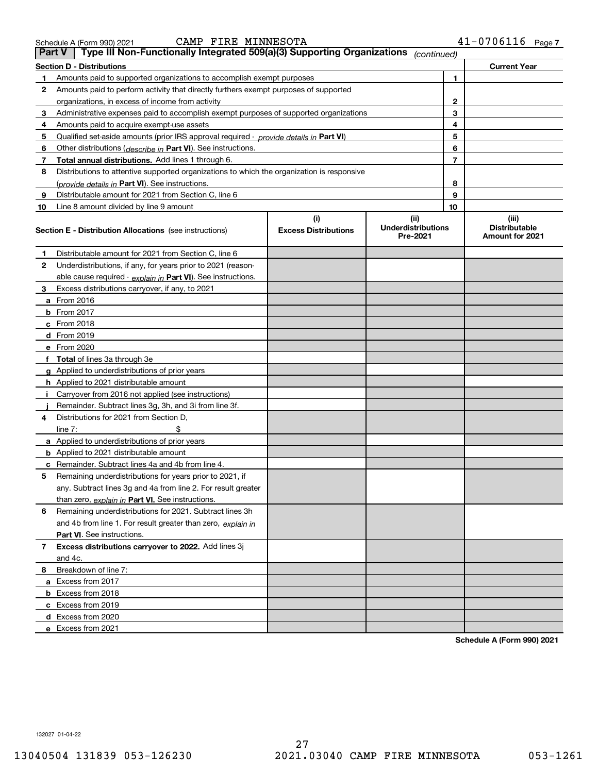|    | <b>Section D - Distributions</b>                                                           |                                    |                                               |                | <b>Current Year</b>                              |
|----|--------------------------------------------------------------------------------------------|------------------------------------|-----------------------------------------------|----------------|--------------------------------------------------|
| 1  | Amounts paid to supported organizations to accomplish exempt purposes                      |                                    |                                               | 1              |                                                  |
| 2  | Amounts paid to perform activity that directly furthers exempt purposes of supported       |                                    |                                               |                |                                                  |
|    | organizations, in excess of income from activity                                           |                                    |                                               | $\mathbf{2}$   |                                                  |
| 3  | Administrative expenses paid to accomplish exempt purposes of supported organizations      |                                    |                                               | 3              |                                                  |
| 4  | Amounts paid to acquire exempt-use assets                                                  |                                    |                                               | 4              |                                                  |
| 5  | Qualified set-aside amounts (prior IRS approval required - provide details in Part VI)     |                                    |                                               | 5              |                                                  |
| 6  | Other distributions (describe in Part VI). See instructions.                               |                                    |                                               | 6              |                                                  |
| 7  | Total annual distributions. Add lines 1 through 6.                                         |                                    |                                               | $\overline{7}$ |                                                  |
| 8  | Distributions to attentive supported organizations to which the organization is responsive |                                    |                                               |                |                                                  |
|    | (provide details in Part VI). See instructions.                                            |                                    |                                               | 8              |                                                  |
| 9  | Distributable amount for 2021 from Section C, line 6                                       |                                    |                                               | 9              |                                                  |
| 10 | Line 8 amount divided by line 9 amount                                                     |                                    |                                               | 10             |                                                  |
|    | <b>Section E - Distribution Allocations</b> (see instructions)                             | (i)<br><b>Excess Distributions</b> | (ii)<br><b>Underdistributions</b><br>Pre-2021 |                | (iii)<br><b>Distributable</b><br>Amount for 2021 |
| 1  | Distributable amount for 2021 from Section C, line 6                                       |                                    |                                               |                |                                                  |
| 2  | Underdistributions, if any, for years prior to 2021 (reason-                               |                                    |                                               |                |                                                  |
|    | able cause required - explain in Part VI). See instructions.                               |                                    |                                               |                |                                                  |
| 3  | Excess distributions carryover, if any, to 2021                                            |                                    |                                               |                |                                                  |
|    | a From 2016                                                                                |                                    |                                               |                |                                                  |
|    | <b>b</b> From 2017                                                                         |                                    |                                               |                |                                                  |
|    | $c$ From 2018                                                                              |                                    |                                               |                |                                                  |
|    | d From 2019                                                                                |                                    |                                               |                |                                                  |
|    | e From 2020                                                                                |                                    |                                               |                |                                                  |
|    | f Total of lines 3a through 3e                                                             |                                    |                                               |                |                                                  |
|    | g Applied to underdistributions of prior years                                             |                                    |                                               |                |                                                  |
|    | <b>h</b> Applied to 2021 distributable amount                                              |                                    |                                               |                |                                                  |
| Ť. | Carryover from 2016 not applied (see instructions)                                         |                                    |                                               |                |                                                  |
|    | Remainder. Subtract lines 3g, 3h, and 3i from line 3f.                                     |                                    |                                               |                |                                                  |
| 4  | Distributions for 2021 from Section D,                                                     |                                    |                                               |                |                                                  |
|    | line $7:$                                                                                  |                                    |                                               |                |                                                  |
|    | a Applied to underdistributions of prior years                                             |                                    |                                               |                |                                                  |
|    | <b>b</b> Applied to 2021 distributable amount                                              |                                    |                                               |                |                                                  |
|    | c Remainder. Subtract lines 4a and 4b from line 4.                                         |                                    |                                               |                |                                                  |
| 5  | Remaining underdistributions for years prior to 2021, if                                   |                                    |                                               |                |                                                  |
|    | any. Subtract lines 3g and 4a from line 2. For result greater                              |                                    |                                               |                |                                                  |
|    | than zero, explain in Part VI. See instructions.                                           |                                    |                                               |                |                                                  |
| 6  | Remaining underdistributions for 2021. Subtract lines 3h                                   |                                    |                                               |                |                                                  |
|    | and 4b from line 1. For result greater than zero, explain in                               |                                    |                                               |                |                                                  |
|    | <b>Part VI.</b> See instructions.                                                          |                                    |                                               |                |                                                  |
| 7  | Excess distributions carryover to 2022. Add lines 3j                                       |                                    |                                               |                |                                                  |
|    | and 4c.                                                                                    |                                    |                                               |                |                                                  |
| 8  | Breakdown of line 7:                                                                       |                                    |                                               |                |                                                  |
|    | a Excess from 2017                                                                         |                                    |                                               |                |                                                  |
|    | <b>b</b> Excess from 2018                                                                  |                                    |                                               |                |                                                  |
|    | c Excess from 2019                                                                         |                                    |                                               |                |                                                  |
|    | d Excess from 2020                                                                         |                                    |                                               |                |                                                  |
|    | e Excess from 2021                                                                         |                                    |                                               |                |                                                  |
|    |                                                                                            |                                    |                                               |                | Schedule A (Form 990) 2021                       |

**Part V Type III Non-Functionally Integrated 509(a)(3) Supporting Organizations** *(continued)*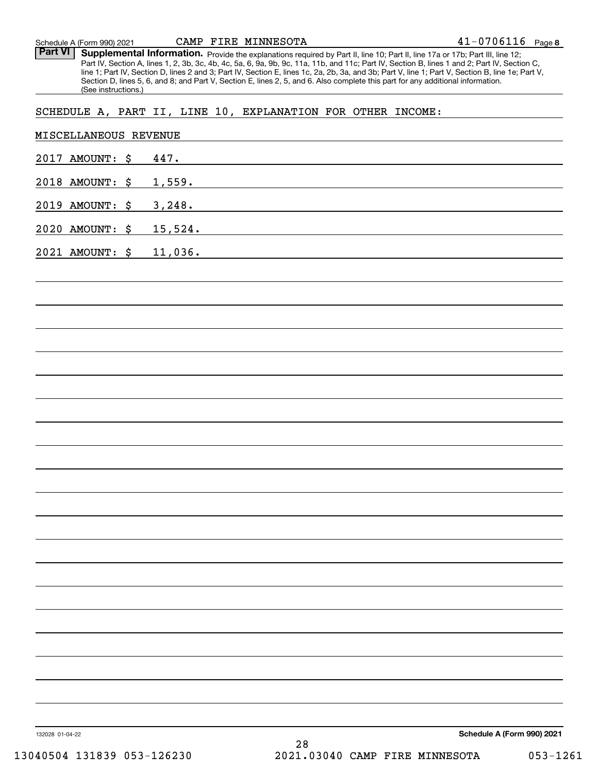Part VI | Supplemental Information. Provide the explanations required by Part II, line 10; Part II, line 17a or 17b; Part III, line 12; Part IV, Section A, lines 1, 2, 3b, 3c, 4b, 4c, 5a, 6, 9a, 9b, 9c, 11a, 11b, and 11c; Part IV, Section B, lines 1 and 2; Part IV, Section C, line 1; Part IV, Section D, lines 2 and 3; Part IV, Section E, lines 1c, 2a, 2b, 3a, and 3b; Part V, line 1; Part V, Section B, line 1e; Part V, Section D, lines 5, 6, and 8; and Part V, Section E, lines 2, 5, and 6. Also complete this part for any additional information. (See instructions.)

## SCHEDULE A, PART II, LINE 10, EXPLANATION FOR OTHER INCOME:

| 2017 AMOUNT: \$ 447.    |    |                            |  |
|-------------------------|----|----------------------------|--|
|                         |    |                            |  |
| 2018 AMOUNT: \$ 1,559.  |    |                            |  |
| 2019 AMOUNT: \$ 3,248.  |    |                            |  |
| 2020 AMOUNT: \$ 15,524. |    |                            |  |
| 2021 AMOUNT: \$ 11,036. |    |                            |  |
|                         |    |                            |  |
|                         |    |                            |  |
|                         |    |                            |  |
|                         |    |                            |  |
|                         |    |                            |  |
|                         |    |                            |  |
|                         |    |                            |  |
|                         |    |                            |  |
|                         |    |                            |  |
|                         |    |                            |  |
|                         |    |                            |  |
|                         |    |                            |  |
|                         |    |                            |  |
|                         |    |                            |  |
|                         |    |                            |  |
|                         |    |                            |  |
|                         |    |                            |  |
|                         |    |                            |  |
|                         |    |                            |  |
|                         |    |                            |  |
|                         |    |                            |  |
| 132028 01-04-22         | 28 | Schedule A (Form 990) 2021 |  |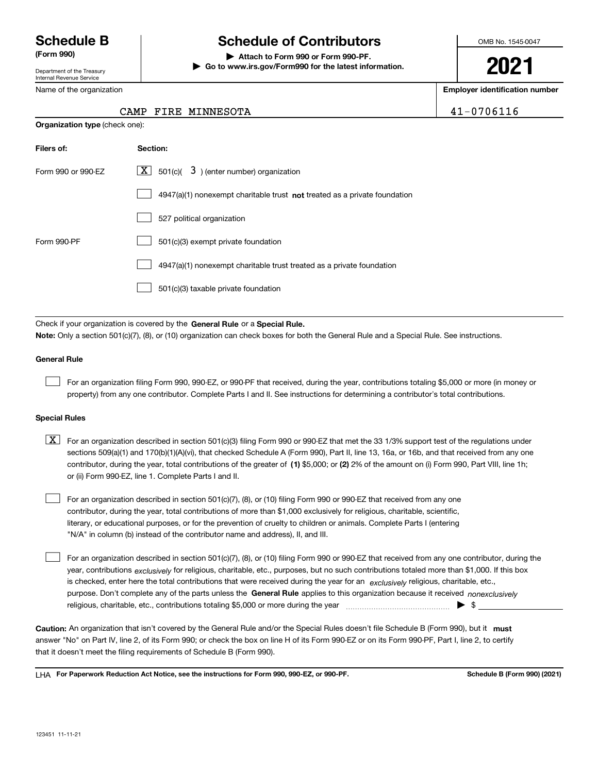Department of the Treasury Internal Revenue Service

Name of the organization

**Organization type** (check one):

# **Schedule B Schedule of Contributors**

**(Form 990) | Attach to Form 990 or Form 990-PF. | Go to www.irs.gov/Form990 for the latest information.** OMB No. 1545-0047

**2021**

**Employer identification number**

 $41 - 0706116$ 

|  | CAMP FIRE MINNESOTA |
|--|---------------------|
|  |                     |

| Filers of:         | Section:                                                                    |
|--------------------|-----------------------------------------------------------------------------|
| Form 990 or 990-EZ | $\lfloor x \rfloor$ 501(c)( 3) (enter number) organization                  |
|                    | $4947(a)(1)$ nonexempt charitable trust not treated as a private foundation |
|                    | 527 political organization                                                  |
| Form 990-PF        | 501(c)(3) exempt private foundation                                         |
|                    | 4947(a)(1) nonexempt charitable trust treated as a private foundation       |
|                    | 501(c)(3) taxable private foundation                                        |

Check if your organization is covered by the **General Rule** or a **Special Rule. Note:**  Only a section 501(c)(7), (8), or (10) organization can check boxes for both the General Rule and a Special Rule. See instructions.

### **General Rule**

 $\mathcal{L}^{\text{max}}$ 

For an organization filing Form 990, 990-EZ, or 990-PF that received, during the year, contributions totaling \$5,000 or more (in money or property) from any one contributor. Complete Parts I and II. See instructions for determining a contributor's total contributions.

### **Special Rules**

contributor, during the year, total contributions of the greater of (1**)** \$5,000; or (2) 2% of the amount on (i) Form 990, Part VIII, line 1h;  $\boxed{\textbf{X}}$  For an organization described in section 501(c)(3) filing Form 990 or 990-EZ that met the 33 1/3% support test of the regulations under sections 509(a)(1) and 170(b)(1)(A)(vi), that checked Schedule A (Form 990), Part II, line 13, 16a, or 16b, and that received from any one or (ii) Form 990-EZ, line 1. Complete Parts I and II.

For an organization described in section 501(c)(7), (8), or (10) filing Form 990 or 990-EZ that received from any one contributor, during the year, total contributions of more than \$1,000 exclusively for religious, charitable, scientific, literary, or educational purposes, or for the prevention of cruelty to children or animals. Complete Parts I (entering "N/A" in column (b) instead of the contributor name and address), II, and III.  $\mathcal{L}^{\text{max}}$ 

purpose. Don't complete any of the parts unless the **General Rule** applies to this organization because it received *nonexclusively* year, contributions <sub>exclusively</sub> for religious, charitable, etc., purposes, but no such contributions totaled more than \$1,000. If this box is checked, enter here the total contributions that were received during the year for an  $\;$ exclusively religious, charitable, etc., For an organization described in section 501(c)(7), (8), or (10) filing Form 990 or 990-EZ that received from any one contributor, during the religious, charitable, etc., contributions totaling \$5,000 or more during the year  $\Box$ — $\Box$   $\Box$  $\mathcal{L}^{\text{max}}$ 

Caution: An organization that isn't covered by the General Rule and/or the Special Rules doesn't file Schedule B (Form 990), but it **must** answer "No" on Part IV, line 2, of its Form 990; or check the box on line H of its Form 990-EZ or on its Form 990-PF, Part I, line 2, to certify that it doesn't meet the filing requirements of Schedule B (Form 990).

LHA For Paperwork Reduction Act Notice, see the instructions for Form 990, 990-EZ, or 990-PF. **In the act and Schedule B** (Form 990) (2021)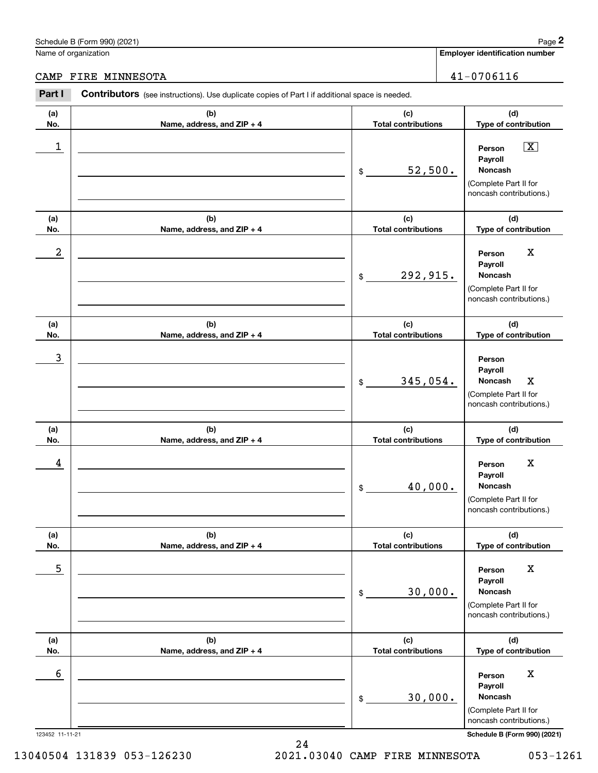# Schedule B (Form 990) (2021) Page 2

Name of organization

**Employer identification number**

CAMP FIRE MINNESOTA 41-0706116

### 123452 11-11-21 **Schedule B (Form 990) (2021) (a)No.(b)Name, address, and ZIP + 4 (c)Total contributions (d)Type of contribution PersonPayrollNoncash(a)No.(b)Name, address, and ZIP + 4 (c)Total contributions (d)Type of contribution PersonPayrollNoncash(a)No.(b)Name, address, and ZIP + 4 (c)Total contributions (d)Type of contribution PersonPayrollNoncash(a) No.(b) Name, address, and ZIP + 4 (c) Total contributions (d) Type of contribution PersonPayrollNoncash(a) No.(b) Name, address, and ZIP + 4 (c) Total contributions (d) Type of contribution PersonPayrollNoncash(a) No.(b)Name, address, and ZIP + 4 (c) Total contributions (d)Type of contribution PersonPayrollNoncashContributors** (see instructions). Use duplicate copies of Part I if additional space is needed. \$(Complete Part II for noncash contributions.) \$(Complete Part II for noncash contributions.) \$(Complete Part II for noncash contributions.) \$(Complete Part II for noncash contributions.) \$(Complete Part II for noncash contributions.) \$(Complete Part II for noncash contributions.) **2** Chedule B (Form 990) (2021)<br> **2Part I 2Part I Contributors** (see instructions). Use duplicate copies of Part I if additional space is needed.<br> **Part I Contributors** (see instructions). Use duplicate copies of Par 1 X 52,500.  $2$  | Person X 292,915. 3 345,054. Noncash X 4 Person X 40,000. <u>5 | Person X</u> 30,000. 6 Berson X Adventure Contract of the Contract of the Contract of the Contract of the Contract of the Contract of the Contract of the Contract of the Contract of the Contract of the Contract of the Contract of the Contract 30,000.

13040504 131839 053-126230 2021.03040 CAMP FIRE MINNESOTA 053-1261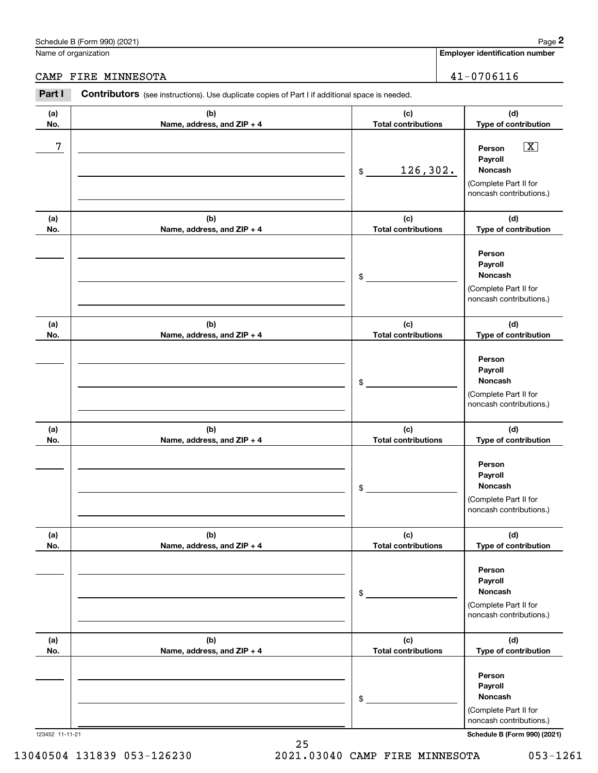# Schedule B (Form 990) (2021) Page 2

|                 | Schedule B (Form 990) (2021)                                                                   |                                   | Page 2                                                                                                                  |
|-----------------|------------------------------------------------------------------------------------------------|-----------------------------------|-------------------------------------------------------------------------------------------------------------------------|
|                 | Name of organization                                                                           |                                   | <b>Employer identification number</b>                                                                                   |
| CAMP            | FIRE MINNESOTA                                                                                 |                                   | $41 - 0706116$                                                                                                          |
| Part I          | Contributors (see instructions). Use duplicate copies of Part I if additional space is needed. |                                   |                                                                                                                         |
| (a)<br>No.      | (b)<br>Name, address, and ZIP + 4                                                              | (c)<br><b>Total contributions</b> | (d)<br>Type of contribution                                                                                             |
| 7               |                                                                                                | 126,302.<br>\$                    | $\boxed{\text{X}}$<br>Person<br>Payroll<br>Noncash<br>(Complete Part II for<br>noncash contributions.)                  |
| (a)<br>No.      | (b)<br>Name, address, and ZIP + 4                                                              | (c)<br><b>Total contributions</b> | (d)<br>Type of contribution                                                                                             |
|                 |                                                                                                | \$                                | Person<br>Payroll<br>Noncash<br>(Complete Part II for<br>noncash contributions.)                                        |
| (a)<br>No.      | (b)<br>Name, address, and ZIP + 4                                                              | (c)<br><b>Total contributions</b> | (d)<br>Type of contribution                                                                                             |
|                 |                                                                                                | \$                                | Person<br>Payroll<br>Noncash<br>(Complete Part II for<br>noncash contributions.)                                        |
| (a)<br>No.      | (b)<br>Name, address, and ZIP + 4                                                              | (c)<br><b>Total contributions</b> | (d)<br>Type of contribution                                                                                             |
|                 |                                                                                                | \$                                | Person<br>Payroll<br>Noncash<br>(Complete Part II for<br>noncash contributions.)                                        |
| (a)<br>No.      | (b)<br>Name, address, and ZIP + 4                                                              | (c)<br><b>Total contributions</b> | (d)<br>Type of contribution                                                                                             |
|                 |                                                                                                | \$                                | Person<br>Payroll<br>Noncash<br>(Complete Part II for<br>noncash contributions.)                                        |
| (a)<br>No.      | (b)<br>Name, address, and ZIP + 4                                                              | (c)<br><b>Total contributions</b> | (d)<br>Type of contribution                                                                                             |
| 123452 11-11-21 |                                                                                                | \$                                | Person<br>Payroll<br>Noncash<br>(Complete Part II for<br>noncash contributions.)<br><b>Schedule B (Form 990) (2021)</b> |

13040504 131839 053-126230 2021.03040 CAMP FIRE MINNESOTA 053-1261

25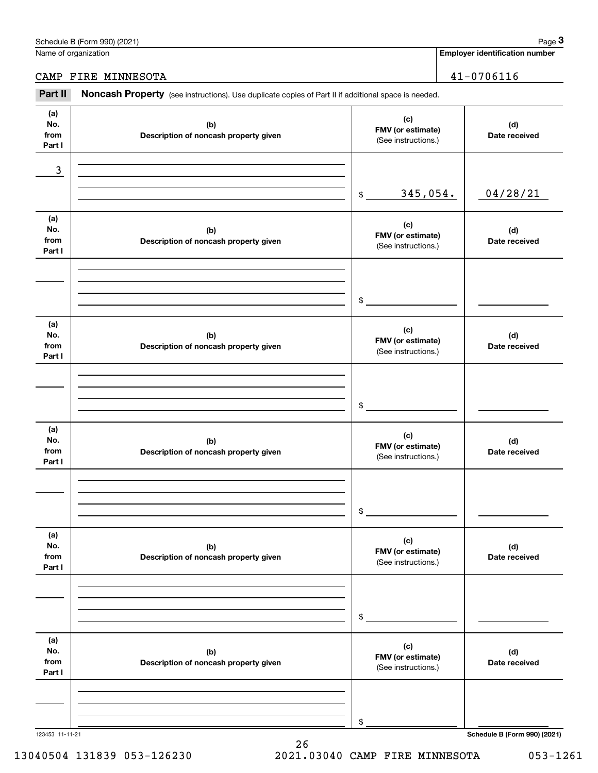|                              | Schedule B (Form 990) (2021)                                                                        |                                                 |                                       | Page 3                       |
|------------------------------|-----------------------------------------------------------------------------------------------------|-------------------------------------------------|---------------------------------------|------------------------------|
| Name of organization         |                                                                                                     |                                                 | <b>Employer identification number</b> |                              |
|                              | CAMP FIRE MINNESOTA                                                                                 |                                                 |                                       | $41 - 0706116$               |
| Part II                      | Noncash Property (see instructions). Use duplicate copies of Part II if additional space is needed. |                                                 |                                       |                              |
| (a)<br>No.<br>from<br>Part I | (b)<br>Description of noncash property given                                                        | (c)<br>FMV (or estimate)<br>(See instructions.) |                                       | (d)<br>Date received         |
| 3                            |                                                                                                     |                                                 |                                       |                              |
|                              |                                                                                                     | 345,054.<br>\$                                  |                                       | 04/28/21                     |
| (a)<br>No.<br>from<br>Part I | (b)<br>Description of noncash property given                                                        | (c)<br>FMV (or estimate)<br>(See instructions.) |                                       | (d)<br>Date received         |
|                              |                                                                                                     | \$                                              |                                       |                              |
| (a)<br>No.<br>from<br>Part I | (b)<br>Description of noncash property given                                                        | (c)<br>FMV (or estimate)<br>(See instructions.) |                                       | (d)<br>Date received         |
|                              |                                                                                                     | \$                                              |                                       |                              |
| (a)<br>No.<br>from<br>Part I | (b)<br>Description of noncash property given                                                        | (c)<br>FMV (or estimate)<br>(See instructions.) |                                       | (d)<br>Date received         |
|                              |                                                                                                     | \$                                              |                                       |                              |
| (a)<br>No.<br>from<br>Part I | (b)<br>Description of noncash property given                                                        | (c)<br>FMV (or estimate)<br>(See instructions.) |                                       | (d)<br>Date received         |
|                              |                                                                                                     | \$                                              |                                       |                              |
| (a)<br>No.<br>from<br>Part I | (b)<br>Description of noncash property given                                                        | (c)<br>FMV (or estimate)<br>(See instructions.) |                                       | (d)<br>Date received         |
|                              |                                                                                                     | \$                                              |                                       |                              |
| 123453 11-11-21              |                                                                                                     |                                                 |                                       | Schedule B (Form 990) (2021) |

13040504 131839 053-126230 2021.03040 CAMP FIRE MINNESOTA 053-1261

26

Schedule B (Form 990) (2021) Page 3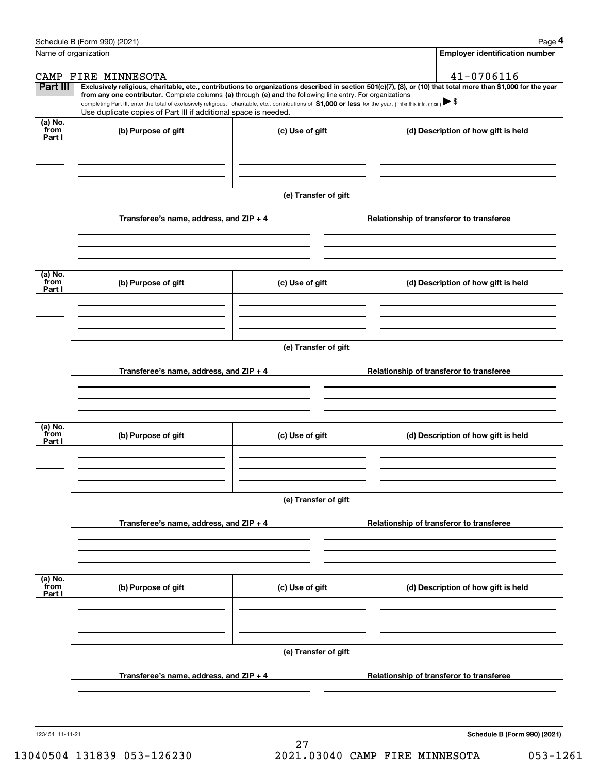|                           | Schedule B (Form 990) (2021)                                                                                                                                                                                                                                                 |                      |                                          | Page 4                                   |  |  |
|---------------------------|------------------------------------------------------------------------------------------------------------------------------------------------------------------------------------------------------------------------------------------------------------------------------|----------------------|------------------------------------------|------------------------------------------|--|--|
|                           | Name of organization                                                                                                                                                                                                                                                         |                      |                                          | <b>Employer identification number</b>    |  |  |
|                           | CAMP FIRE MINNESOTA                                                                                                                                                                                                                                                          |                      |                                          | 41-0706116                               |  |  |
| Part III                  | Exclusively religious, charitable, etc., contributions to organizations described in section 501(c)(7), (8), or (10) that total more than \$1,000 for the year<br>from any one contributor. Complete columns (a) through (e) and the following line entry. For organizations |                      |                                          |                                          |  |  |
|                           | completing Part III, enter the total of exclusively religious, charitable, etc., contributions of \$1,000 or less for the year. (Enter this info. once.) $\blacktriangleright$ \$                                                                                            |                      |                                          |                                          |  |  |
| (a) No.                   | Use duplicate copies of Part III if additional space is needed.                                                                                                                                                                                                              |                      |                                          |                                          |  |  |
| from<br>Part I            | (b) Purpose of gift                                                                                                                                                                                                                                                          | (c) Use of gift      |                                          | (d) Description of how gift is held      |  |  |
|                           |                                                                                                                                                                                                                                                                              |                      |                                          |                                          |  |  |
|                           |                                                                                                                                                                                                                                                                              |                      |                                          |                                          |  |  |
|                           |                                                                                                                                                                                                                                                                              |                      |                                          |                                          |  |  |
|                           |                                                                                                                                                                                                                                                                              | (e) Transfer of gift |                                          |                                          |  |  |
|                           | Transferee's name, address, and ZIP + 4                                                                                                                                                                                                                                      |                      | Relationship of transferor to transferee |                                          |  |  |
|                           |                                                                                                                                                                                                                                                                              |                      |                                          |                                          |  |  |
|                           |                                                                                                                                                                                                                                                                              |                      |                                          |                                          |  |  |
| (a) No.                   |                                                                                                                                                                                                                                                                              |                      |                                          |                                          |  |  |
| from<br>Part I            | (b) Purpose of gift                                                                                                                                                                                                                                                          | (c) Use of gift      |                                          | (d) Description of how gift is held      |  |  |
|                           |                                                                                                                                                                                                                                                                              |                      |                                          |                                          |  |  |
|                           |                                                                                                                                                                                                                                                                              |                      |                                          |                                          |  |  |
|                           |                                                                                                                                                                                                                                                                              |                      |                                          |                                          |  |  |
|                           |                                                                                                                                                                                                                                                                              | (e) Transfer of gift |                                          |                                          |  |  |
|                           | Transferee's name, address, and $ZIP + 4$                                                                                                                                                                                                                                    |                      |                                          | Relationship of transferor to transferee |  |  |
|                           |                                                                                                                                                                                                                                                                              |                      |                                          |                                          |  |  |
|                           |                                                                                                                                                                                                                                                                              |                      |                                          |                                          |  |  |
|                           |                                                                                                                                                                                                                                                                              |                      |                                          |                                          |  |  |
| (a) No.<br>from<br>Part I | (b) Purpose of gift                                                                                                                                                                                                                                                          | (c) Use of gift      |                                          | (d) Description of how gift is held      |  |  |
|                           |                                                                                                                                                                                                                                                                              |                      |                                          |                                          |  |  |
|                           |                                                                                                                                                                                                                                                                              |                      |                                          |                                          |  |  |
|                           |                                                                                                                                                                                                                                                                              |                      |                                          |                                          |  |  |
|                           |                                                                                                                                                                                                                                                                              | (e) Transfer of gift |                                          |                                          |  |  |
|                           | Transferee's name, address, and $ZIP + 4$                                                                                                                                                                                                                                    |                      |                                          | Relationship of transferor to transferee |  |  |
|                           |                                                                                                                                                                                                                                                                              |                      |                                          |                                          |  |  |
|                           |                                                                                                                                                                                                                                                                              |                      |                                          |                                          |  |  |
| (a) No.                   |                                                                                                                                                                                                                                                                              |                      |                                          |                                          |  |  |
| from<br>Part I            | (b) Purpose of gift                                                                                                                                                                                                                                                          | (c) Use of gift      |                                          | (d) Description of how gift is held      |  |  |
|                           |                                                                                                                                                                                                                                                                              |                      |                                          |                                          |  |  |
|                           |                                                                                                                                                                                                                                                                              |                      |                                          |                                          |  |  |
|                           |                                                                                                                                                                                                                                                                              |                      |                                          |                                          |  |  |
|                           | (e) Transfer of gift                                                                                                                                                                                                                                                         |                      |                                          |                                          |  |  |
|                           | Transferee's name, address, and ZIP + 4                                                                                                                                                                                                                                      |                      | Relationship of transferor to transferee |                                          |  |  |
|                           |                                                                                                                                                                                                                                                                              |                      |                                          |                                          |  |  |
|                           |                                                                                                                                                                                                                                                                              |                      |                                          |                                          |  |  |
|                           |                                                                                                                                                                                                                                                                              |                      |                                          |                                          |  |  |
| 123454 11-11-21           |                                                                                                                                                                                                                                                                              |                      |                                          | Schedule B (Form 990) (2021)             |  |  |

13040504 131839 053-126230 2021.03040 CAMP FIRE MINNESOTA 053-1261

27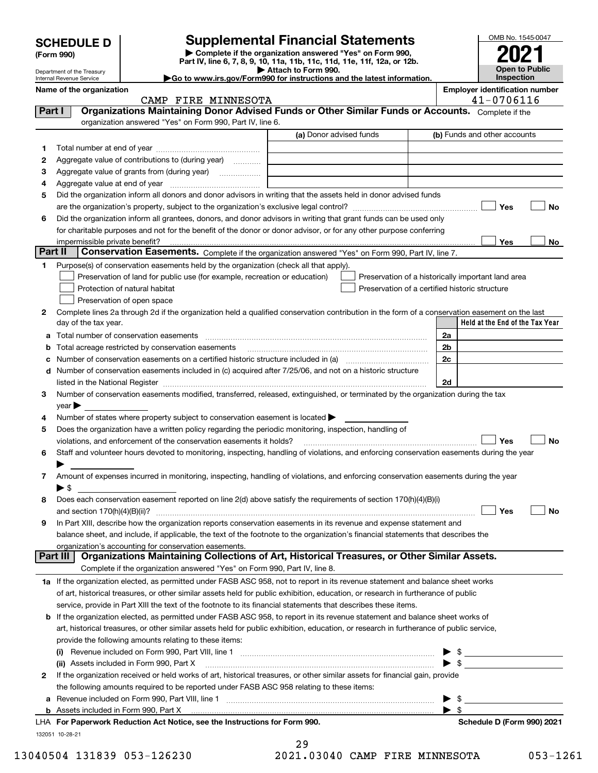| <b>Supplemental Financial Statements</b><br><b>SCHEDULE D</b><br>Complete if the organization answered "Yes" on Form 990,<br>(Form 990) |                                                                                                                                                |                                                                                                                                                                                                                               | OMB No. 1545-0047 |                                                     |  |
|-----------------------------------------------------------------------------------------------------------------------------------------|------------------------------------------------------------------------------------------------------------------------------------------------|-------------------------------------------------------------------------------------------------------------------------------------------------------------------------------------------------------------------------------|-------------------|-----------------------------------------------------|--|
|                                                                                                                                         |                                                                                                                                                | Part IV, line 6, 7, 8, 9, 10, 11a, 11b, 11c, 11d, 11e, 11f, 12a, or 12b.                                                                                                                                                      |                   |                                                     |  |
| Department of the Treasury<br>Internal Revenue Service                                                                                  |                                                                                                                                                | Attach to Form 990.<br>Go to www.irs.gov/Form990 for instructions and the latest information.                                                                                                                                 |                   | <b>Open to Public</b><br><b>Inspection</b>          |  |
| Name of the organization                                                                                                                | CAMP FIRE MINNESOTA                                                                                                                            |                                                                                                                                                                                                                               |                   | <b>Employer identification number</b><br>41-0706116 |  |
| Part I                                                                                                                                  | Organizations Maintaining Donor Advised Funds or Other Similar Funds or Accounts. Complete if the                                              |                                                                                                                                                                                                                               |                   |                                                     |  |
|                                                                                                                                         | organization answered "Yes" on Form 990, Part IV, line 6.                                                                                      |                                                                                                                                                                                                                               |                   |                                                     |  |
|                                                                                                                                         |                                                                                                                                                | (a) Donor advised funds                                                                                                                                                                                                       |                   | (b) Funds and other accounts                        |  |
| 1                                                                                                                                       |                                                                                                                                                |                                                                                                                                                                                                                               |                   |                                                     |  |
| 2                                                                                                                                       | Aggregate value of contributions to (during year)                                                                                              |                                                                                                                                                                                                                               |                   |                                                     |  |
| 3                                                                                                                                       | Aggregate value of grants from (during year)                                                                                                   |                                                                                                                                                                                                                               |                   |                                                     |  |
| 4                                                                                                                                       |                                                                                                                                                |                                                                                                                                                                                                                               |                   |                                                     |  |
| 5                                                                                                                                       | Did the organization inform all donors and donor advisors in writing that the assets held in donor advised funds                               |                                                                                                                                                                                                                               |                   |                                                     |  |
|                                                                                                                                         |                                                                                                                                                |                                                                                                                                                                                                                               |                   | Yes<br><b>No</b>                                    |  |
| 6                                                                                                                                       | Did the organization inform all grantees, donors, and donor advisors in writing that grant funds can be used only                              |                                                                                                                                                                                                                               |                   |                                                     |  |
|                                                                                                                                         | for charitable purposes and not for the benefit of the donor or donor advisor, or for any other purpose conferring                             |                                                                                                                                                                                                                               |                   |                                                     |  |
|                                                                                                                                         |                                                                                                                                                |                                                                                                                                                                                                                               |                   | Yes<br>No                                           |  |
| Part II                                                                                                                                 | Conservation Easements. Complete if the organization answered "Yes" on Form 990, Part IV, line 7.                                              |                                                                                                                                                                                                                               |                   |                                                     |  |
| 1.                                                                                                                                      | Purpose(s) of conservation easements held by the organization (check all that apply).                                                          |                                                                                                                                                                                                                               |                   |                                                     |  |
|                                                                                                                                         | Preservation of land for public use (for example, recreation or education)                                                                     |                                                                                                                                                                                                                               |                   | Preservation of a historically important land area  |  |
|                                                                                                                                         | Protection of natural habitat<br>Preservation of a certified historic structure                                                                |                                                                                                                                                                                                                               |                   |                                                     |  |
|                                                                                                                                         | Preservation of open space                                                                                                                     |                                                                                                                                                                                                                               |                   |                                                     |  |
| 2                                                                                                                                       | Complete lines 2a through 2d if the organization held a qualified conservation contribution in the form of a conservation easement on the last |                                                                                                                                                                                                                               |                   |                                                     |  |
| day of the tax year.                                                                                                                    |                                                                                                                                                |                                                                                                                                                                                                                               |                   | Held at the End of the Tax Year                     |  |
|                                                                                                                                         |                                                                                                                                                |                                                                                                                                                                                                                               | 2a                |                                                     |  |
|                                                                                                                                         | <b>b</b> Total acreage restricted by conservation easements                                                                                    |                                                                                                                                                                                                                               | 2b                |                                                     |  |
|                                                                                                                                         |                                                                                                                                                |                                                                                                                                                                                                                               | 2c                |                                                     |  |
|                                                                                                                                         | d Number of conservation easements included in (c) acquired after 7/25/06, and not on a historic structure                                     |                                                                                                                                                                                                                               |                   |                                                     |  |
|                                                                                                                                         |                                                                                                                                                | listed in the National Register [111] Marshall Register [11] Marshall Register [11] Marshall Register [11] Marshall Register [11] Marshall Register [11] Marshall Register [11] Marshall Register [11] Marshall Register [11] | 2d                |                                                     |  |
|                                                                                                                                         |                                                                                                                                                |                                                                                                                                                                                                                               |                   |                                                     |  |
| 3                                                                                                                                       |                                                                                                                                                |                                                                                                                                                                                                                               |                   |                                                     |  |
| vear                                                                                                                                    | Number of conservation easements modified, transferred, released, extinguished, or terminated by the organization during the tax               |                                                                                                                                                                                                                               |                   |                                                     |  |

| 5 Does the organization have a written policy regarding the periodic monitoring, inspection, handling of                                    |
|---------------------------------------------------------------------------------------------------------------------------------------------|
| □ l Yes □<br>∣ ∣No<br>violations, and enforcement of the conservation easements it holds?                                                   |
| 6 Staff and volunteer hours devoted to monitoring, inspecting, handling of violations, and enforcing conservation easements during the year |
|                                                                                                                                             |
| Amount of expenses incurred in monitoring inconsting bondling of violetians, and enforcing concervation essements during the veer           |

| Amount of expenses incurred in monitoring, inspecting, handling of violations, and enforcing conservation easements during the year |
|-------------------------------------------------------------------------------------------------------------------------------------|
|                                                                                                                                     |
| 8 Does each conservation easement reported on line 2(d) above satisfy the requirements of section 170(h)(4)(B)(i)                   |

| 8 Does each conservation easement reported on line 2(d) above satisfy the requirements of section 170(h)(4)(B)(i)                |           |
|----------------------------------------------------------------------------------------------------------------------------------|-----------|
| │ ∣Yes                                                                                                                           | $\sim 10$ |
| 9 In Part XIII, describe how the organization reports conservation easements in its revenue and expense statement and            |           |
| holance cheet, and include if applicable. the text of the feetpote to the erganization's financial statements that describes the |           |

| balance sheet, and include, if applicable, the text of the footnote to the organization's financial statements that describes the |
|-----------------------------------------------------------------------------------------------------------------------------------|
| organization's accounting for conservation easements.                                                                             |
| <b>Part III   Organizations Maintaining Collections of Art, Historical Treasures, or Other Similar Assets.</b>                    |

| Complete if the organization answered "Yes" on Form 990, Part IV, line 8.                                                         |
|-----------------------------------------------------------------------------------------------------------------------------------|
| 1a If the organization elected, as permitted under FASB ASC 958, not to report in its revenue statement and balance sheet works   |
| of art, historical treasures, or other similar assets held for public exhibition, education, or research in furtherance of public |
| service, provide in Part XIII the text of the footnote to its financial statements that describes these items.                    |

| <b>b</b> If the organization elected, as permitted under FASB ASC 958, to report in its revenue statement and balance sheet works of    |                    |  |
|-----------------------------------------------------------------------------------------------------------------------------------------|--------------------|--|
| art, historical treasures, or other similar assets held for public exhibition, education, or research in furtherance of public service, |                    |  |
| provide the following amounts relating to these items:                                                                                  |                    |  |
| (i) Revenue included on Form 990, Part VIII, line 1                                                                                     | $\triangleright$ s |  |

| ► 5                                                                                                                            |  |
|--------------------------------------------------------------------------------------------------------------------------------|--|
| 2 If the organization received or held works of art, historical treasures, or other similar assets for financial gain, provide |  |
| the following amounts required to be reported under FASB ASC 958 relating to these items:                                      |  |
| <b>a</b> Revenue included on Form 990, Part VIII, line 1                                                                       |  |
|                                                                                                                                |  |

| LHA For Paperwork Reduction Act Notice, see the Instructions for Form 990. |
|----------------------------------------------------------------------------|
| 132051 10-28-21                                                            |

29

**No**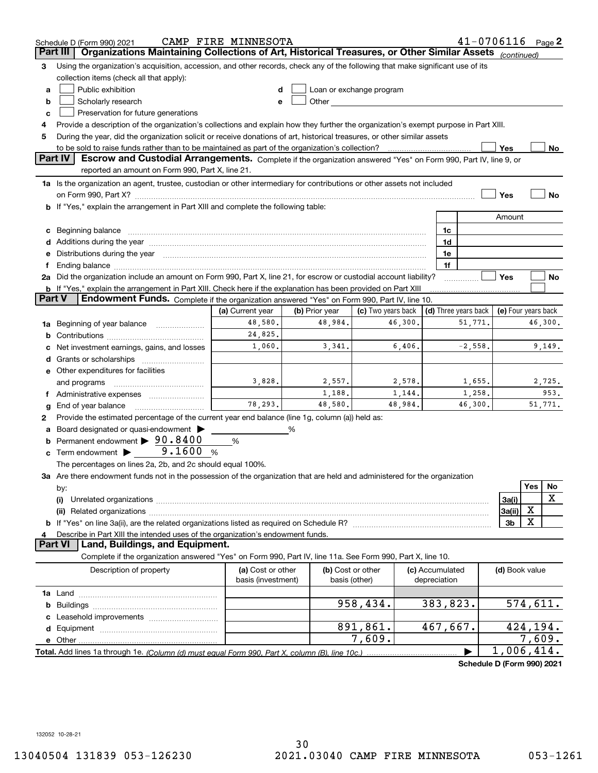|               | Schedule D (Form 990) 2021                                                                                                                                                                                                     | CAMP FIRE MINNESOTA |                   |                                                                                                                                                                                                                               |                 | $41 - 0706116$ Page 2      |                     |          |         |  |  |  |
|---------------|--------------------------------------------------------------------------------------------------------------------------------------------------------------------------------------------------------------------------------|---------------------|-------------------|-------------------------------------------------------------------------------------------------------------------------------------------------------------------------------------------------------------------------------|-----------------|----------------------------|---------------------|----------|---------|--|--|--|
|               | Organizations Maintaining Collections of Art, Historical Treasures, or Other Similar Assets (continued)<br>Part III                                                                                                            |                     |                   |                                                                                                                                                                                                                               |                 |                            |                     |          |         |  |  |  |
| 3             | Using the organization's acquisition, accession, and other records, check any of the following that make significant use of its                                                                                                |                     |                   |                                                                                                                                                                                                                               |                 |                            |                     |          |         |  |  |  |
|               | collection items (check all that apply):                                                                                                                                                                                       |                     |                   |                                                                                                                                                                                                                               |                 |                            |                     |          |         |  |  |  |
| a             | Public exhibition                                                                                                                                                                                                              |                     |                   | Loan or exchange program                                                                                                                                                                                                      |                 |                            |                     |          |         |  |  |  |
| b             | Scholarly research                                                                                                                                                                                                             |                     |                   | Other and the contract of the contract of the contract of the contract of the contract of the contract of the contract of the contract of the contract of the contract of the contract of the contract of the contract of the |                 |                            |                     |          |         |  |  |  |
| с             | Preservation for future generations                                                                                                                                                                                            |                     |                   |                                                                                                                                                                                                                               |                 |                            |                     |          |         |  |  |  |
| 4             | Provide a description of the organization's collections and explain how they further the organization's exempt purpose in Part XIII.                                                                                           |                     |                   |                                                                                                                                                                                                                               |                 |                            |                     |          |         |  |  |  |
| 5             | During the year, did the organization solicit or receive donations of art, historical treasures, or other similar assets                                                                                                       |                     |                   |                                                                                                                                                                                                                               |                 |                            |                     |          |         |  |  |  |
|               | to be sold to raise funds rather than to be maintained as part of the organization's collection?                                                                                                                               |                     |                   |                                                                                                                                                                                                                               |                 |                            | Yes                 |          | No      |  |  |  |
|               | <b>Part IV</b><br>Escrow and Custodial Arrangements. Complete if the organization answered "Yes" on Form 990, Part IV, line 9, or<br>reported an amount on Form 990, Part X, line 21.                                          |                     |                   |                                                                                                                                                                                                                               |                 |                            |                     |          |         |  |  |  |
|               | 1a Is the organization an agent, trustee, custodian or other intermediary for contributions or other assets not included                                                                                                       |                     |                   |                                                                                                                                                                                                                               |                 |                            |                     |          |         |  |  |  |
|               |                                                                                                                                                                                                                                |                     |                   |                                                                                                                                                                                                                               |                 |                            | Yes                 |          | No      |  |  |  |
|               | b If "Yes," explain the arrangement in Part XIII and complete the following table:                                                                                                                                             |                     |                   |                                                                                                                                                                                                                               |                 |                            |                     |          |         |  |  |  |
|               |                                                                                                                                                                                                                                |                     |                   |                                                                                                                                                                                                                               |                 |                            | Amount              |          |         |  |  |  |
|               | c Beginning balance measurements and the contract of the contract of the contract of the contract of the contract of the contract of the contract of the contract of the contract of the contract of the contract of the contr |                     |                   |                                                                                                                                                                                                                               | 1c              |                            |                     |          |         |  |  |  |
|               |                                                                                                                                                                                                                                |                     |                   |                                                                                                                                                                                                                               | 1d              |                            |                     |          |         |  |  |  |
|               | e Distributions during the year manufactured and contained and contained and contained and contained and contained and contained and contained and contained and contained and contained and contained and contained and conta |                     |                   |                                                                                                                                                                                                                               | 1e              |                            |                     |          |         |  |  |  |
| f.            | Ending balance manufactured and contract the contract of the contract of the contract of the contract of the contract of the contract of the contract of the contract of the contract of the contract of the contract of the c |                     |                   |                                                                                                                                                                                                                               | 1f              |                            |                     |          |         |  |  |  |
|               | 2a Did the organization include an amount on Form 990, Part X, line 21, for escrow or custodial account liability?                                                                                                             |                     |                   |                                                                                                                                                                                                                               |                 |                            | Yes                 |          | No      |  |  |  |
|               | <b>b</b> If "Yes," explain the arrangement in Part XIII. Check here if the explanation has been provided on Part XIII                                                                                                          |                     |                   |                                                                                                                                                                                                                               |                 |                            |                     |          |         |  |  |  |
| <b>Part V</b> | Endowment Funds. Complete if the organization answered "Yes" on Form 990, Part IV, line 10.                                                                                                                                    |                     |                   |                                                                                                                                                                                                                               |                 |                            |                     |          |         |  |  |  |
|               |                                                                                                                                                                                                                                | (a) Current year    | (b) Prior year    | (c) Two years back                                                                                                                                                                                                            |                 | (d) Three years back       | (e) Four years back |          |         |  |  |  |
|               | 1a Beginning of year balance                                                                                                                                                                                                   | 48,580.             | 48,984.           | 46,300.                                                                                                                                                                                                                       |                 | 51,771.                    |                     |          | 46,300. |  |  |  |
|               |                                                                                                                                                                                                                                | 24,825.             |                   |                                                                                                                                                                                                                               |                 |                            |                     |          |         |  |  |  |
|               | c Net investment earnings, gains, and losses                                                                                                                                                                                   | 1,060.              | 3,341.            | 6,406.                                                                                                                                                                                                                        |                 | $-2,558.$                  |                     |          | 9,149.  |  |  |  |
|               |                                                                                                                                                                                                                                |                     |                   |                                                                                                                                                                                                                               |                 |                            |                     |          |         |  |  |  |
|               | e Other expenditures for facilities                                                                                                                                                                                            |                     |                   |                                                                                                                                                                                                                               |                 |                            |                     |          |         |  |  |  |
|               | and programs                                                                                                                                                                                                                   | 3,828.              | 2,557.            | 2,578.                                                                                                                                                                                                                        |                 | 1,655.                     |                     |          | 2,725.  |  |  |  |
|               | f Administrative expenses <i></i>                                                                                                                                                                                              |                     | 1,188.            | 1,144.                                                                                                                                                                                                                        |                 | 1,258.                     |                     |          | 953.    |  |  |  |
| g             | End of year balance                                                                                                                                                                                                            | 78,293.             | 48,580.           | 48,984.                                                                                                                                                                                                                       |                 | 46,300.                    |                     |          | 51,771. |  |  |  |
| 2             | Provide the estimated percentage of the current year end balance (line 1g, column (a)) held as:                                                                                                                                |                     |                   |                                                                                                                                                                                                                               |                 |                            |                     |          |         |  |  |  |
|               | a Board designated or quasi-endowment >                                                                                                                                                                                        |                     | %                 |                                                                                                                                                                                                                               |                 |                            |                     |          |         |  |  |  |
|               | <b>b</b> Permanent endowment $\triangleright$ 90.8400                                                                                                                                                                          | %                   |                   |                                                                                                                                                                                                                               |                 |                            |                     |          |         |  |  |  |
|               | 9.1600<br>$\mathbf c$ Term endowment $\blacktriangleright$                                                                                                                                                                     | %                   |                   |                                                                                                                                                                                                                               |                 |                            |                     |          |         |  |  |  |
|               | The percentages on lines 2a, 2b, and 2c should equal 100%.                                                                                                                                                                     |                     |                   |                                                                                                                                                                                                                               |                 |                            |                     |          |         |  |  |  |
|               | 3a Are there endowment funds not in the possession of the organization that are held and administered for the organization                                                                                                     |                     |                   |                                                                                                                                                                                                                               |                 |                            |                     |          |         |  |  |  |
|               | by:                                                                                                                                                                                                                            |                     |                   |                                                                                                                                                                                                                               |                 |                            |                     | Yes      | No      |  |  |  |
|               | (i)                                                                                                                                                                                                                            |                     |                   |                                                                                                                                                                                                                               |                 |                            | 3a(i)               |          | X       |  |  |  |
|               |                                                                                                                                                                                                                                |                     |                   |                                                                                                                                                                                                                               |                 |                            | 3a(ii)              | х        |         |  |  |  |
|               |                                                                                                                                                                                                                                |                     |                   |                                                                                                                                                                                                                               |                 |                            | 3b                  | х        |         |  |  |  |
|               | Describe in Part XIII the intended uses of the organization's endowment funds.                                                                                                                                                 |                     |                   |                                                                                                                                                                                                                               |                 |                            |                     |          |         |  |  |  |
|               | Land, Buildings, and Equipment.<br><b>Part VI</b>                                                                                                                                                                              |                     |                   |                                                                                                                                                                                                                               |                 |                            |                     |          |         |  |  |  |
|               | Complete if the organization answered "Yes" on Form 990, Part IV, line 11a. See Form 990, Part X, line 10.                                                                                                                     |                     |                   |                                                                                                                                                                                                                               |                 |                            |                     |          |         |  |  |  |
|               | Description of property                                                                                                                                                                                                        | (a) Cost or other   | (b) Cost or other |                                                                                                                                                                                                                               | (c) Accumulated |                            | (d) Book value      |          |         |  |  |  |
|               |                                                                                                                                                                                                                                | basis (investment)  | basis (other)     |                                                                                                                                                                                                                               | depreciation    |                            |                     |          |         |  |  |  |
|               |                                                                                                                                                                                                                                |                     |                   |                                                                                                                                                                                                                               |                 |                            |                     |          |         |  |  |  |
|               |                                                                                                                                                                                                                                |                     |                   | 958,434.                                                                                                                                                                                                                      | 383,823.        |                            |                     | 574,611. |         |  |  |  |
|               |                                                                                                                                                                                                                                |                     |                   |                                                                                                                                                                                                                               |                 |                            |                     |          |         |  |  |  |
|               |                                                                                                                                                                                                                                |                     |                   | 891,861.                                                                                                                                                                                                                      | 467,667.        |                            |                     | 424,194. |         |  |  |  |
|               |                                                                                                                                                                                                                                |                     |                   | 7,609.                                                                                                                                                                                                                        |                 |                            |                     | 7,609.   |         |  |  |  |
|               | Total. Add lines 1a through 1e. (Column (d) must equal Form 990. Part X. column (B). line 10c.)                                                                                                                                |                     |                   |                                                                                                                                                                                                                               |                 |                            | 1,006,414.          |          |         |  |  |  |
|               |                                                                                                                                                                                                                                |                     |                   |                                                                                                                                                                                                                               |                 | Schedule D (Form 990) 2021 |                     |          |         |  |  |  |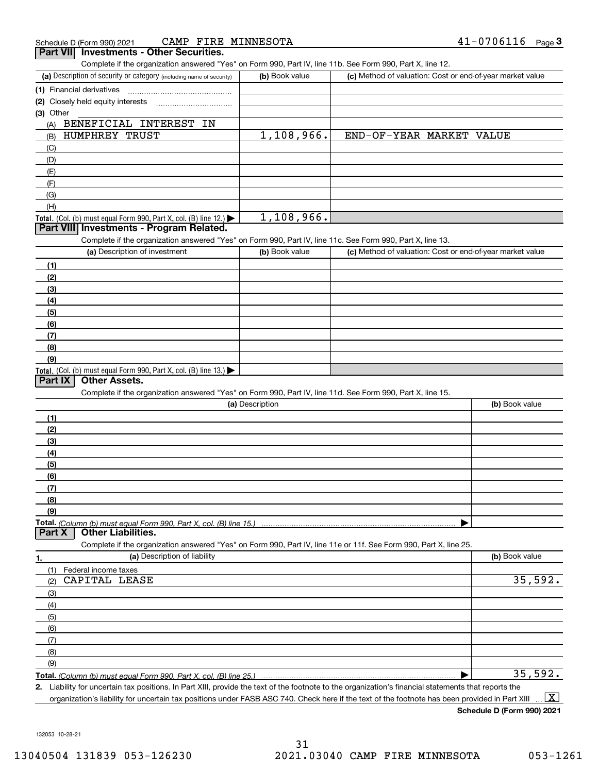| CAMP FIRE MINNESOTA<br>Schedule D (Form 990) 2021                                                                 |                 |                                                           | $41 - 0706116$ Page 3 |
|-------------------------------------------------------------------------------------------------------------------|-----------------|-----------------------------------------------------------|-----------------------|
| <b>Investments - Other Securities.</b><br><b>Part VIII</b>                                                        |                 |                                                           |                       |
| Complete if the organization answered "Yes" on Form 990, Part IV, line 11b. See Form 990, Part X, line 12.        |                 |                                                           |                       |
| (a) Description of security or category (including name of security)                                              | (b) Book value  | (c) Method of valuation: Cost or end-of-year market value |                       |
| (1) Financial derivatives                                                                                         |                 |                                                           |                       |
| (2) Closely held equity interests                                                                                 |                 |                                                           |                       |
| (3) Other                                                                                                         |                 |                                                           |                       |
| BENEFICIAL INTEREST IN<br>(A)                                                                                     |                 |                                                           |                       |
| HUMPHREY TRUST<br>(B)                                                                                             | 1,108,966.      | END-OF-YEAR MARKET VALUE                                  |                       |
| (C)                                                                                                               |                 |                                                           |                       |
| (D)                                                                                                               |                 |                                                           |                       |
| (E)                                                                                                               |                 |                                                           |                       |
| (F)                                                                                                               |                 |                                                           |                       |
| (G)                                                                                                               |                 |                                                           |                       |
| (H)                                                                                                               |                 |                                                           |                       |
| Total. (Col. (b) must equal Form 990, Part X, col. (B) line 12.) $\blacktriangleright$                            | 1,108,966.      |                                                           |                       |
| Part VIII Investments - Program Related.                                                                          |                 |                                                           |                       |
| Complete if the organization answered "Yes" on Form 990, Part IV, line 11c. See Form 990, Part X, line 13.        |                 |                                                           |                       |
| (a) Description of investment                                                                                     | (b) Book value  | (c) Method of valuation: Cost or end-of-year market value |                       |
| (1)                                                                                                               |                 |                                                           |                       |
| (2)                                                                                                               |                 |                                                           |                       |
| (3)                                                                                                               |                 |                                                           |                       |
| (4)                                                                                                               |                 |                                                           |                       |
| (5)                                                                                                               |                 |                                                           |                       |
| (6)                                                                                                               |                 |                                                           |                       |
| (7)                                                                                                               |                 |                                                           |                       |
| (8)                                                                                                               |                 |                                                           |                       |
| (9)                                                                                                               |                 |                                                           |                       |
| Total. (Col. (b) must equal Form 990, Part X, col. (B) line 13.) $\blacktriangleright$                            |                 |                                                           |                       |
| <b>Other Assets.</b><br><b>Part IX</b>                                                                            |                 |                                                           |                       |
| Complete if the organization answered "Yes" on Form 990, Part IV, line 11d. See Form 990, Part X, line 15.        |                 |                                                           |                       |
|                                                                                                                   | (a) Description |                                                           | (b) Book value        |
| (1)                                                                                                               |                 |                                                           |                       |
| (2)                                                                                                               |                 |                                                           |                       |
| (3)                                                                                                               |                 |                                                           |                       |
| (4)                                                                                                               |                 |                                                           |                       |
| (5)                                                                                                               |                 |                                                           |                       |
| (6)                                                                                                               |                 |                                                           |                       |
| (7)                                                                                                               |                 |                                                           |                       |
| (8)                                                                                                               |                 |                                                           |                       |
| (9)                                                                                                               |                 |                                                           |                       |
| <b>Other Liabilities.</b><br>Part X                                                                               |                 |                                                           |                       |
| Complete if the organization answered "Yes" on Form 990, Part IV, line 11e or 11f. See Form 990, Part X, line 25. |                 |                                                           |                       |
| (a) Description of liability<br>1.                                                                                |                 |                                                           | (b) Book value        |
| (1)<br>Federal income taxes<br>$C2$ $D T M T T T T R R T$                                                         |                 |                                                           | 25.502                |

| Federal income taxes<br>(1) |         |
|-----------------------------|---------|
| CAPITAL LEASE<br>(2)        | 35,592. |
| $\qquad \qquad (3)$         |         |
| (4)                         |         |
| (5)                         |         |
| (6)                         |         |
| (7)                         |         |
| (8)                         |         |
| (9)                         |         |
|                             | 35,592. |

**Total.**  *(Column (b) must equal Form 990, Part X, col. (B) line 25.)* 

**2.**Liability for uncertain tax positions. In Part XIII, provide the text of the footnote to the organization's financial statements that reports the organization's liability for uncertain tax positions under FASB ASC 740. Check here if the text of the footnote has been provided in Part XIII  $\boxed{\text{X}}$ 

**Schedule D (Form 990) 2021**

132053 10-28-21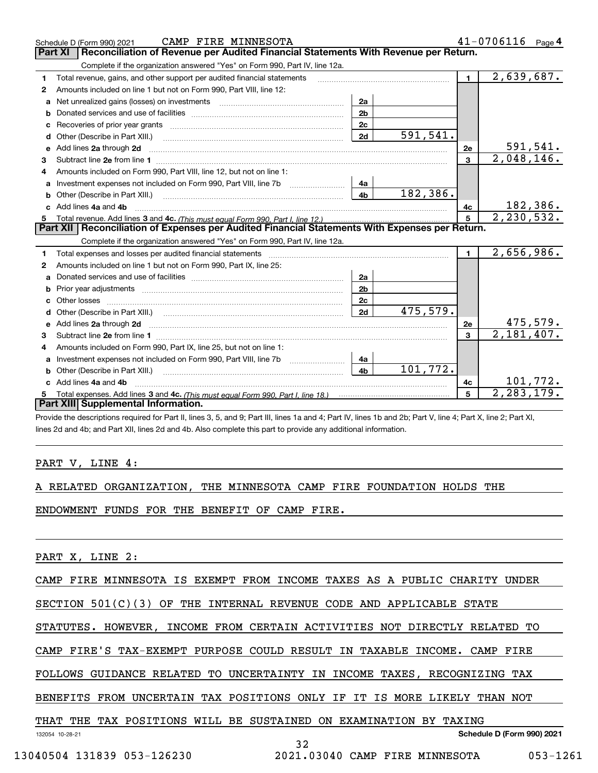|    | CAMP FIRE MINNESOTA<br>Schedule D (Form 990) 2021                                                                                                                                                    |                |          |                | 41-0706116<br>Page 4          |
|----|------------------------------------------------------------------------------------------------------------------------------------------------------------------------------------------------------|----------------|----------|----------------|-------------------------------|
|    | Reconciliation of Revenue per Audited Financial Statements With Revenue per Return.<br>Part XI                                                                                                       |                |          |                |                               |
|    | Complete if the organization answered "Yes" on Form 990, Part IV, line 12a.                                                                                                                          |                |          |                |                               |
| 1. | Total revenue, gains, and other support per audited financial statements                                                                                                                             |                |          | $\blacksquare$ | 2,639,687.                    |
| 2  | Amounts included on line 1 but not on Form 990, Part VIII, line 12:                                                                                                                                  |                |          |                |                               |
| a  |                                                                                                                                                                                                      | 2a             |          |                |                               |
|    |                                                                                                                                                                                                      | 2 <sub>b</sub> |          |                |                               |
|    |                                                                                                                                                                                                      | 2 <sub>c</sub> |          |                |                               |
| d  | Other (Describe in Part XIII.)                                                                                                                                                                       | 2d             | 591,541. |                |                               |
| е  | Add lines 2a through 2d                                                                                                                                                                              |                |          | 2e             | $\frac{591,541}{2,048,146}$ . |
| 3  |                                                                                                                                                                                                      |                |          | $\overline{3}$ |                               |
| 4  | Amounts included on Form 990, Part VIII, line 12, but not on line 1:                                                                                                                                 |                |          |                |                               |
|    |                                                                                                                                                                                                      |                |          |                |                               |
| b  |                                                                                                                                                                                                      | 4 <sub>b</sub> | 182,386. |                |                               |
| c. | Add lines 4a and 4b                                                                                                                                                                                  |                |          | 4c             | 182,386.                      |
|    |                                                                                                                                                                                                      |                |          | 5 <sup>1</sup> | 2, 230, 532.                  |
|    |                                                                                                                                                                                                      |                |          |                |                               |
|    | Part XII   Reconciliation of Expenses per Audited Financial Statements With Expenses per Return.                                                                                                     |                |          |                |                               |
|    | Complete if the organization answered "Yes" on Form 990, Part IV, line 12a.                                                                                                                          |                |          |                |                               |
| 1  | Total expenses and losses per audited financial statements [11] [11] Total expenses and losses per audited financial statements [11] [11] Total expenses and losses per audited financial statements |                |          | $\blacksquare$ | 2,656,986.                    |
| 2  | Amounts included on line 1 but not on Form 990, Part IX, line 25:                                                                                                                                    |                |          |                |                               |
| a  |                                                                                                                                                                                                      | 2a             |          |                |                               |
| b  |                                                                                                                                                                                                      | 2 <sub>b</sub> |          |                |                               |
|    |                                                                                                                                                                                                      | 2c             |          |                |                               |
|    |                                                                                                                                                                                                      | 2d             | 475,579. |                |                               |
|    | Add lines 2a through 2d <b>contained a contained a contained a contained a</b> contained a contained a contact the set                                                                               |                |          | 2e             | <u>475,579.</u>               |
| 3  |                                                                                                                                                                                                      |                |          | $\mathbf{a}$   | 2,181,407.                    |
| 4  | Amounts included on Form 990, Part IX, line 25, but not on line 1:                                                                                                                                   |                |          |                |                               |
|    |                                                                                                                                                                                                      | 4a             |          |                |                               |
| b  |                                                                                                                                                                                                      | 4 <sub>b</sub> | 101,772. |                |                               |
|    | Add lines 4a and 4b                                                                                                                                                                                  |                |          | 4c             | 101,772.                      |
|    | Part XIII Supplemental Information.                                                                                                                                                                  |                |          | 5              | 2, 283, 179.                  |

Provide the descriptions required for Part II, lines 3, 5, and 9; Part III, lines 1a and 4; Part IV, lines 1b and 2b; Part V, line 4; Part X, line 2; Part XI, lines 2d and 4b; and Part XII, lines 2d and 4b. Also complete this part to provide any additional information.

### PART V, LINE 4:

|  |  | A RELATED ORGANIZATION, THE MINNESOTA CAMP FIRE FOUNDATION HOLDS THE |  |  |  |  |  |  |  |
|--|--|----------------------------------------------------------------------|--|--|--|--|--|--|--|
|--|--|----------------------------------------------------------------------|--|--|--|--|--|--|--|

ENDOWMENT FUNDS FOR THE BENEFIT OF CAMP FIRE.

PART X, LINE 2:

CAMP FIRE MINNESOTA IS EXEMPT FROM INCOME TAXES AS A PUBLIC CHARITY UNDER

SECTION 501(C)(3) OF THE INTERNAL REVENUE CODE AND APPLICABLE STATE

STATUTES. HOWEVER, INCOME FROM CERTAIN ACTIVITIES NOT DIRECTLY RELATED TO

CAMP FIRE'S TAX-EXEMPT PURPOSE COULD RESULT IN TAXABLE INCOME. CAMP FIRE

FOLLOWS GUIDANCE RELATED TO UNCERTAINTY IN INCOME TAXES, RECOGNIZING TAX

BENEFITS FROM UNCERTAIN TAX POSITIONS ONLY IF IT IS MORE LIKELY THAN NOT

|  |  |  |  |  |  |  |  | THAT THE TAX POSITIONS WILL BE SUSTAINED ON EXAMINATION BY TAXING |  |  |  |
|--|--|--|--|--|--|--|--|-------------------------------------------------------------------|--|--|--|
|--|--|--|--|--|--|--|--|-------------------------------------------------------------------|--|--|--|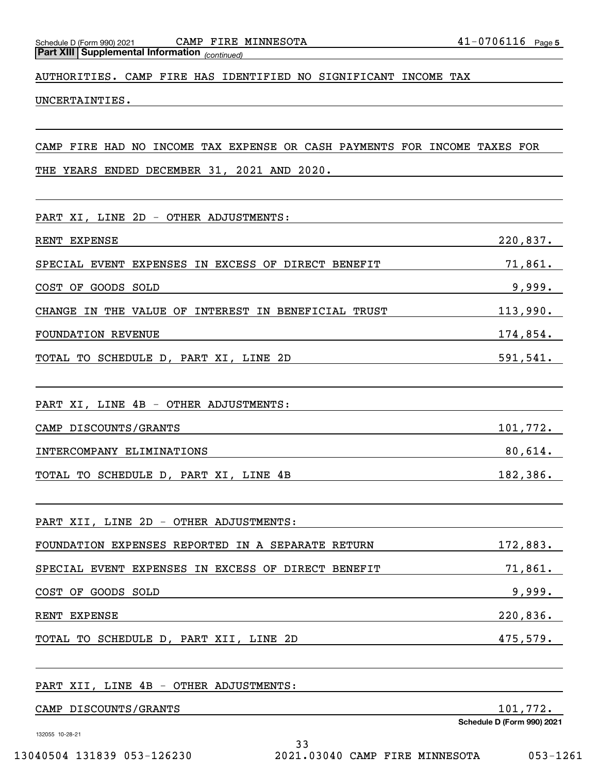Schedule D (Form 990) 2021 CAMP FIRE MINNESOTA 4 $1\text{--}$  0  $7\,0\,6\,11\,6$  Page

*(continued)* **Part XIII Supplemental Information** 

AUTHORITIES. CAMP FIRE HAS IDENTIFIED NO SIGNIFICANT INCOME TAX

UNCERTAINTIES.

CAMP FIRE HAD NO INCOME TAX EXPENSE OR CASH PAYMENTS FOR INCOME TAXES FOR

THE YEARS ENDED DECEMBER 31, 2021 AND 2020.

| PART XI, LINE 2D - OTHER ADJUSTMENTS:               |             |
|-----------------------------------------------------|-------------|
| RENT EXPENSE                                        | 220,837.    |
| SPECIAL EVENT EXPENSES IN EXCESS OF DIRECT BENEFIT  | 71,861.     |
| COST OF GOODS SOLD                                  | 9,999.      |
| CHANGE IN THE VALUE OF INTEREST IN BENEFICIAL TRUST | 113,990.    |
| FOUNDATION REVENUE                                  | $174,854$ . |
| TOTAL TO SCHEDULE D, PART XI, LINE 2D               | 591,541.    |
| PART XI, LINE 4B - OTHER ADJUSTMENTS:               |             |
| CAMP DISCOUNTS/GRANTS                               | 101,772.    |
| INTERCOMPANY ELIMINATIONS                           | $80,614$ .  |
| TOTAL TO SCHEDULE D, PART XI, LINE 4B               | 182, 386.   |
| PART XII, LINE 2D - OTHER ADJUSTMENTS:              |             |
| FOUNDATION EXPENSES REPORTED IN A SEPARATE RETURN   | 172,883.    |
| SPECIAL EVENT EXPENSES IN EXCESS OF DIRECT BENEFIT  | 71,861.     |
| COST OF GOODS SOLD                                  | 9,999.      |
| RENT EXPENSE                                        | 220,836.    |
| TOTAL TO SCHEDULE D, PART XII, LINE 2D              | 475,579.    |
| PART XII, LINE 4B - OTHER ADJUSTMENTS:              |             |
| CAMP DISCOUNTS/GRANTS                               | 101,772.    |

132055 10-28-21

**Schedule D (Form 990) 2021**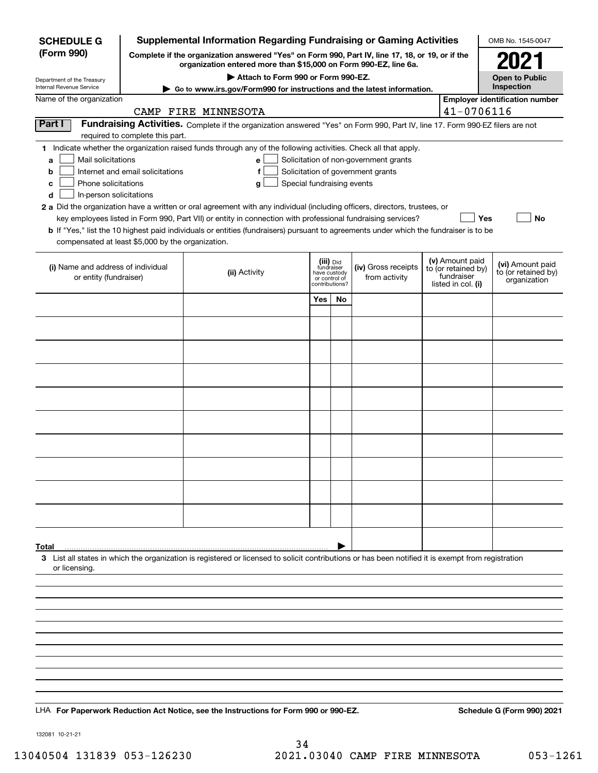| <b>SCHEDULE G</b>                                                                                                                             | Supplemental Information Regarding Fundraising or Gaming Activities                             |                                                                                                                                                                                                                                                                                                                                                                                                                                                                                                                                               | OMB No. 1545-0047                                                          |    |                                                                            |  |                                                                            |                                                         |
|-----------------------------------------------------------------------------------------------------------------------------------------------|-------------------------------------------------------------------------------------------------|-----------------------------------------------------------------------------------------------------------------------------------------------------------------------------------------------------------------------------------------------------------------------------------------------------------------------------------------------------------------------------------------------------------------------------------------------------------------------------------------------------------------------------------------------|----------------------------------------------------------------------------|----|----------------------------------------------------------------------------|--|----------------------------------------------------------------------------|---------------------------------------------------------|
| (Form 990)                                                                                                                                    | Complete if the organization answered "Yes" on Form 990, Part IV, line 17, 18, or 19, or if the | 2021                                                                                                                                                                                                                                                                                                                                                                                                                                                                                                                                          |                                                                            |    |                                                                            |  |                                                                            |                                                         |
| Department of the Treasury                                                                                                                    |                                                                                                 | organization entered more than \$15,000 on Form 990-EZ, line 6a.<br>Attach to Form 990 or Form 990-EZ.                                                                                                                                                                                                                                                                                                                                                                                                                                        |                                                                            |    |                                                                            |  |                                                                            | <b>Open to Public</b>                                   |
| Internal Revenue Service<br>Name of the organization                                                                                          |                                                                                                 | ► Go to www.irs.gov/Form990 for instructions and the latest information.                                                                                                                                                                                                                                                                                                                                                                                                                                                                      |                                                                            |    |                                                                            |  |                                                                            | Inspection                                              |
|                                                                                                                                               |                                                                                                 | CAMP FIRE MINNESOTA                                                                                                                                                                                                                                                                                                                                                                                                                                                                                                                           |                                                                            |    |                                                                            |  | 41-0706116                                                                 | <b>Employer identification number</b>                   |
| Part I                                                                                                                                        | required to complete this part.                                                                 | Fundraising Activities. Complete if the organization answered "Yes" on Form 990, Part IV, line 17. Form 990-EZ filers are not                                                                                                                                                                                                                                                                                                                                                                                                                 |                                                                            |    |                                                                            |  |                                                                            |                                                         |
| Mail solicitations<br>a<br>b<br>Phone solicitations<br>c<br>In-person solicitations<br>d<br>compensated at least \$5,000 by the organization. | Internet and email solicitations                                                                | 1 Indicate whether the organization raised funds through any of the following activities. Check all that apply.<br>e<br>Special fundraising events<br>g<br>2 a Did the organization have a written or oral agreement with any individual (including officers, directors, trustees, or<br>key employees listed in Form 990, Part VII) or entity in connection with professional fundraising services?<br>b If "Yes," list the 10 highest paid individuals or entities (fundraisers) pursuant to agreements under which the fundraiser is to be |                                                                            |    | Solicitation of non-government grants<br>Solicitation of government grants |  | Yes                                                                        | No                                                      |
| (i) Name and address of individual<br>or entity (fundraiser)                                                                                  |                                                                                                 | (ii) Activity                                                                                                                                                                                                                                                                                                                                                                                                                                                                                                                                 | (iii) Did<br>fundraiser<br>have custody<br>or control of<br>contributions? |    | (iv) Gross receipts<br>from activity                                       |  | (v) Amount paid<br>to (or retained by)<br>fundraiser<br>listed in col. (i) | (vi) Amount paid<br>to (or retained by)<br>organization |
|                                                                                                                                               |                                                                                                 |                                                                                                                                                                                                                                                                                                                                                                                                                                                                                                                                               | Yes                                                                        | No |                                                                            |  |                                                                            |                                                         |
|                                                                                                                                               |                                                                                                 |                                                                                                                                                                                                                                                                                                                                                                                                                                                                                                                                               |                                                                            |    |                                                                            |  |                                                                            |                                                         |
|                                                                                                                                               |                                                                                                 |                                                                                                                                                                                                                                                                                                                                                                                                                                                                                                                                               |                                                                            |    |                                                                            |  |                                                                            |                                                         |
|                                                                                                                                               |                                                                                                 |                                                                                                                                                                                                                                                                                                                                                                                                                                                                                                                                               |                                                                            |    |                                                                            |  |                                                                            |                                                         |
|                                                                                                                                               |                                                                                                 |                                                                                                                                                                                                                                                                                                                                                                                                                                                                                                                                               |                                                                            |    |                                                                            |  |                                                                            |                                                         |
|                                                                                                                                               |                                                                                                 |                                                                                                                                                                                                                                                                                                                                                                                                                                                                                                                                               |                                                                            |    |                                                                            |  |                                                                            |                                                         |
|                                                                                                                                               |                                                                                                 |                                                                                                                                                                                                                                                                                                                                                                                                                                                                                                                                               |                                                                            |    |                                                                            |  |                                                                            |                                                         |
|                                                                                                                                               |                                                                                                 |                                                                                                                                                                                                                                                                                                                                                                                                                                                                                                                                               |                                                                            |    |                                                                            |  |                                                                            |                                                         |
|                                                                                                                                               |                                                                                                 |                                                                                                                                                                                                                                                                                                                                                                                                                                                                                                                                               |                                                                            |    |                                                                            |  |                                                                            |                                                         |
|                                                                                                                                               |                                                                                                 |                                                                                                                                                                                                                                                                                                                                                                                                                                                                                                                                               |                                                                            |    |                                                                            |  |                                                                            |                                                         |
|                                                                                                                                               |                                                                                                 |                                                                                                                                                                                                                                                                                                                                                                                                                                                                                                                                               |                                                                            |    |                                                                            |  |                                                                            |                                                         |
| Total<br>or licensing                                                                                                                         |                                                                                                 | 3 List all states in which the organization is registered or licensed to solicit contributions or has been notified it is exempt from registration                                                                                                                                                                                                                                                                                                                                                                                            |                                                                            |    |                                                                            |  |                                                                            |                                                         |
|                                                                                                                                               |                                                                                                 |                                                                                                                                                                                                                                                                                                                                                                                                                                                                                                                                               |                                                                            |    |                                                                            |  |                                                                            |                                                         |
|                                                                                                                                               |                                                                                                 |                                                                                                                                                                                                                                                                                                                                                                                                                                                                                                                                               |                                                                            |    |                                                                            |  |                                                                            |                                                         |
|                                                                                                                                               |                                                                                                 |                                                                                                                                                                                                                                                                                                                                                                                                                                                                                                                                               |                                                                            |    |                                                                            |  |                                                                            |                                                         |
|                                                                                                                                               |                                                                                                 |                                                                                                                                                                                                                                                                                                                                                                                                                                                                                                                                               |                                                                            |    |                                                                            |  |                                                                            |                                                         |
|                                                                                                                                               |                                                                                                 |                                                                                                                                                                                                                                                                                                                                                                                                                                                                                                                                               |                                                                            |    |                                                                            |  |                                                                            |                                                         |
|                                                                                                                                               |                                                                                                 |                                                                                                                                                                                                                                                                                                                                                                                                                                                                                                                                               |                                                                            |    |                                                                            |  |                                                                            |                                                         |
|                                                                                                                                               |                                                                                                 | LHA For Paperwork Reduction Act Notice, see the Instructions for Form 990 or 990-EZ.                                                                                                                                                                                                                                                                                                                                                                                                                                                          |                                                                            |    |                                                                            |  |                                                                            | Schedule G (Form 990) 2021                              |

132081 10-21-21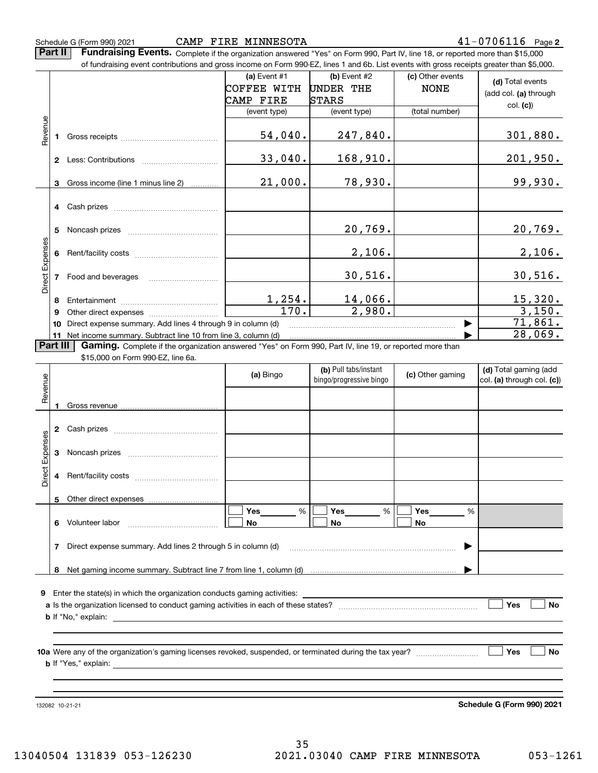**Part II** | Fundraising Events. Complete if the organization answered "Yes" on Form 990, Part IV, line 18, or reported more than \$15,000 of fundraising event contributions and gross income on Form 990-EZ, lines 1 and 6b. List events with gross receipts greater than \$5,000.

|                 |    | , randratonių ovont continuationo and groco incomo on r onn oou EE, inico + and ob. Elot ovonto with groco receipto groater than φo;coo. |                |                              |                  |                       |
|-----------------|----|------------------------------------------------------------------------------------------------------------------------------------------|----------------|------------------------------|------------------|-----------------------|
|                 |    |                                                                                                                                          | (a) Event $#1$ | $(b)$ Event #2               | (c) Other events | (d) Total events      |
|                 |    |                                                                                                                                          | COFFEE WITH    | <b>UNDER THE</b>             | <b>NONE</b>      | (add col. (a) through |
|                 |    |                                                                                                                                          | CAMP FIRE      | <b>STARS</b>                 |                  |                       |
|                 |    |                                                                                                                                          | (event type)   | (event type)                 | (total number)   | col. (c)              |
|                 |    |                                                                                                                                          |                |                              |                  |                       |
| Revenue         |    |                                                                                                                                          | 54,040.        | 247,840.                     |                  | 301,880.              |
|                 |    |                                                                                                                                          |                |                              |                  |                       |
|                 |    |                                                                                                                                          | 33,040.        | 168,910.                     |                  | 201,950.              |
|                 |    |                                                                                                                                          |                |                              |                  |                       |
|                 | 3  | Gross income (line 1 minus line 2)                                                                                                       | 21,000.        | 78,930.                      |                  | 99,930.               |
|                 |    |                                                                                                                                          |                |                              |                  |                       |
|                 |    |                                                                                                                                          |                |                              |                  |                       |
|                 |    |                                                                                                                                          |                |                              |                  |                       |
|                 | 5  |                                                                                                                                          |                | 20,769.                      |                  | <u>20,769.</u>        |
|                 |    |                                                                                                                                          |                |                              |                  |                       |
| Direct Expenses |    |                                                                                                                                          |                | 2,106.                       |                  | 2,106.                |
|                 |    |                                                                                                                                          |                |                              |                  |                       |
|                 |    | Food and beverages                                                                                                                       |                | 30,516.                      |                  | 30,516.               |
|                 |    |                                                                                                                                          |                |                              |                  |                       |
|                 | 8  |                                                                                                                                          | 1,254.         | 14,066.                      |                  | 15,320.               |
|                 | 9  |                                                                                                                                          | 170.           | 2,980.                       |                  | 3,150.                |
|                 | 10 | Direct expense summary. Add lines 4 through 9 in column (d)                                                                              |                |                              |                  | $\overline{71}$ ,861. |
|                 |    | 11 Net income summary. Subtract line 10 from line 3, column (d)                                                                          |                |                              |                  | 28,069.               |
| Part III        |    | <b>Gaming.</b> Complete if the organization answered "Yes" on Form 990, Part IV, line 19, or reported more than                          |                |                              |                  |                       |
|                 |    | \$15,000 on Form 990-EZ, line 6a.                                                                                                        |                |                              |                  |                       |
|                 |    |                                                                                                                                          |                | <b>ILL</b> Dull tabe/inctant |                  | Lan Total agming load |

|                 |    |                                                                                                                                              | (a) Bingo                 | (b) Pull tabs/instant<br>(c) Other gaming<br>bingo/progressive bingo |                | (d) Total gaming (add<br>col. (a) through col. (c)) |
|-----------------|----|----------------------------------------------------------------------------------------------------------------------------------------------|---------------------------|----------------------------------------------------------------------|----------------|-----------------------------------------------------|
| Revenue         |    |                                                                                                                                              |                           |                                                                      |                |                                                     |
|                 | 2  |                                                                                                                                              |                           |                                                                      |                |                                                     |
| Direct Expenses | 3  |                                                                                                                                              |                           |                                                                      |                |                                                     |
|                 | 4  |                                                                                                                                              |                           |                                                                      |                |                                                     |
|                 | 5  | Other direct expenses [[11,11,11,11,11,11,11,11]]                                                                                            |                           |                                                                      |                |                                                     |
|                 | 6. |                                                                                                                                              | <b>Yes</b> %<br><b>No</b> | Yes %<br>No                                                          | %<br><b>No</b> |                                                     |
|                 |    | Direct expense summary. Add lines 2 through 5 in column (d) [11] manuscription contract expense summary. Add lines 2 through 5 in column (d) |                           |                                                                      |                |                                                     |
|                 | 8  |                                                                                                                                              |                           |                                                                      |                |                                                     |
| 9               |    |                                                                                                                                              |                           |                                                                      |                | Yes<br><b>No</b>                                    |
|                 |    |                                                                                                                                              |                           |                                                                      |                |                                                     |
|                 |    |                                                                                                                                              |                           |                                                                      |                | <b>No</b><br>Yes                                    |
|                 |    |                                                                                                                                              |                           |                                                                      |                |                                                     |

132082 10-21-21

**Schedule G (Form 990) 2021**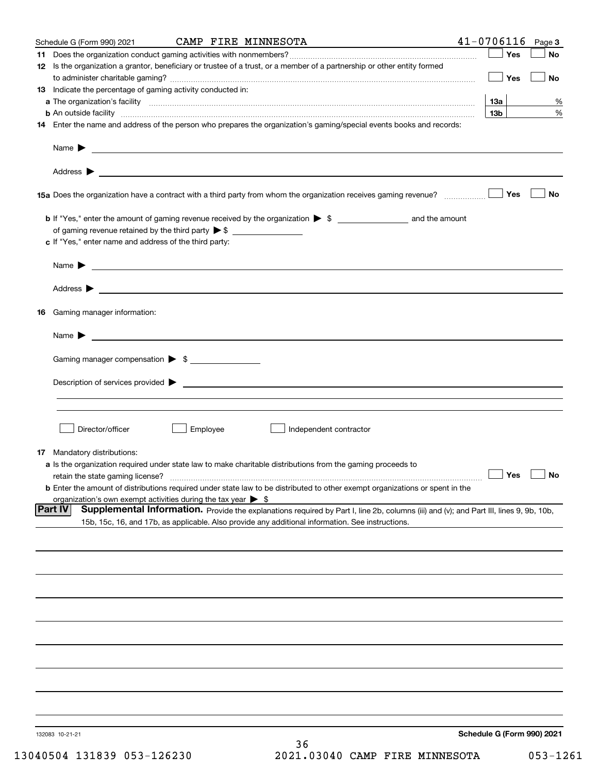|    | Schedule G (Form 990) 2021                                                                                                 |          | CAMP FIRE MINNESOTA                                                                                                                    | $41 - 0706116$ Page 3             |           |
|----|----------------------------------------------------------------------------------------------------------------------------|----------|----------------------------------------------------------------------------------------------------------------------------------------|-----------------------------------|-----------|
|    |                                                                                                                            |          |                                                                                                                                        | Yes<br>$\mathcal{L}(\mathcal{L})$ | No        |
|    |                                                                                                                            |          | 12 Is the organization a grantor, beneficiary or trustee of a trust, or a member of a partnership or other entity formed               |                                   |           |
|    |                                                                                                                            |          |                                                                                                                                        | Yes                               | No        |
|    | 13 Indicate the percentage of gaming activity conducted in:                                                                |          |                                                                                                                                        |                                   |           |
|    |                                                                                                                            |          |                                                                                                                                        | 13a                               | %         |
|    |                                                                                                                            |          | <b>b</b> An outside facility <i>www.communicality www.communicality.communicality www.communicality www.communicality.com</i>          | 13b                               | $\%$      |
|    |                                                                                                                            |          | 14 Enter the name and address of the person who prepares the organization's gaming/special events books and records:                   |                                   |           |
|    |                                                                                                                            |          |                                                                                                                                        |                                   |           |
|    |                                                                                                                            |          |                                                                                                                                        |                                   |           |
|    |                                                                                                                            |          |                                                                                                                                        | Yes                               | No        |
|    |                                                                                                                            |          |                                                                                                                                        |                                   |           |
|    | of gaming revenue retained by the third party $\triangleright$ \$ $\_\_\_\_\_\_\_\_\_\_\_\_\_\_\_\_\_\_\_\_\_\_\_\_\_\_\_$ |          |                                                                                                                                        |                                   |           |
|    | c If "Yes," enter name and address of the third party:                                                                     |          |                                                                                                                                        |                                   |           |
|    |                                                                                                                            |          |                                                                                                                                        |                                   |           |
|    |                                                                                                                            |          | Name $\blacktriangleright$ $\_\_\_\_\_\_\_\_\_\$                                                                                       |                                   |           |
|    |                                                                                                                            |          |                                                                                                                                        |                                   |           |
|    |                                                                                                                            |          |                                                                                                                                        |                                   |           |
|    |                                                                                                                            |          |                                                                                                                                        |                                   |           |
| 16 | Gaming manager information:                                                                                                |          |                                                                                                                                        |                                   |           |
|    | Name $\blacktriangleright$                                                                                                 |          | <u> 1989 - Andrea Stadt Britain, amerikansk politiker (</u>                                                                            |                                   |           |
|    |                                                                                                                            |          |                                                                                                                                        |                                   |           |
|    | Gaming manager compensation > \$                                                                                           |          |                                                                                                                                        |                                   |           |
|    |                                                                                                                            |          |                                                                                                                                        |                                   |           |
|    |                                                                                                                            |          | Description of services provided $\blacktriangleright$ $\_\_\_\_\_\_\_\_\_\_\_\_\_\_\_\_$                                              |                                   |           |
|    |                                                                                                                            |          |                                                                                                                                        |                                   |           |
|    |                                                                                                                            |          |                                                                                                                                        |                                   |           |
|    |                                                                                                                            |          |                                                                                                                                        |                                   |           |
|    | Director/officer                                                                                                           | Employee | Independent contractor                                                                                                                 |                                   |           |
|    |                                                                                                                            |          |                                                                                                                                        |                                   |           |
|    | 17 Mandatory distributions:                                                                                                |          | a Is the organization required under state law to make charitable distributions from the gaming proceeds to                            |                                   |           |
|    | retain the state gaming license?                                                                                           |          |                                                                                                                                        | $\Box$ Yes                        | $\Box$ No |
|    |                                                                                                                            |          | <b>b</b> Enter the amount of distributions required under state law to be distributed to other exempt organizations or spent in the    |                                   |           |
|    | organization's own exempt activities during the tax year $\triangleright$ \$                                               |          |                                                                                                                                        |                                   |           |
|    | <b>Part IV</b>                                                                                                             |          | Supplemental Information. Provide the explanations required by Part I, line 2b, columns (iii) and (v); and Part III, lines 9, 9b, 10b, |                                   |           |
|    |                                                                                                                            |          | 15b, 15c, 16, and 17b, as applicable. Also provide any additional information. See instructions.                                       |                                   |           |
|    |                                                                                                                            |          |                                                                                                                                        |                                   |           |
|    |                                                                                                                            |          |                                                                                                                                        |                                   |           |
|    |                                                                                                                            |          |                                                                                                                                        |                                   |           |
|    |                                                                                                                            |          |                                                                                                                                        |                                   |           |
|    |                                                                                                                            |          |                                                                                                                                        |                                   |           |
|    |                                                                                                                            |          |                                                                                                                                        |                                   |           |
|    |                                                                                                                            |          |                                                                                                                                        |                                   |           |
|    |                                                                                                                            |          |                                                                                                                                        |                                   |           |
|    |                                                                                                                            |          |                                                                                                                                        |                                   |           |
|    |                                                                                                                            |          |                                                                                                                                        |                                   |           |
|    |                                                                                                                            |          |                                                                                                                                        |                                   |           |
|    |                                                                                                                            |          |                                                                                                                                        |                                   |           |
|    |                                                                                                                            |          |                                                                                                                                        |                                   |           |
|    |                                                                                                                            |          |                                                                                                                                        |                                   |           |
|    |                                                                                                                            |          |                                                                                                                                        |                                   |           |
|    |                                                                                                                            |          |                                                                                                                                        |                                   |           |
|    | 132083 10-21-21                                                                                                            |          |                                                                                                                                        | Schedule G (Form 990) 2021        |           |
|    |                                                                                                                            |          | 36                                                                                                                                     |                                   |           |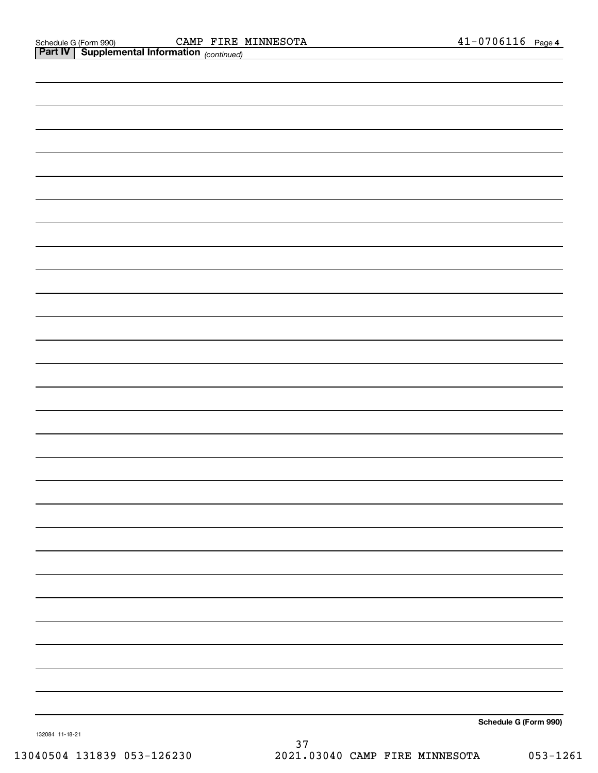|                 | <b>Part IV   Supplemental Information</b> (continued) |
|-----------------|-------------------------------------------------------|
|                 |                                                       |
|                 |                                                       |
|                 |                                                       |
|                 |                                                       |
|                 |                                                       |
|                 |                                                       |
|                 |                                                       |
|                 |                                                       |
|                 |                                                       |
|                 |                                                       |
|                 |                                                       |
|                 |                                                       |
|                 |                                                       |
|                 |                                                       |
|                 |                                                       |
|                 |                                                       |
|                 |                                                       |
|                 |                                                       |
|                 |                                                       |
|                 |                                                       |
|                 |                                                       |
|                 |                                                       |
|                 |                                                       |
|                 |                                                       |
|                 |                                                       |
|                 |                                                       |
|                 |                                                       |
|                 |                                                       |
| 132084 11-18-21 | Schedule G (Form 990)                                 |

132084 11-18-21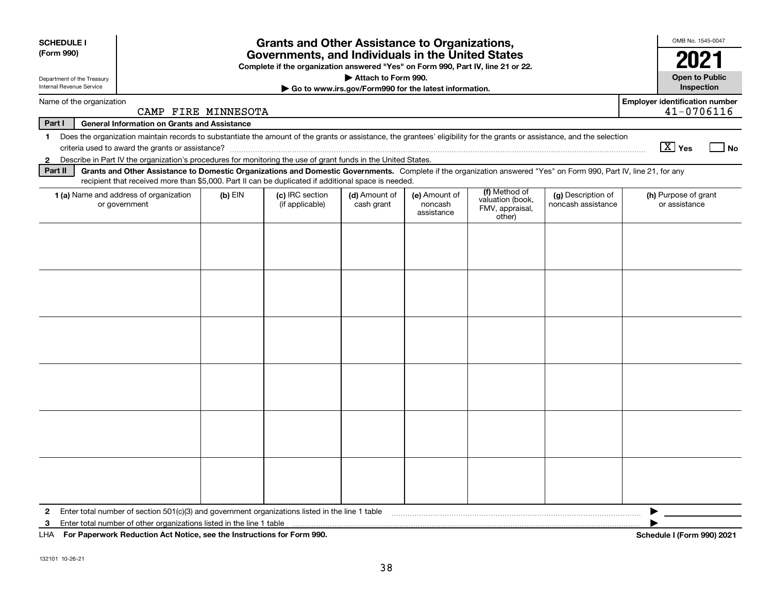| <b>SCHEDULE I</b><br>(Form 990)                                                                                                                                                         | <b>Grants and Other Assistance to Organizations,</b><br>Governments, and Individuals in the United States<br>Complete if the organization answered "Yes" on Form 990, Part IV, line 21 or 22.                                                                                                     |  |  |                                                                              |                                       |  |                                | OMB No. 1545-0047<br>2021                           |
|-----------------------------------------------------------------------------------------------------------------------------------------------------------------------------------------|---------------------------------------------------------------------------------------------------------------------------------------------------------------------------------------------------------------------------------------------------------------------------------------------------|--|--|------------------------------------------------------------------------------|---------------------------------------|--|--------------------------------|-----------------------------------------------------|
| Department of the Treasury<br>Internal Revenue Service                                                                                                                                  |                                                                                                                                                                                                                                                                                                   |  |  | Attach to Form 990.<br>Go to www.irs.gov/Form990 for the latest information. |                                       |  |                                | <b>Open to Public</b><br>Inspection                 |
|                                                                                                                                                                                         | Name of the organization<br>CAMP FIRE MINNESOTA                                                                                                                                                                                                                                                   |  |  |                                                                              |                                       |  |                                | <b>Employer identification number</b><br>41-0706116 |
| Part I                                                                                                                                                                                  | <b>General Information on Grants and Assistance</b>                                                                                                                                                                                                                                               |  |  |                                                                              |                                       |  |                                |                                                     |
| Does the organization maintain records to substantiate the amount of the grants or assistance, the grantees' eligibility for the grants or assistance, and the selection<br>$\mathbf 1$ |                                                                                                                                                                                                                                                                                                   |  |  |                                                                              |                                       |  | $\boxed{\text{X}}$ Yes<br>l No |                                                     |
| $\mathbf{2}$                                                                                                                                                                            | Describe in Part IV the organization's procedures for monitoring the use of grant funds in the United States.                                                                                                                                                                                     |  |  |                                                                              |                                       |  |                                |                                                     |
| Part II                                                                                                                                                                                 | Grants and Other Assistance to Domestic Organizations and Domestic Governments. Complete if the organization answered "Yes" on Form 990, Part IV, line 21, for any<br>recipient that received more than \$5,000. Part II can be duplicated if additional space is needed.                         |  |  |                                                                              |                                       |  |                                |                                                     |
|                                                                                                                                                                                         | (f) Method of<br>(c) IRC section<br>1 (a) Name and address of organization<br>$(b)$ EIN<br>(d) Amount of<br>(e) Amount of<br>(g) Description of<br>valuation (book,<br>noncash assistance<br>or government<br>(if applicable)<br>cash grant<br>noncash<br>FMV, appraisal,<br>assistance<br>other) |  |  |                                                                              | (h) Purpose of grant<br>or assistance |  |                                |                                                     |
|                                                                                                                                                                                         |                                                                                                                                                                                                                                                                                                   |  |  |                                                                              |                                       |  |                                |                                                     |
|                                                                                                                                                                                         |                                                                                                                                                                                                                                                                                                   |  |  |                                                                              |                                       |  |                                |                                                     |
|                                                                                                                                                                                         |                                                                                                                                                                                                                                                                                                   |  |  |                                                                              |                                       |  |                                |                                                     |
|                                                                                                                                                                                         |                                                                                                                                                                                                                                                                                                   |  |  |                                                                              |                                       |  |                                |                                                     |
|                                                                                                                                                                                         |                                                                                                                                                                                                                                                                                                   |  |  |                                                                              |                                       |  |                                |                                                     |
| 2                                                                                                                                                                                       | Enter total number of section 501(c)(3) and government organizations listed in the line 1 table                                                                                                                                                                                                   |  |  |                                                                              |                                       |  |                                |                                                     |
| з                                                                                                                                                                                       | Enter total number of other organizations listed in the line 1 table                                                                                                                                                                                                                              |  |  |                                                                              |                                       |  |                                |                                                     |
| LHA                                                                                                                                                                                     | For Paperwork Reduction Act Notice, see the Instructions for Form 990.                                                                                                                                                                                                                            |  |  |                                                                              |                                       |  |                                | Schedule I (Form 990) 2021                          |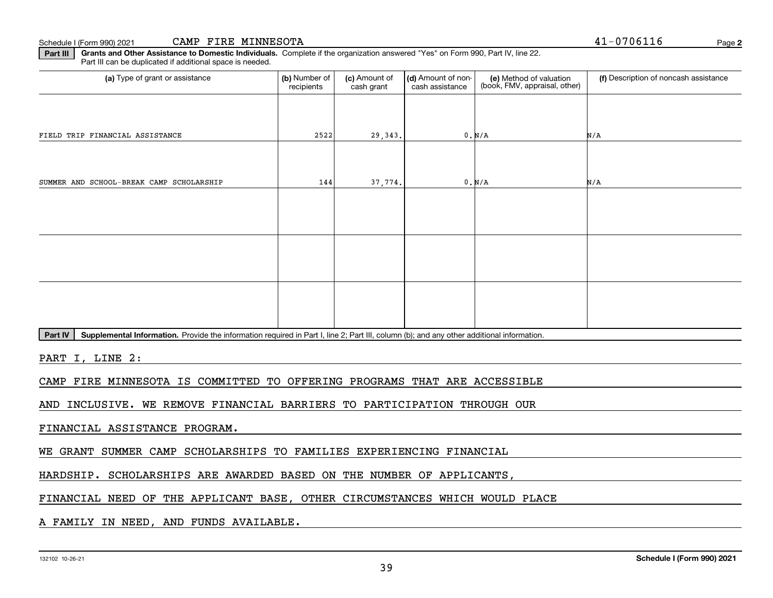Schedule I (Form 990) 2021 Page CAMP FIRE MINNESOTA 41-0706116

**Part III Grants and Other Assistance to Domestic Individuals.**  Complete if the organization answered "Yes" on Form 990, Part IV, line 22. Part III can be duplicated if additional space is needed.

| (a) Type of grant or assistance                                                                                                                 | (b) Number of<br>recipients | (c) Amount of<br>cash grant | (d) Amount of non-<br>cash assistance | (e) Method of valuation<br>(book, FMV, appraisal, other) | (f) Description of noncash assistance |
|-------------------------------------------------------------------------------------------------------------------------------------------------|-----------------------------|-----------------------------|---------------------------------------|----------------------------------------------------------|---------------------------------------|
|                                                                                                                                                 |                             |                             |                                       |                                                          |                                       |
| FIELD TRIP FINANCIAL ASSISTANCE                                                                                                                 | 2522                        | 29,343.                     |                                       | 0. N/A                                                   | N/A                                   |
|                                                                                                                                                 |                             |                             |                                       |                                                          |                                       |
| SUMMER AND SCHOOL-BREAK CAMP SCHOLARSHIP                                                                                                        | 144                         | 37,774.                     |                                       | 0. N/A                                                   | N/A                                   |
|                                                                                                                                                 |                             |                             |                                       |                                                          |                                       |
|                                                                                                                                                 |                             |                             |                                       |                                                          |                                       |
|                                                                                                                                                 |                             |                             |                                       |                                                          |                                       |
|                                                                                                                                                 |                             |                             |                                       |                                                          |                                       |
|                                                                                                                                                 |                             |                             |                                       |                                                          |                                       |
|                                                                                                                                                 |                             |                             |                                       |                                                          |                                       |
| PartN<br>Supplemental Information, Provide the information required in Part Lline 2: Part III, column (b); and any other additional information |                             |                             |                                       |                                                          |                                       |

Part IV | Supplemental Information. Provide the information required in Part I, line 2; Part III, column (b); and any other additional information.

PART I, LINE 2:

CAMP FIRE MINNESOTA IS COMMITTED TO OFFERING PROGRAMS THAT ARE ACCESSIBLE

AND INCLUSIVE. WE REMOVE FINANCIAL BARRIERS TO PARTICIPATION THROUGH OUR

FINANCIAL ASSISTANCE PROGRAM.

WE GRANT SUMMER CAMP SCHOLARSHIPS TO FAMILIES EXPERIENCING FINANCIAL

HARDSHIP. SCHOLARSHIPS ARE AWARDED BASED ON THE NUMBER OF APPLICANTS,

FINANCIAL NEED OF THE APPLICANT BASE, OTHER CIRCUMSTANCES WHICH WOULD PLACE

A FAMILY IN NEED, AND FUNDS AVAILABLE.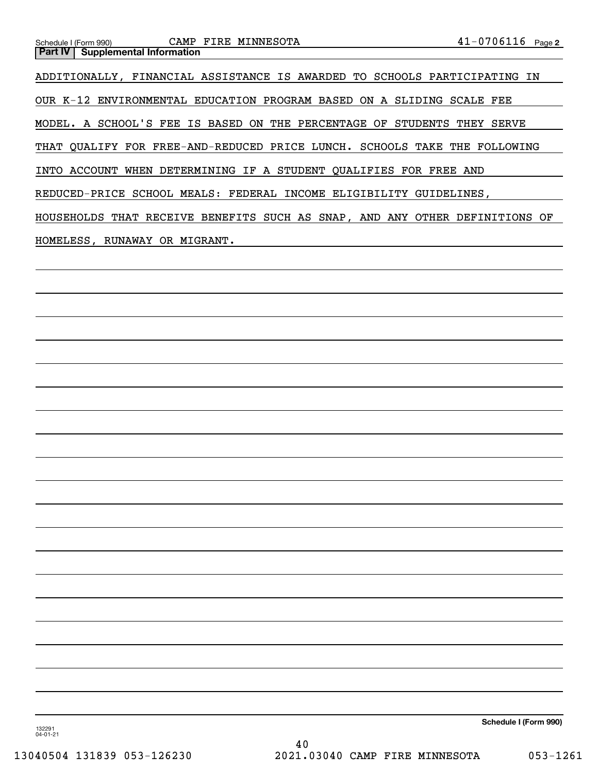| Schedule I (Form 990) CAMP FIRE MINNESOTA                                   | $41 - 0706116$ Page 2 |  |  |  |  |  |  |
|-----------------------------------------------------------------------------|-----------------------|--|--|--|--|--|--|
| <b>Part IV   Supplemental Information</b>                                   |                       |  |  |  |  |  |  |
|                                                                             |                       |  |  |  |  |  |  |
| ADDITIONALLY, FINANCIAL ASSISTANCE IS AWARDED TO SCHOOLS PARTICIPATING IN   |                       |  |  |  |  |  |  |
|                                                                             |                       |  |  |  |  |  |  |
| OUR K-12 ENVIRONMENTAL EDUCATION PROGRAM BASED ON A SLIDING SCALE FEE       |                       |  |  |  |  |  |  |
|                                                                             |                       |  |  |  |  |  |  |
| MODEL. A SCHOOL'S FEE IS BASED ON THE PERCENTAGE OF STUDENTS THEY SERVE     |                       |  |  |  |  |  |  |
|                                                                             |                       |  |  |  |  |  |  |
| THAT QUALIFY FOR FREE-AND-REDUCED PRICE LUNCH. SCHOOLS TAKE THE FOLLOWING   |                       |  |  |  |  |  |  |
|                                                                             |                       |  |  |  |  |  |  |
| INTO ACCOUNT WHEN DETERMINING IF A STUDENT QUALIFIES FOR FREE AND           |                       |  |  |  |  |  |  |
|                                                                             |                       |  |  |  |  |  |  |
| REDUCED-PRICE SCHOOL MEALS: FEDERAL INCOME ELIGIBILITY GUIDELINES,          |                       |  |  |  |  |  |  |
|                                                                             |                       |  |  |  |  |  |  |
| HOUSEHOLDS THAT RECEIVE BENEFITS SUCH AS SNAP, AND ANY OTHER DEFINITIONS OF |                       |  |  |  |  |  |  |
|                                                                             |                       |  |  |  |  |  |  |
| HOMELESS, RUNAWAY OR MIGRANT.                                               |                       |  |  |  |  |  |  |
|                                                                             |                       |  |  |  |  |  |  |

**Schedule I (Form 990)**

132291 04-01-21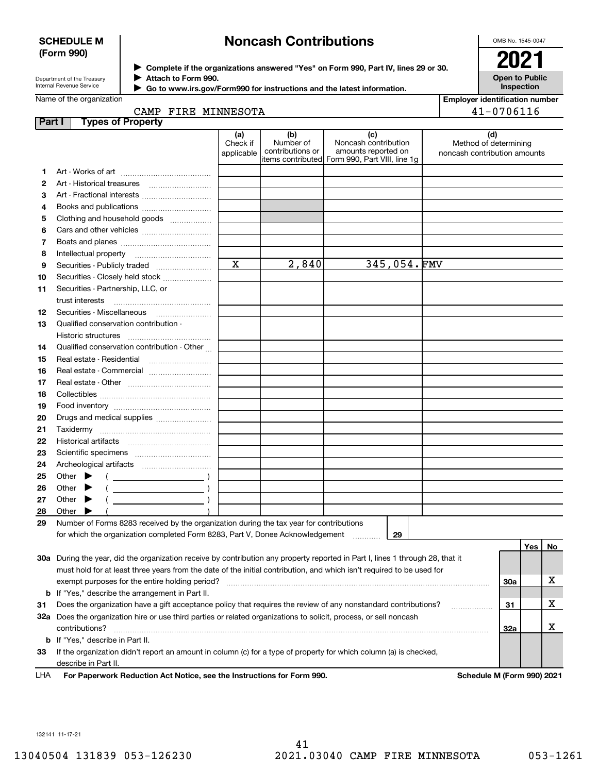## **SCHEDULE M (Form 990)**

# **Noncash Contributions**

OMB No. 1545-0047

| Department of the Treasury      |
|---------------------------------|
| <b>Internal Revenue Service</b> |

**Complete if the organizations answered "Yes" on Form 990, Part IV, lines 29 or 30.** <sup>J</sup>**2021 Attach to Form 990.** J

 **Go to www.irs.gov/Form990 for instructions and the latest information.** J

**Open to Public Inspection**

**Employer identification number**

|  | Name of the organization |  |
|--|--------------------------|--|

|  | CAMP FIRE MINNESOTA |
|--|---------------------|
|  |                     |

|        | CAMP FIRE MINNESOTA                                                                                                            |                               |                                      |                                                                                                      |  |                                                              | 41-0706116 |    |  |  |
|--------|--------------------------------------------------------------------------------------------------------------------------------|-------------------------------|--------------------------------------|------------------------------------------------------------------------------------------------------|--|--------------------------------------------------------------|------------|----|--|--|
| Part I | <b>Types of Property</b>                                                                                                       |                               |                                      |                                                                                                      |  |                                                              |            |    |  |  |
|        |                                                                                                                                | (a)<br>Check if<br>applicable | (b)<br>Number of<br>contributions or | (c)<br>Noncash contribution<br>amounts reported on<br>items contributed Form 990, Part VIII, line 1g |  | (d)<br>Method of determining<br>noncash contribution amounts |            |    |  |  |
| 1      |                                                                                                                                |                               |                                      |                                                                                                      |  |                                                              |            |    |  |  |
| 2      |                                                                                                                                |                               |                                      |                                                                                                      |  |                                                              |            |    |  |  |
| З      | Art - Fractional interests                                                                                                     |                               |                                      |                                                                                                      |  |                                                              |            |    |  |  |
| 4      | Books and publications                                                                                                         |                               |                                      |                                                                                                      |  |                                                              |            |    |  |  |
| 5      | Clothing and household goods                                                                                                   |                               |                                      |                                                                                                      |  |                                                              |            |    |  |  |
| 6      |                                                                                                                                |                               |                                      |                                                                                                      |  |                                                              |            |    |  |  |
| 7      |                                                                                                                                |                               |                                      |                                                                                                      |  |                                                              |            |    |  |  |
| 8      | Intellectual property                                                                                                          |                               |                                      |                                                                                                      |  |                                                              |            |    |  |  |
| 9      | Securities - Publicly traded                                                                                                   | $\mathbf x$                   | 2,840                                | 345,054.FMV                                                                                          |  |                                                              |            |    |  |  |
| 10     | Securities - Closely held stock                                                                                                |                               |                                      |                                                                                                      |  |                                                              |            |    |  |  |
| 11     | Securities - Partnership, LLC, or                                                                                              |                               |                                      |                                                                                                      |  |                                                              |            |    |  |  |
|        | trust interests                                                                                                                |                               |                                      |                                                                                                      |  |                                                              |            |    |  |  |
| 12     |                                                                                                                                |                               |                                      |                                                                                                      |  |                                                              |            |    |  |  |
| 13     | Qualified conservation contribution -                                                                                          |                               |                                      |                                                                                                      |  |                                                              |            |    |  |  |
|        | Historic structures                                                                                                            |                               |                                      |                                                                                                      |  |                                                              |            |    |  |  |
| 14     | Qualified conservation contribution - Other                                                                                    |                               |                                      |                                                                                                      |  |                                                              |            |    |  |  |
| 15     |                                                                                                                                |                               |                                      |                                                                                                      |  |                                                              |            |    |  |  |
| 16     |                                                                                                                                |                               |                                      |                                                                                                      |  |                                                              |            |    |  |  |
| 17     |                                                                                                                                |                               |                                      |                                                                                                      |  |                                                              |            |    |  |  |
| 18     |                                                                                                                                |                               |                                      |                                                                                                      |  |                                                              |            |    |  |  |
| 19     |                                                                                                                                |                               |                                      |                                                                                                      |  |                                                              |            |    |  |  |
| 20     | Drugs and medical supplies                                                                                                     |                               |                                      |                                                                                                      |  |                                                              |            |    |  |  |
| 21     |                                                                                                                                |                               |                                      |                                                                                                      |  |                                                              |            |    |  |  |
| 22     |                                                                                                                                |                               |                                      |                                                                                                      |  |                                                              |            |    |  |  |
| 23     |                                                                                                                                |                               |                                      |                                                                                                      |  |                                                              |            |    |  |  |
| 24     |                                                                                                                                |                               |                                      |                                                                                                      |  |                                                              |            |    |  |  |
| 25     | Other $\blacktriangleright$                                                                                                    |                               |                                      |                                                                                                      |  |                                                              |            |    |  |  |
| 26     | Other                                                                                                                          |                               |                                      |                                                                                                      |  |                                                              |            |    |  |  |
| 27     | Other                                                                                                                          |                               |                                      |                                                                                                      |  |                                                              |            |    |  |  |
| 28     | Other $\blacktriangleright$                                                                                                    |                               |                                      |                                                                                                      |  |                                                              |            |    |  |  |
| 29     | Number of Forms 8283 received by the organization during the tax year for contributions                                        |                               |                                      |                                                                                                      |  |                                                              |            |    |  |  |
|        | for which the organization completed Form 8283, Part V, Donee Acknowledgement                                                  |                               |                                      | 29<br>$\cdots$                                                                                       |  |                                                              |            |    |  |  |
|        |                                                                                                                                |                               |                                      |                                                                                                      |  |                                                              | Yes        | No |  |  |
|        | 30a During the year, did the organization receive by contribution any property reported in Part I, lines 1 through 28, that it |                               |                                      |                                                                                                      |  |                                                              |            |    |  |  |
|        | must hold for at least three years from the date of the initial contribution, and which isn't required to be used for          |                               |                                      |                                                                                                      |  |                                                              |            |    |  |  |
|        | exempt purposes for the entire holding period?                                                                                 |                               |                                      |                                                                                                      |  | <b>30a</b>                                                   |            | х  |  |  |
| b      | If "Yes," describe the arrangement in Part II.                                                                                 |                               |                                      |                                                                                                      |  |                                                              |            |    |  |  |
| 31     | Does the organization have a gift acceptance policy that requires the review of any nonstandard contributions?                 |                               |                                      |                                                                                                      |  | 31                                                           |            | х  |  |  |
|        | 32a Does the organization hire or use third parties or related organizations to solicit, process, or sell noncash              |                               |                                      |                                                                                                      |  |                                                              |            |    |  |  |
|        | contributions?                                                                                                                 |                               |                                      |                                                                                                      |  | <b>32a</b>                                                   |            | х  |  |  |
| b      | If "Yes," describe in Part II.                                                                                                 |                               |                                      |                                                                                                      |  |                                                              |            |    |  |  |
| 33     | If the organization didn't report an amount in column (c) for a type of property for which column (a) is checked,              |                               |                                      |                                                                                                      |  |                                                              |            |    |  |  |
|        | describe in Part II.                                                                                                           |                               |                                      |                                                                                                      |  |                                                              |            |    |  |  |

For Paperwork Reduction Act Notice, see the Instructions for Form 990. Schedule M (Form 990) 2021 LHA

132141 11-17-21

41 13040504 131839 053-126230 2021.03040 CAMP FIRE MINNESOTA 053-1261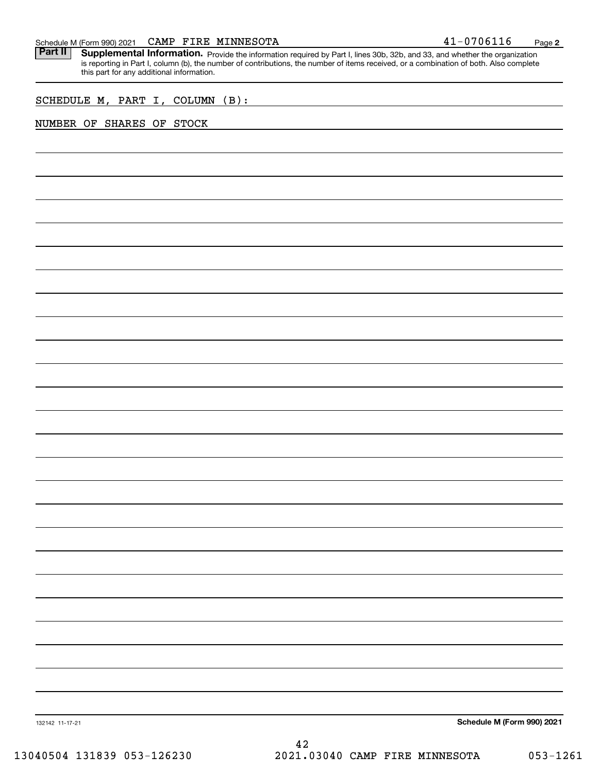| 10706116<br><b>MINNESOTA</b><br>CAMP<br>FIRE<br><b>A</b> <sup>-</sup><br>Schedule M (Form 990) 2021<br>ᆂᆚ | Page |  |
|-----------------------------------------------------------------------------------------------------------|------|--|
|-----------------------------------------------------------------------------------------------------------|------|--|

Part II | Supplemental Information. Provide the information required by Part I, lines 30b, 32b, and 33, and whether the organization is reporting in Part I, column (b), the number of contributions, the number of items received, or a combination of both. Also complete this part for any additional information.

SCHEDULE M, PART I, COLUMN (B):

# NUMBER OF SHARES OF STOCK

**Schedule M (Form 990) 2021**

132142 11-17-21

42 13040504 131839 053-126230 2021.03040 CAMP FIRE MINNESOTA 053-1261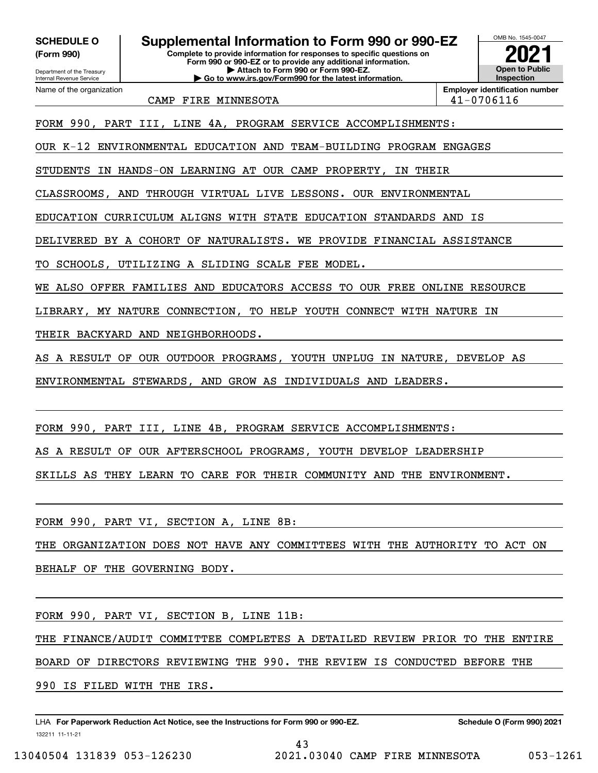**(Form 990)**

# **Complete to provide information for responses to specific questions on SCHEDULE O Supplemental Information to Form 990 or 990-EZ**

Department of the Treasury Internal Revenue Service Name of the organization **Form 990 or 990-EZ or to provide any additional information. | Attach to Form 990 or Form 990-EZ. | Go to www.irs.gov/Form990 for the latest information.**



CAMP FIRE MINNESOTA  $\vert$  41-0706116

FORM 990, PART III, LINE 4A, PROGRAM SERVICE ACCOMPLISHMENTS:

OUR K-12 ENVIRONMENTAL EDUCATION AND TEAM-BUILDING PROGRAM ENGAGES

STUDENTS IN HANDS-ON LEARNING AT OUR CAMP PROPERTY, IN THEIR

CLASSROOMS, AND THROUGH VIRTUAL LIVE LESSONS. OUR ENVIRONMENTAL

EDUCATION CURRICULUM ALIGNS WITH STATE EDUCATION STANDARDS AND IS

DELIVERED BY A COHORT OF NATURALISTS. WE PROVIDE FINANCIAL ASSISTANCE

TO SCHOOLS, UTILIZING A SLIDING SCALE FEE MODEL.

WE ALSO OFFER FAMILIES AND EDUCATORS ACCESS TO OUR FREE ONLINE RESOURCE

LIBRARY, MY NATURE CONNECTION, TO HELP YOUTH CONNECT WITH NATURE IN

THEIR BACKYARD AND NEIGHBORHOODS.

AS A RESULT OF OUR OUTDOOR PROGRAMS, YOUTH UNPLUG IN NATURE, DEVELOP AS

ENVIRONMENTAL STEWARDS, AND GROW AS INDIVIDUALS AND LEADERS.

FORM 990, PART III, LINE 4B, PROGRAM SERVICE ACCOMPLISHMENTS:

AS A RESULT OF OUR AFTERSCHOOL PROGRAMS, YOUTH DEVELOP LEADERSHIP

SKILLS AS THEY LEARN TO CARE FOR THEIR COMMUNITY AND THE ENVIRONMENT.

FORM 990, PART VI, SECTION A, LINE 8B:

THE ORGANIZATION DOES NOT HAVE ANY COMMITTEES WITH THE AUTHORITY TO ACT ON

BEHALF OF THE GOVERNING BODY.

FORM 990, PART VI, SECTION B, LINE 11B:

THE FINANCE/AUDIT COMMITTEE COMPLETES A DETAILED REVIEW PRIOR TO THE ENTIRE

43

BOARD OF DIRECTORS REVIEWING THE 990. THE REVIEW IS CONDUCTED BEFORE THE

990 IS FILED WITH THE IRS.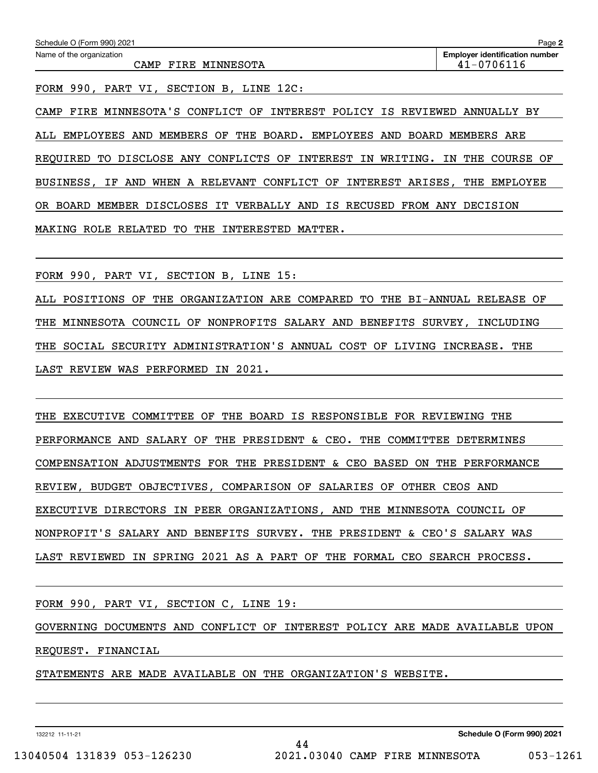FORM 990, PART VI, SECTION B, LINE 12C:

CAMP FIRE MINNESOTA'S CONFLICT OF INTEREST POLICY IS REVIEWED ANNUALLY BY ALL EMPLOYEES AND MEMBERS OF THE BOARD. EMPLOYEES AND BOARD MEMBERS ARE REQUIRED TO DISCLOSE ANY CONFLICTS OF INTEREST IN WRITING. IN THE COURSE OF BUSINESS, IF AND WHEN A RELEVANT CONFLICT OF INTEREST ARISES, THE EMPLOYEE OR BOARD MEMBER DISCLOSES IT VERBALLY AND IS RECUSED FROM ANY DECISION MAKING ROLE RELATED TO THE INTERESTED MATTER.

FORM 990, PART VI, SECTION B, LINE 15:

ALL POSITIONS OF THE ORGANIZATION ARE COMPARED TO THE BI-ANNUAL RELEASE OF THE MINNESOTA COUNCIL OF NONPROFITS SALARY AND BENEFITS SURVEY, INCLUDING THE SOCIAL SECURITY ADMINISTRATION'S ANNUAL COST OF LIVING INCREASE. THE LAST REVIEW WAS PERFORMED IN 2021.

THE EXECUTIVE COMMITTEE OF THE BOARD IS RESPONSIBLE FOR REVIEWING THE PERFORMANCE AND SALARY OF THE PRESIDENT & CEO. THE COMMITTEE DETERMINES COMPENSATION ADJUSTMENTS FOR THE PRESIDENT & CEO BASED ON THE PERFORMANCE REVIEW, BUDGET OBJECTIVES, COMPARISON OF SALARIES OF OTHER CEOS AND EXECUTIVE DIRECTORS IN PEER ORGANIZATIONS, AND THE MINNESOTA COUNCIL OF NONPROFIT'S SALARY AND BENEFITS SURVEY. THE PRESIDENT & CEO'S SALARY WAS LAST REVIEWED IN SPRING 2021 AS A PART OF THE FORMAL CEO SEARCH PROCESS.

FORM 990, PART VI, SECTION C, LINE 19:

GOVERNING DOCUMENTS AND CONFLICT OF INTEREST POLICY ARE MADE AVAILABLE UPON REQUEST. FINANCIAL

44

STATEMENTS ARE MADE AVAILABLE ON THE ORGANIZATION'S WEBSITE.

132212 11-11-21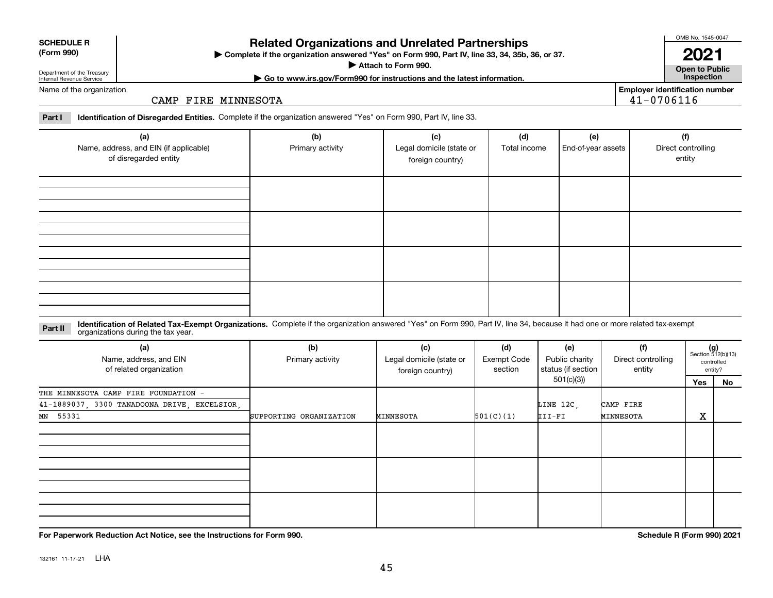# **Related Organizations and Unrelated Partnerships**

**Complete if the organization answered "Yes" on Form 990, Part IV, line 33, 34, 35b, 36, or 37.** |

**Attach to Form 990.**  |

Department of the Treasury Internal Revenue Service

## Name of the organization

CAMP FIRE MINNESOTA

**Part I Identification of Disregarded Entities.**  Complete if the organization answered "Yes" on Form 990, Part IV, line 33.

| (a)<br>Name, address, and EIN (if applicable)<br>of disregarded entity | (b)<br>Primary activity | (c)<br>Legal domicile (state or<br>foreign country) | (d)<br>Total income | (e)<br>End-of-year assets | (f)<br>Direct controlling<br>entity |
|------------------------------------------------------------------------|-------------------------|-----------------------------------------------------|---------------------|---------------------------|-------------------------------------|
|                                                                        |                         |                                                     |                     |                           |                                     |
|                                                                        |                         |                                                     |                     |                           |                                     |
|                                                                        |                         |                                                     |                     |                           |                                     |
|                                                                        |                         |                                                     |                     |                           |                                     |

### **Identification of Related Tax-Exempt Organizations.** Complete if the organization answered "Yes" on Form 990, Part IV, line 34, because it had one or more related tax-exempt **Part II** organizations during the tax year.

| (a)<br>Name, address, and EIN<br>of related organization | (b)<br>Primary activity | (c)<br>Legal domicile (state or<br>foreign country) | (d)<br>Exempt Code<br>section | (e)<br>Public charity<br>status (if section | (f)<br>Direct controlling<br>entity |                              | $(g)$<br>Section 512(b)(13)<br>controlled<br>entity? |
|----------------------------------------------------------|-------------------------|-----------------------------------------------------|-------------------------------|---------------------------------------------|-------------------------------------|------------------------------|------------------------------------------------------|
|                                                          |                         |                                                     |                               | 501(c)(3))                                  |                                     | Yes                          | No                                                   |
| THE MINNESOTA CAMP FIRE FOUNDATION -                     |                         |                                                     |                               |                                             |                                     |                              |                                                      |
| 41-1889037, 3300 TANADOONA DRIVE, EXCELSIOR,             |                         |                                                     |                               | LINE 12C,                                   | CAMP FIRE                           |                              |                                                      |
| MN 55331                                                 | SUPPORTING ORGANIZATION | MINNESOTA                                           | 501(C)(1)                     | III-FI                                      | MINNESOTA                           | $\overline{\mathbf{v}}$<br>△ |                                                      |
|                                                          |                         |                                                     |                               |                                             |                                     |                              |                                                      |
|                                                          |                         |                                                     |                               |                                             |                                     |                              |                                                      |
|                                                          |                         |                                                     |                               |                                             |                                     |                              |                                                      |
|                                                          |                         |                                                     |                               |                                             |                                     |                              |                                                      |
|                                                          |                         |                                                     |                               |                                             |                                     |                              |                                                      |
|                                                          |                         |                                                     |                               |                                             |                                     |                              |                                                      |
|                                                          |                         |                                                     |                               |                                             |                                     |                              |                                                      |

**For Paperwork Reduction Act Notice, see the Instructions for Form 990. Schedule R (Form 990) 2021**

**Open to Public | Go to www.irs.gov/Form990 for instructions and the latest information. Inspection**

**2021**

**Employer identification number**

41-0706116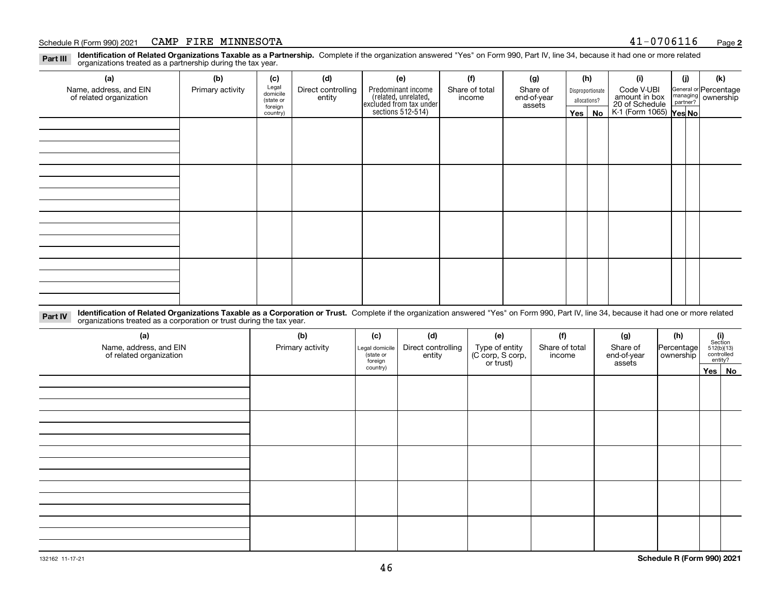### Schedule R (Form 990) 2021 Page CAMP FIRE MINNESOTA 41-0706116

**Identification of Related Organizations Taxable as a Partnership.** Complete if the organization answered "Yes" on Form 990, Part IV, line 34, because it had one or more related **Part III** organizations treated as a partnership during the tax year.

| (a)                                               | (b)              | (c)                  | (d)                          | (e)                                                                 | (f)                      | (g)                     |                                  | (h) | (i)                                       | (j) | (k)                                                       |
|---------------------------------------------------|------------------|----------------------|------------------------------|---------------------------------------------------------------------|--------------------------|-------------------------|----------------------------------|-----|-------------------------------------------|-----|-----------------------------------------------------------|
| Name, address, and EIN<br>of related organization | Primary activity | Legal<br>domicile    | Direct controlling<br>entity | Predominant income                                                  | Share of total<br>income | Share of<br>end-of-year | Disproportionate<br>allocations? |     | Code V-UBI<br>amount in box               |     | General or Percentage<br>managing<br>partner?<br>partner? |
|                                                   |                  | (state or<br>foreign |                              |                                                                     |                          | assets                  |                                  |     |                                           |     |                                                           |
|                                                   |                  | country)             |                              | related, unrelated,<br>excluded from tax under<br>sections 512-514) |                          |                         | Yes $ $                          | No  | 20 of Schedule<br>K-1 (Form 1065) Yes No. |     |                                                           |
|                                                   |                  |                      |                              |                                                                     |                          |                         |                                  |     |                                           |     |                                                           |
|                                                   |                  |                      |                              |                                                                     |                          |                         |                                  |     |                                           |     |                                                           |
|                                                   |                  |                      |                              |                                                                     |                          |                         |                                  |     |                                           |     |                                                           |
|                                                   |                  |                      |                              |                                                                     |                          |                         |                                  |     |                                           |     |                                                           |
|                                                   |                  |                      |                              |                                                                     |                          |                         |                                  |     |                                           |     |                                                           |
|                                                   |                  |                      |                              |                                                                     |                          |                         |                                  |     |                                           |     |                                                           |
|                                                   |                  |                      |                              |                                                                     |                          |                         |                                  |     |                                           |     |                                                           |
|                                                   |                  |                      |                              |                                                                     |                          |                         |                                  |     |                                           |     |                                                           |
|                                                   |                  |                      |                              |                                                                     |                          |                         |                                  |     |                                           |     |                                                           |
|                                                   |                  |                      |                              |                                                                     |                          |                         |                                  |     |                                           |     |                                                           |
|                                                   |                  |                      |                              |                                                                     |                          |                         |                                  |     |                                           |     |                                                           |
|                                                   |                  |                      |                              |                                                                     |                          |                         |                                  |     |                                           |     |                                                           |
|                                                   |                  |                      |                              |                                                                     |                          |                         |                                  |     |                                           |     |                                                           |
|                                                   |                  |                      |                              |                                                                     |                          |                         |                                  |     |                                           |     |                                                           |
|                                                   |                  |                      |                              |                                                                     |                          |                         |                                  |     |                                           |     |                                                           |
|                                                   |                  |                      |                              |                                                                     |                          |                         |                                  |     |                                           |     |                                                           |
|                                                   |                  |                      |                              |                                                                     |                          |                         |                                  |     |                                           |     |                                                           |

**Identification of Related Organizations Taxable as a Corporation or Trust.** Complete if the organization answered "Yes" on Form 990, Part IV, line 34, because it had one or more related **Part IV** organizations treated as a corporation or trust during the tax year.

| (a)<br>Name, address, and EIN<br>of related organization | (b)<br>Primary activity | (c)<br>Legal domicile<br>(state or<br>foreign | (d)<br>Direct controlling<br>entity | (e)<br>Type of entity<br>(C corp, S corp,<br>or trust) | (f)<br>Share of total<br>income | (g)<br>Share of<br>end-of-year<br>assets | (h)<br>Percentage<br>ownership | $\begin{array}{c} \textbf{(i)}\\ \text{Section}\\ 512 \text{(b)} \text{(13)}\\ \text{controlled}\\ \text{entity?} \end{array}$ |        |
|----------------------------------------------------------|-------------------------|-----------------------------------------------|-------------------------------------|--------------------------------------------------------|---------------------------------|------------------------------------------|--------------------------------|--------------------------------------------------------------------------------------------------------------------------------|--------|
|                                                          |                         | country)                                      |                                     |                                                        |                                 |                                          |                                |                                                                                                                                | Yes No |
|                                                          |                         |                                               |                                     |                                                        |                                 |                                          |                                |                                                                                                                                |        |
|                                                          |                         |                                               |                                     |                                                        |                                 |                                          |                                |                                                                                                                                |        |
|                                                          |                         |                                               |                                     |                                                        |                                 |                                          |                                |                                                                                                                                |        |
|                                                          |                         |                                               |                                     |                                                        |                                 |                                          |                                |                                                                                                                                |        |
|                                                          |                         |                                               |                                     |                                                        |                                 |                                          |                                |                                                                                                                                |        |
|                                                          |                         |                                               |                                     |                                                        |                                 |                                          |                                |                                                                                                                                |        |
|                                                          |                         |                                               |                                     |                                                        |                                 |                                          |                                |                                                                                                                                |        |
|                                                          |                         |                                               |                                     |                                                        |                                 |                                          |                                |                                                                                                                                |        |
|                                                          |                         |                                               |                                     |                                                        |                                 |                                          |                                |                                                                                                                                |        |
|                                                          |                         |                                               |                                     |                                                        |                                 |                                          |                                |                                                                                                                                |        |
|                                                          |                         |                                               |                                     |                                                        |                                 |                                          |                                |                                                                                                                                |        |
|                                                          |                         |                                               |                                     |                                                        |                                 |                                          |                                |                                                                                                                                |        |
|                                                          |                         |                                               |                                     |                                                        |                                 |                                          |                                |                                                                                                                                |        |
|                                                          |                         |                                               |                                     |                                                        |                                 |                                          |                                |                                                                                                                                |        |
|                                                          |                         |                                               |                                     |                                                        |                                 |                                          |                                |                                                                                                                                |        |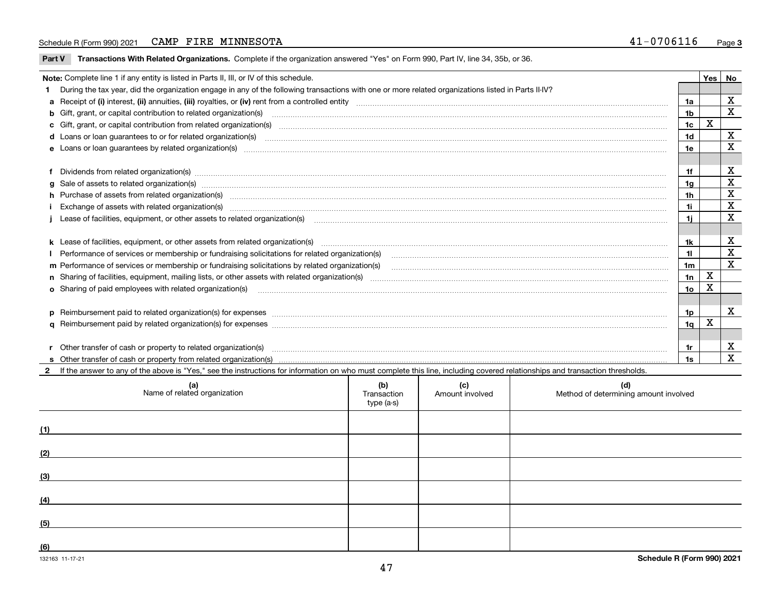### Schedule R (Form 990) 2021 Page CAMP FIRE MINNESOTA 41-0706116

**Part V** T**ransactions With Related Organizations.** Complete if the organization answered "Yes" on Form 990, Part IV, line 34, 35b, or 36.

| Note: Complete line 1 if any entity is listed in Parts II, III, or IV of this schedule. |                                                                                                                                                                                                                                   |     |   |             |  |  |
|-----------------------------------------------------------------------------------------|-----------------------------------------------------------------------------------------------------------------------------------------------------------------------------------------------------------------------------------|-----|---|-------------|--|--|
|                                                                                         | 1 During the tax year, did the organization engage in any of the following transactions with one or more related organizations listed in Parts II-IV?                                                                             |     |   |             |  |  |
|                                                                                         |                                                                                                                                                                                                                                   |     |   | X           |  |  |
|                                                                                         | b Gift, grant, or capital contribution to related organization(s) manufactured and contribution to related organization(s)                                                                                                        | 1b  |   | $\mathbf x$ |  |  |
|                                                                                         | c Gift, grant, or capital contribution from related organization(s) matches contains and contribution from related organization(s) matches contains and contribution from related organization(s) matches contains and contain    | 1c  | X |             |  |  |
|                                                                                         | d Loans or loan guarantees to or for related organization(s) committion contracts are constructed as a control or contract or contract or contract or contract or contract or contract or contract or contract or contract or     | 1d  |   | $\mathbf X$ |  |  |
|                                                                                         |                                                                                                                                                                                                                                   | 1e  |   | X           |  |  |
|                                                                                         |                                                                                                                                                                                                                                   |     |   |             |  |  |
|                                                                                         | f Dividends from related organization(s) manufactured contains and contained a series of the contact of the contact of the contact of the contact of the contact of the contact of the contact of the contact of the contact o    | 1f  |   | X           |  |  |
|                                                                                         | g Sale of assets to related organization(s) www.assettion.com/www.assettion.com/www.assettion.com/www.assettion.com/www.assettion.com/www.assettion.com/www.assettion.com/www.assettion.com/www.assettion.com/www.assettion.co    | 1a  |   | $\mathbf X$ |  |  |
|                                                                                         | h Purchase of assets from related organization(s) manufactured content to content the content of the content of the content of the content of the content of the content of the content of the content of the content of the c    | 1h  |   | X           |  |  |
|                                                                                         | Exchange of assets with related organization(s) www.communically.communically.communically and a strategy of assets with related organization(s) www.communically.communically and a strategy of assets with related organizat    | 1i. |   | X           |  |  |
|                                                                                         | Lease of facilities, equipment, or other assets to related organization(s) использованно положенно положенно по                                                                                                                   | 11  |   | $\mathbf x$ |  |  |
|                                                                                         |                                                                                                                                                                                                                                   |     |   |             |  |  |
|                                                                                         |                                                                                                                                                                                                                                   | 1k  |   | X           |  |  |
|                                                                                         |                                                                                                                                                                                                                                   | 11. |   | $\mathbf X$ |  |  |
|                                                                                         | m Performance of services or membership or fundraising solicitations by related organization(s)                                                                                                                                   | 1m  |   | X           |  |  |
|                                                                                         |                                                                                                                                                                                                                                   | 1n  | X |             |  |  |
|                                                                                         | <b>o</b> Sharing of paid employees with related organization(s)                                                                                                                                                                   | 10  | X |             |  |  |
|                                                                                         |                                                                                                                                                                                                                                   |     |   |             |  |  |
|                                                                                         | p Reimbursement paid to related organization(s) for expenses [1111] and manufacture manufacture manufacture manufacture manufacture manufacture manufacture manufacture manufacture manufacture manufacture manufacture manufa    | 1p. |   | x           |  |  |
|                                                                                         |                                                                                                                                                                                                                                   | 1q  | х |             |  |  |
|                                                                                         |                                                                                                                                                                                                                                   |     |   |             |  |  |
|                                                                                         | r Other transfer of cash or property to related organization(s)                                                                                                                                                                   | 1r  |   | х           |  |  |
|                                                                                         | r Other transfer of cash or property to related organization(s) www.community.com/www.community.com/www.communi<br>S Other transfer of cash or property from related organization(s) www.community.community.community.community. | 1s  |   | X           |  |  |
|                                                                                         | 2 If the answer to any of the above is "Yes," see the instructions for information on who must complete this line, including covered relationships and transaction thresholds.                                                    |     |   |             |  |  |

| (a)<br>Name of related organization | (b)<br>Transaction<br>type (a-s) | (c)<br>Amount involved | (d)<br>Method of determining amount involved |
|-------------------------------------|----------------------------------|------------------------|----------------------------------------------|
| (1)                                 |                                  |                        |                                              |
| (2)                                 |                                  |                        |                                              |
| (3)                                 |                                  |                        |                                              |
| (4)                                 |                                  |                        |                                              |
| (5)                                 |                                  |                        |                                              |
| (6)                                 |                                  |                        |                                              |

 $\overline{\phantom{a}}$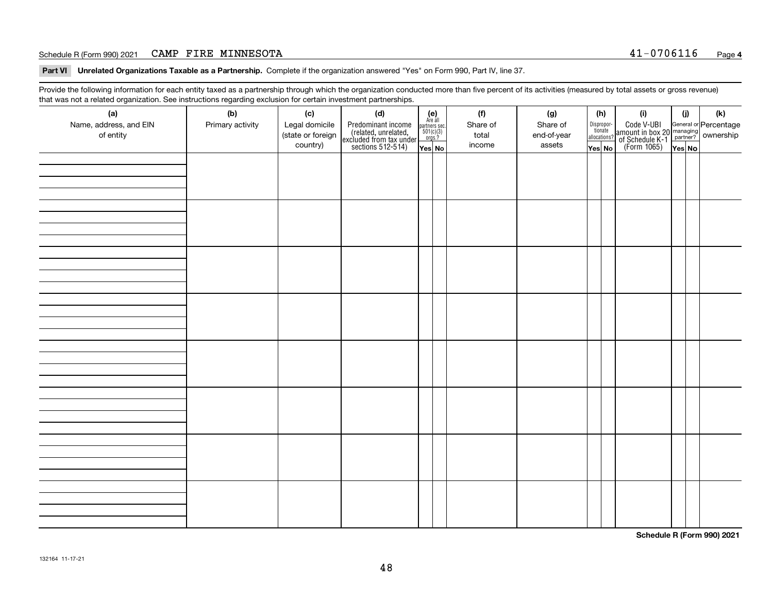### Schedule R (Form 990) 2021 Page CAMP FIRE MINNESOTA 41-0706116

**Part VI Unrelated Organizations Taxable as a Partnership. Complete if the organization answered "Yes" on Form 990, Part IV, line 37.** 

Provide the following information for each entity taxed as a partnership through which the organization conducted more than five percent of its activities (measured by total assets or gross revenue) that was not a related organization. See instructions regarding exclusion for certain investment partnerships.

| - - - - -<br>(a)<br>Name, address, and EIN<br>of entity | − ອ−<br>(b)<br>Primary activity | (c)<br>Legal domicile<br>(state or foreign<br>country) | (d)<br>Predominant income<br>(related, unrelated,<br>excluded from tax under<br>sections 512-514) | $\begin{array}{c} \textbf{(e)}\\ \text{Area all} \\ \text{partners sec.}\\ 501(c)(3) \\ \text{orgs.?} \end{array}$<br>Yes No | (f)<br>Share of<br>total<br>income | (g)<br>Share of<br>end-of-year<br>assets | (h)<br>Dispropor-<br>tionate<br>allocations?<br>Yes No | (i)<br>Code V-UBI<br>amount in box 20 managing<br>of Schedule K-1<br>(Form 1065)<br>$\overline{Yes}$ No | (i)<br>Yes No | (k) |
|---------------------------------------------------------|---------------------------------|--------------------------------------------------------|---------------------------------------------------------------------------------------------------|------------------------------------------------------------------------------------------------------------------------------|------------------------------------|------------------------------------------|--------------------------------------------------------|---------------------------------------------------------------------------------------------------------|---------------|-----|
|                                                         |                                 |                                                        |                                                                                                   |                                                                                                                              |                                    |                                          |                                                        |                                                                                                         |               |     |
|                                                         |                                 |                                                        |                                                                                                   |                                                                                                                              |                                    |                                          |                                                        |                                                                                                         |               |     |
|                                                         |                                 |                                                        |                                                                                                   |                                                                                                                              |                                    |                                          |                                                        |                                                                                                         |               |     |
|                                                         |                                 |                                                        |                                                                                                   |                                                                                                                              |                                    |                                          |                                                        |                                                                                                         |               |     |
|                                                         |                                 |                                                        |                                                                                                   |                                                                                                                              |                                    |                                          |                                                        |                                                                                                         |               |     |
|                                                         |                                 |                                                        |                                                                                                   |                                                                                                                              |                                    |                                          |                                                        |                                                                                                         |               |     |
|                                                         |                                 |                                                        |                                                                                                   |                                                                                                                              |                                    |                                          |                                                        |                                                                                                         |               |     |
|                                                         |                                 |                                                        |                                                                                                   |                                                                                                                              |                                    |                                          |                                                        |                                                                                                         |               |     |

**Schedule R (Form 990) 2021**